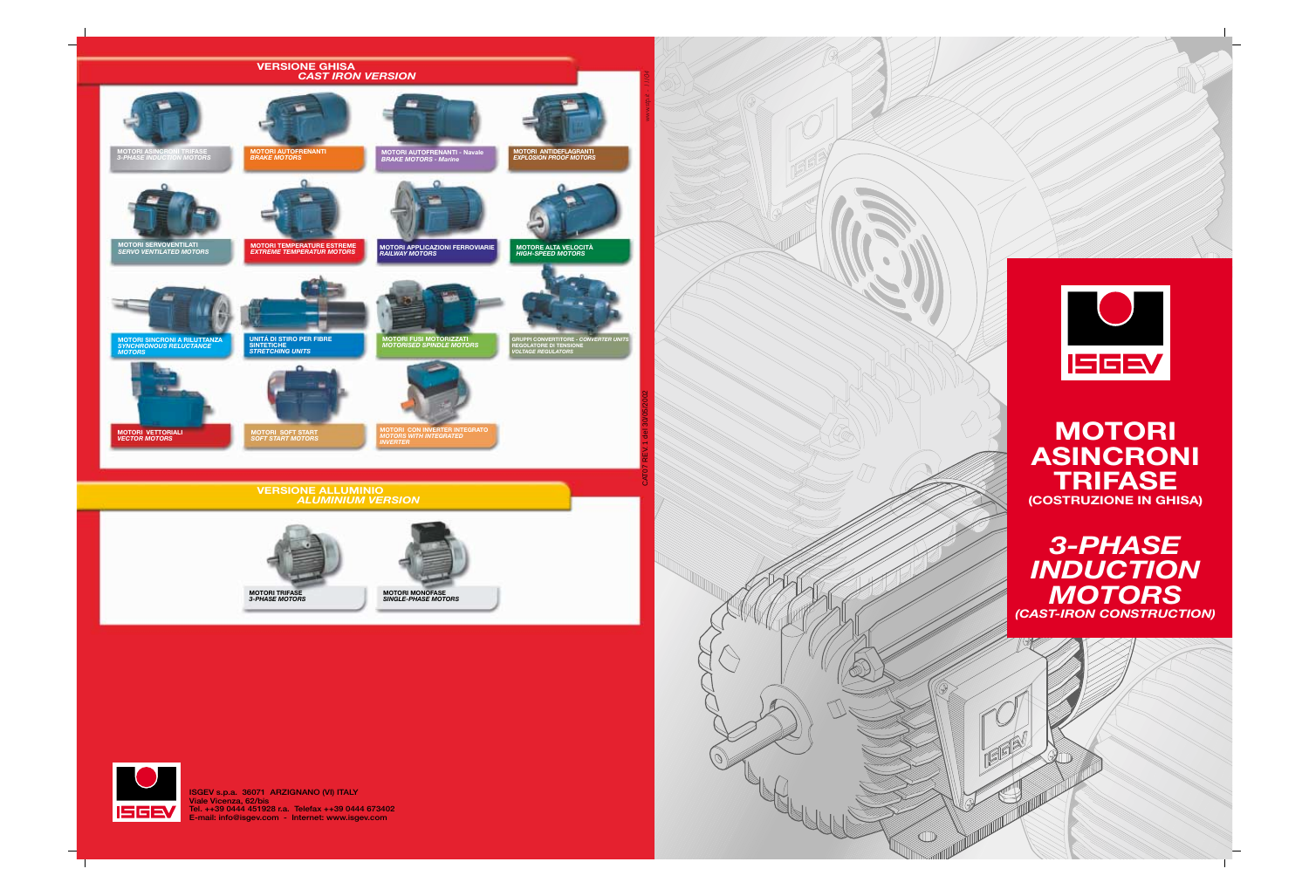**ISGEV s.p.a. 36071 ARZIGNANO (VI) ITALY Viale Vicenza, 62/bis Tel. ++39 0444 451928 r.a. Telefax ++39 0444 673402 E-mail: info@isgev.com - Internet: www.isgev.com**







# **MOTORI ASINCRONI TRIFASE (COSTRUZIONE IN GHISA)**



 $(\mathbb{Q})$ 

COLOR

 $\mathcal{D}$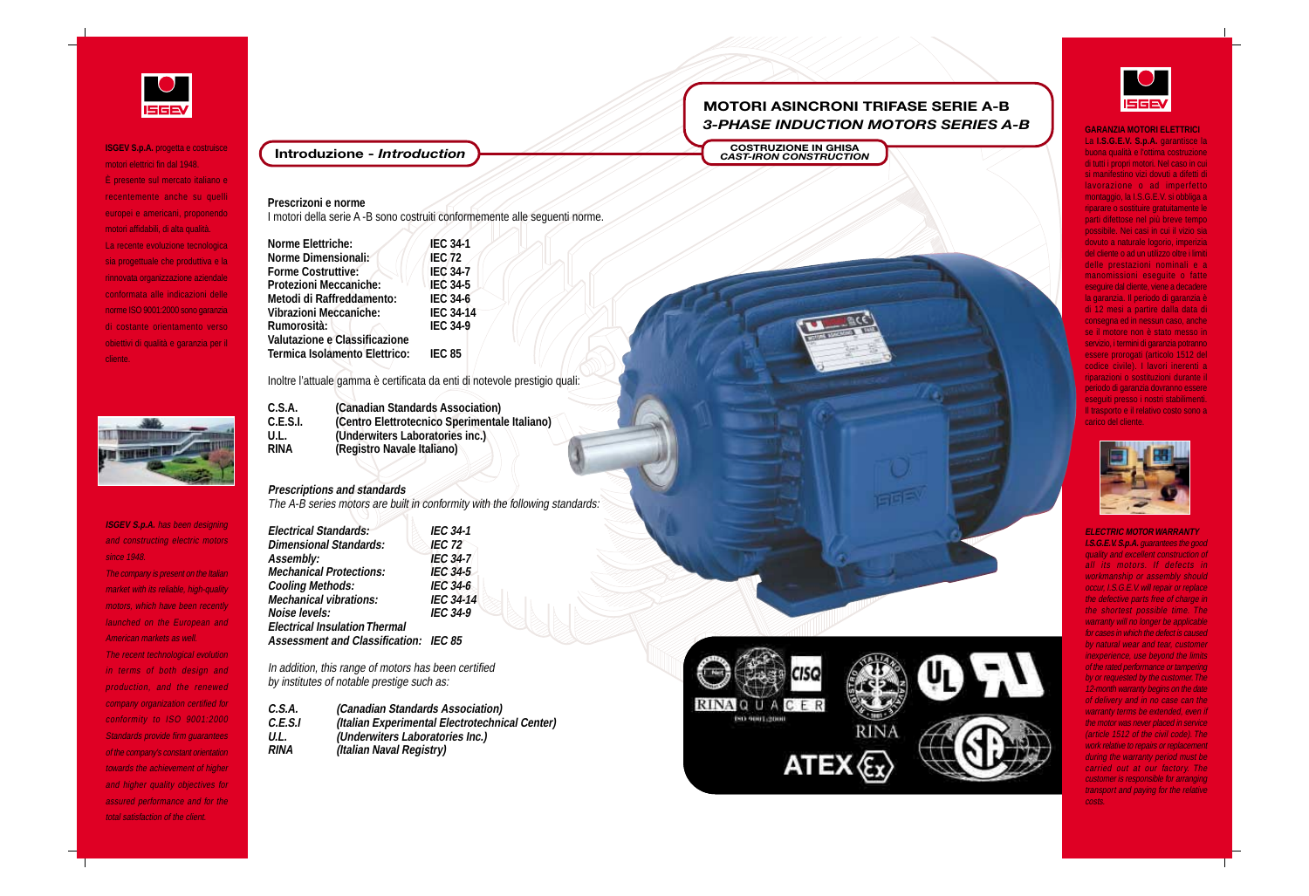**ELECTRIC MOTOR WARRANTY I.S.G.E.V. S.p.A.** guarantees the good quality and excellent construction of all its motors. If defects in workmanship or assembly should occur, I.S.G.E.V. will repair or replace the defective parts free of charge in the shortest possible time. The warranty will no longer be applicable for cases in which the defect is caused by natural wear and tear, customer inexperience, use beyond the limits of the rated performance or tampering by or requested by the customer. The 12-month warranty begins on the date of delivery and in no case can the warranty terms be extended, even if the motor was never placed in service (article 1512 of the civil code). The work relative to repairs or replacement during the warranty period must be carried out at our factory. The customer is responsible for arranging transport and paying for the relative costs.

### **GARANZIA MOTORI ELETTRICI**



**ISGEV S.p.A.** progetta e costruisce motori elettrici fin dal 1948. È presente sul mercato italiano e recentemente anche su quelli europei e americani, proponendo motori affidabili, di alta qualità. La recente evoluzione tecnologica sia progettuale che produttiva e la rinnovata organizzazione aziendale conformata alle indicazioni delle norme ISO 9001:2000 sono garanzia di costante orientamento verso obiettivi di qualità e garanzia per il cliente.



The company is present on the Italian market with its reliable, high-quality motors, which have been recently launched on the European and American markets as well.

La **I.S.G.E.V. S.p.A.** garantisce la buona qualità e l'ottima costruzione di tutti i propri motori. Nel caso in cui si manifestino vizi dovuti a difetti di lavorazione o ad imperfetto montaggio, la I.S.G.E.V. si obbliga a riparare o sostituire gratuitamente le parti difettose nel più breve tempo possibile. Nei casi in cui il vizio sia dovuto a naturale logorio, imperizia del cliente o ad un utilizzo oltre i limiti delle prestazioni nominali e a manomissioni eseguite o fatte eseguire dal cliente, viene a decadere la garanzia. Il periodo di garanzia è di 12 mesi a partire dalla data di consegna ed in nessun caso, anche se il motore non è stato messo in servizio, i termini di garanzia potranno essere prorogati (articolo 1512 del codice civile). I lavori inerenti a riparazioni o sostituzioni durante il periodo di garanzia dovranno essere eseguiti presso i nostri stabilimenti. Il trasporto e il relativo costo sono a carico del cliente.



**ISGEV S.p.A.** has been designing and constructing electric motors since 1948.

The recent technological evolution in terms of both design and production, and the renewed company organization certified for conformity to ISO 9001:2000 Standards provide firm guarantees of the company's constant orientation towards the achievement of higher and higher quality objectives for assured performance and for the total satisfaction of the client.

### **Prescrizoni e norme**

I motori della serie A -B sono costruiti conformemente alle seguenti norme.

| <b>Norme Elettriche:</b>             | <b>IEC 34-1</b>  |  |
|--------------------------------------|------------------|--|
| <b>Norme Dimensionali:</b>           | <b>IEC 72</b>    |  |
| <b>Forme Costruttive:</b>            | <b>IEC 34-7</b>  |  |
| <b>Protezioni Meccaniche:</b>        | <b>IEC 34-5</b>  |  |
| Metodi di Raffreddamento:            | <b>IEC 34-6</b>  |  |
| Vibrazioni Meccaniche:               | <b>IEC 34-14</b> |  |
| Rumorosità:                          | <b>IEC 34-9</b>  |  |
| <b>Valutazione e Classificazione</b> |                  |  |
| <b>Termica Isolamento Elettrico:</b> | <b>IEC 85</b>    |  |
|                                      |                  |  |

Inoltre l'attuale gamma è certificata da enti di notevole prestigio quali:

| C.S.A.      | (Canadian Standards Association)              |
|-------------|-----------------------------------------------|
| C.E.S.I.    | (Centro Elettrotecnico Sperimentale Italiano) |
| U.L.        | (Underwiters Laboratories inc.)               |
| <b>RINA</b> | (Registro Navale Italiano)                    |

### **Prescriptions and standards**

The A-B series motors are built in conformity with the following standards:

| <b>Electrical Standards:</b>                 | <b>IEC 34-1</b>  |
|----------------------------------------------|------------------|
| <b>Dimensional Standards:</b>                | <b>IEC 72</b>    |
| Assembly:                                    | <b>IEC 34-7</b>  |
| <b>Mechanical Protections:</b>               | <b>IEC 34-5</b>  |
| <b>Cooling Methods:</b>                      | <b>IEC 34-6</b>  |
| <b>Mechanical vibrations:</b>                | <b>IEC 34-14</b> |
| Noise levels:                                | <b>IEC 34-9</b>  |
| <b>Electrical Insulation Thermal</b>         |                  |
| <b>Assessment and Classification: IEC 85</b> |                  |

In addition, this range of motors has been certified by institutes of notable prestige such as:

| C.S.A.  |  |
|---------|--|
| C.E.S.I |  |
| U.L.    |  |
| RINA    |  |

**(Canadian Standards Association) C.E.S.I (Italian Experimental Electrotechnical Center) U.L. (Underwiters Laboratories Inc.) (Italian Naval Registry)** 







## **MOTORI ASINCRONI TRIFASE SERIE A-B** *3-PHASE INDUCTION MOTORS SERIES A-B*

**Introduzione -** *Introduction* **COSTRUZIONE IN GHISA COSTRUZIONE** IN GHISA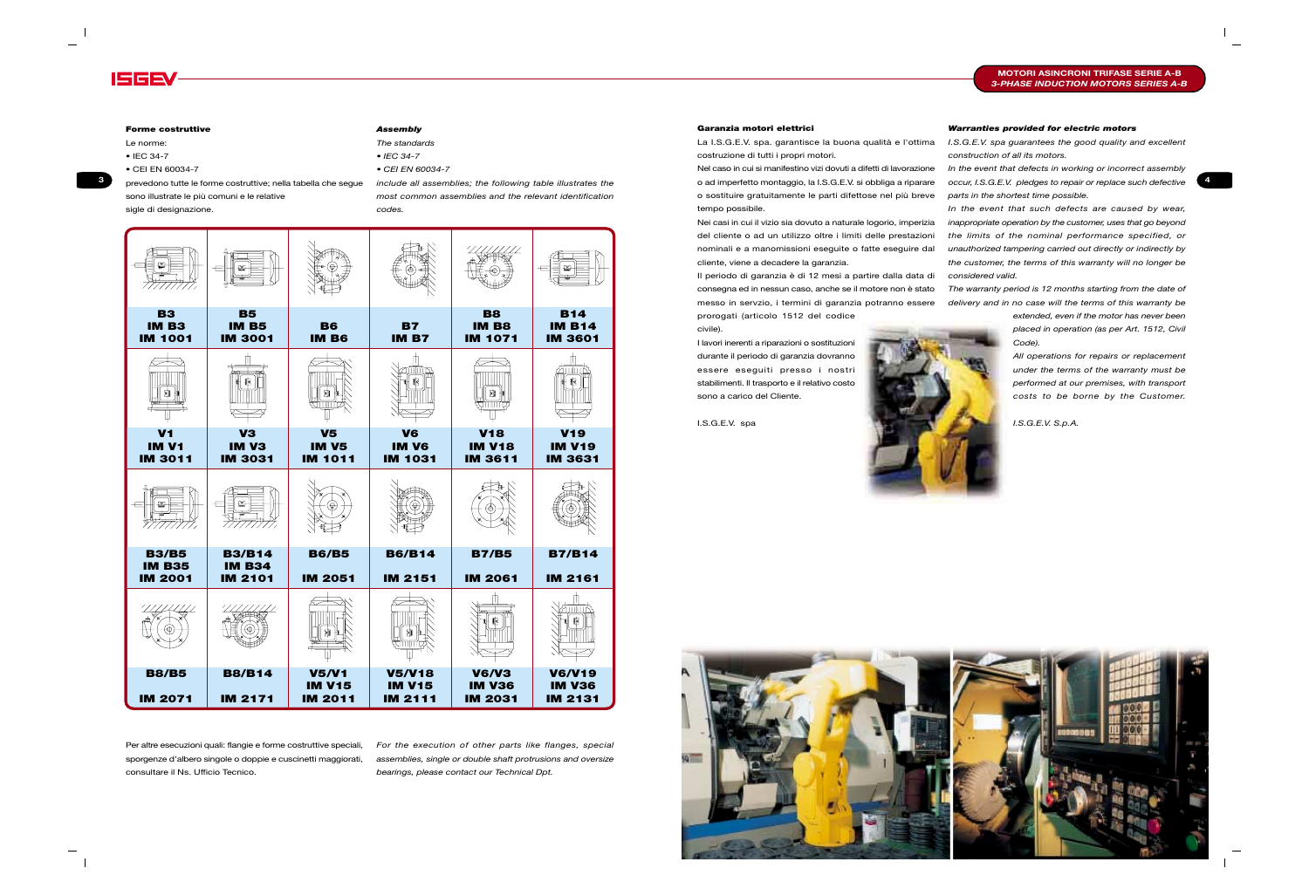#### **Garanzia motori elettrici**

La I.S.G.E.V. spa. garantisce la buona qualità e l'ottima costruzione di tutti i propri motori.

Nel caso in cui si manifestino vizi dovuti a difetti di lavorazione o ad imperfetto montaggio, la I.S.G.E.V. si obbliga a riparare o sostituire gratuitamente le parti difettose nel più breve tempo possibile.

Nei casi in cui il vizio sia dovuto a naturale logorio, imperizia del cliente o ad un utilizzo oltre i limiti delle prestazioni nominali e a manomissioni eseguite o fatte eseguire dal cliente, viene a decadere la garanzia.

Il periodo di garanzia è di 12 mesi a partire dalla data di consegna ed in nessun caso, anche se il motore non è stato messo in servzio, i termini di garanzia potranno essere prorogati (articolo 1512 del codice civile).

I lavori inerenti a riparazioni o sostituzioni durante il periodo di garanzia dovranno essere eseguiti presso i nostri stabilimenti. Il trasporto e il relativo costo sono a carico del Cliente.

I.S.G.E.V. spa





#### *Warranties provided for electric motors*

*I.S.G.E.V. spa guarantees the good quality and excellent construction of all its motors.*

*In the event that defects in working or incorrect assembly* **o** prevedono tutte le forme costruttive; nella tabella che seque *include all assemblies; the following table illustrates the* o ad imperfetto montaggio, la I.S.G.E.V. si obbliga a riparare occur, I.S.G.E.V. pledges to re *parts in the shortest time possible.*

> *In the event that such defects are caused by wear, inappropriate operation by the customer, uses that go beyond the limits of the nominal performance specified, or unauthorized tampering carried out directly or indirectly by the customer, the terms of this warranty will no longer be considered valid.*

> *The warranty period is 12 months starting from the date of delivery and in no case will the terms of this warranty be*

> > *extended, even if the motor has never been placed in operation (as per Art. 1512, Civil Code).*

> > *All operations for repairs or replacement under the terms of the warranty must be performed at our premises, with transport costs to be borne by the Customer.*

*I.S.G.E.V. S.p.A.*

### **MOTORI ASINCRONI TRIFASE SERIE A-B** *3-PHASE INDUCTION MOTORS SERIES A-B*



#### **Forme costruttive**

Le norme:

• IEC 34-7

• CEI EN 60034-7

prevedono tutte le forme costruttive; nella tabella che segue sono illustrate le più comuni e le relative sigle di designazione.

Per altre esecuzioni quali: flangie e forme costruttive speciali, sporgenze d'albero singole o doppie e cuscinetti maggiorati, consultare il Ns. Ufficio Tecnico.

| ₩                                                |                                                  |                                                 |                                                  |                                                 | ₩                                                |
|--------------------------------------------------|--------------------------------------------------|-------------------------------------------------|--------------------------------------------------|-------------------------------------------------|--------------------------------------------------|
| <b>B3</b><br><b>IM B3</b><br><b>IM 1001</b>      | <b>B5</b><br><b>IM B5</b><br><b>IM 3001</b>      | <b>B6</b><br>IM B6                              | <b>B7</b><br><b>IM B7</b>                        | <b>B8</b><br><b>IM B8</b><br><b>IM 1071</b>     | <b>B14</b><br><b>IM B14</b><br><b>IM 3601</b>    |
|                                                  |                                                  | 111111                                          |                                                  |                                                 | ШT                                               |
| V <sub>1</sub><br><b>IM V1</b><br><b>IM 3011</b> | V <sub>3</sub><br>IM V3<br><b>IM 3031</b>        | <b>V5</b><br><b>IM V5</b><br><b>IM 1011</b>     | V <sub>6</sub><br><b>IM V6</b><br><b>IM 1031</b> | <b>V18</b><br><b>IM V18</b><br><b>IM 3611</b>   | <b>V19</b><br><b>IM V19</b><br><b>IM 3631</b>    |
|                                                  |                                                  |                                                 |                                                  |                                                 |                                                  |
| <b>B3/B5</b><br><b>IM B35</b><br><b>IM 2001</b>  | <b>B3/B14</b><br><b>IM B34</b><br><b>IM 2101</b> | <b>B6/B5</b><br><b>IM 2051</b>                  | <b>B6/B14</b><br><b>IM 2151</b>                  | <b>B7/B5</b><br><b>IM 2061</b>                  | <b>B7/B14</b><br><b>IM 2161</b>                  |
|                                                  |                                                  |                                                 |                                                  |                                                 |                                                  |
| <b>B8/B5</b><br><b>IM 2071</b>                   | <b>B8/B14</b><br><b>IM 2171</b>                  | <b>V5/V1</b><br><b>IM V15</b><br><b>IM 2011</b> | <b>V5/V18</b><br><b>IM V15</b><br><b>IM 2111</b> | <b>V6/V3</b><br><b>IM V36</b><br><b>IM 2031</b> | <b>V6/V19</b><br><b>IM V36</b><br><b>IM 2131</b> |

#### *Assembly*

*The standards*

• *IEC 34-7*

• *CEI EN 60034-7*

*include all assemblies; the following table illustrates the most common assemblies and the relevant identification codes.*

*For the execution of other parts like flanges, special assemblies, single or double shaft protrusions and oversize bearings, please contact our Technical Dpt.*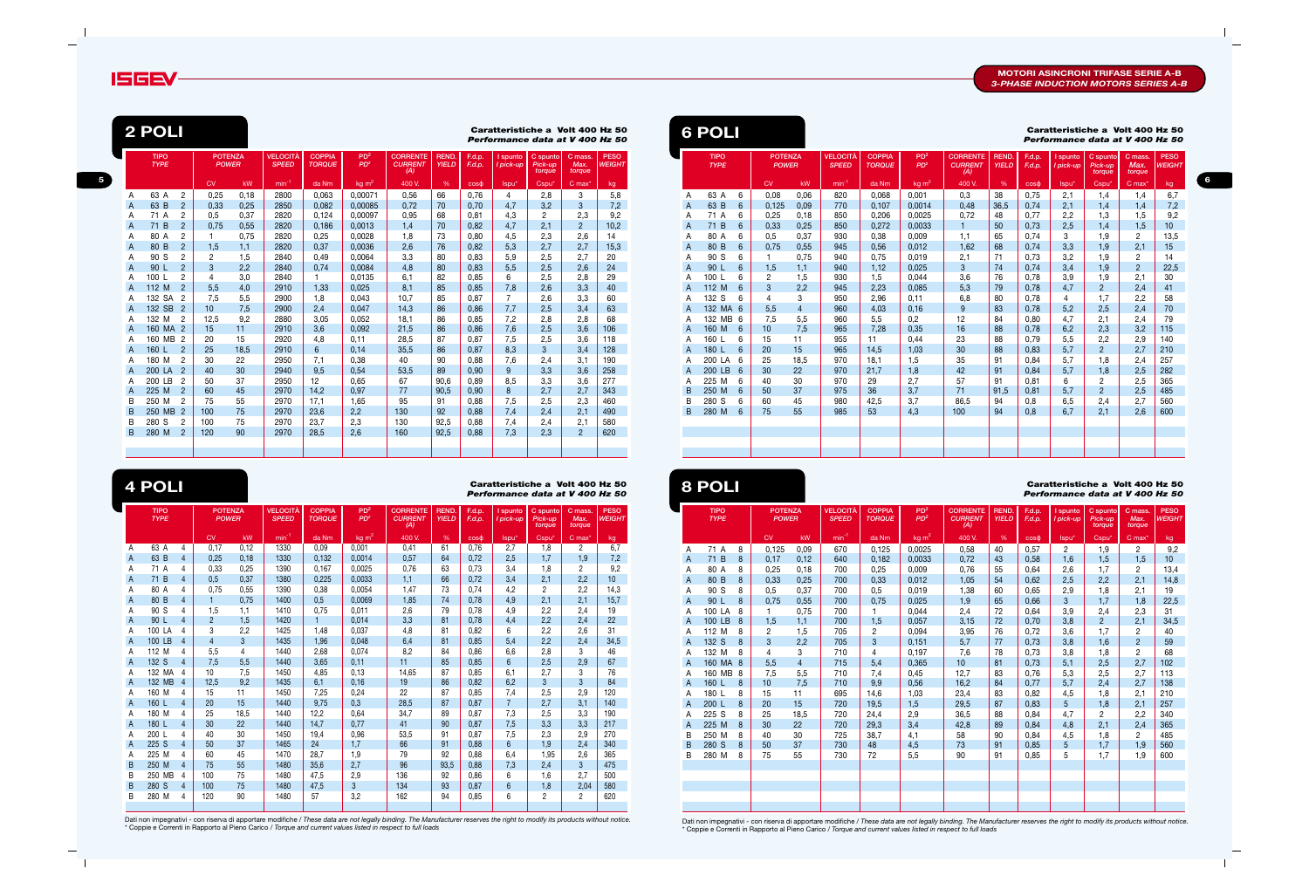

**5**

|   | <b>TIPO</b><br><b>TYPE</b> |                | <b>POTENZA</b><br><b>POWER</b> |      | <b>VELOCITÀ</b><br><b>SPEED</b> | <b>COPPIA</b><br><b>TORQUE</b> | PD <sup>2</sup><br>PD <sup>2</sup> | <b>CORRENTE</b><br><b>CURRENT</b><br>(A) | REND.<br><b>YIELD</b> | F.d.p.<br>F.d.p. | I spunto<br>I pick-up | C spunto<br>Pick-up<br>torque | C mass.<br>Max.<br>torque | <b>PESO</b><br><b>WEIGHT</b> |
|---|----------------------------|----------------|--------------------------------|------|---------------------------------|--------------------------------|------------------------------------|------------------------------------------|-----------------------|------------------|-----------------------|-------------------------------|---------------------------|------------------------------|
|   |                            |                | <b>CV</b>                      | kW   | $min^{-1}$                      | da Nm                          | kg m <sup>2</sup>                  | 400 V.                                   | %                     | $\cos \theta$    | Ispu <sup>*</sup>     | Cspu*                         | $C$ max <sup>*</sup>      | kg                           |
| A | 63 A                       | 4              | 0,17                           | 0,12 | 1330                            | 0,09                           | 0,001                              | 0,41                                     | 61                    | 0,76             | 2,7                   | 1,8                           | $\overline{2}$            | 6,7                          |
| A | 63 B                       | $\overline{4}$ | 0,25                           | 0,18 | 1330                            | 0,132                          | 0,0014                             | 0,57                                     | 64                    | 0,72             | 2,5                   | 1,7                           | 1,9                       | 7,2                          |
| A | 71 A                       | 4              | 0.33                           | 0,25 | 1390                            | 0,167                          | 0,0025                             | 0,76                                     | 63                    | 0,73             | 3,4                   | 1,8                           | 2                         | 9,2                          |
| A | 71 B                       | $\overline{4}$ | 0,5                            | 0,37 | 1380                            | 0,225                          | 0,0033                             | 1,1                                      | 66                    | 0,72             | 3,4                   | 2,1                           | 2,2                       | 10                           |
| A | 80 A                       | 4              | 0,75                           | 0,55 | 1390                            | 0,38                           | 0,0054                             | 1,47                                     | 73                    | 0,74             | 4,2                   | $\overline{2}$                | 2,2                       | 14,3                         |
| A | 80 B                       | $\overline{4}$ | $\mathbf{1}$                   | 0,75 | 1400                            | 0,5                            | 0,0069                             | 1,85                                     | 74                    | 0,78             | 4,9                   | 2,1                           | 2,1                       | 15,7                         |
| A | 90 S                       | 4              | 1,5                            | 1,1  | 1410                            | 0,75                           | 0,011                              | 2,6                                      | 79                    | 0,78             | 4,9                   | 2,2                           | 2,4                       | 19                           |
| A | 90 L                       | $\overline{4}$ | $\overline{2}$                 | 1,5  | 1420                            | 1                              | 0,014                              | 3,3                                      | 81                    | 0,78             | 4,4                   | 2,2                           | 2,4                       | 22                           |
| А | 100 LA                     | 4              | 3                              | 2,2  | 1425                            | 1,48                           | 0,037                              | 4,8                                      | 81                    | 0,82             | 6                     | 2,2                           | 2,6                       | 31                           |
| A | 100 LB                     | $\overline{4}$ | $\overline{4}$                 | 3    | 1435                            | 1,96                           | 0,048                              | 6,4                                      | 81                    | 0,85             | 5,4                   | 2,2                           | 2,4                       | 34,5                         |
| А | 112 M                      | 4              | 5,5                            | 4    | 1440                            | 2,68                           | 0,074                              | 8,2                                      | 84                    | 0,86             | 6,6                   | 2,8                           | 3                         | 46                           |
| A | 132 S                      | $\overline{4}$ | 7,5                            | 5,5  | 1440                            | 3,65                           | 0,11                               | 11                                       | 85                    | 0,85             | 6                     | 2,5                           | 2,9                       | 67                           |
| A | 132 MA                     | 4              | 10                             | 7,5  | 1450                            | 4,85                           | 0,13                               | 14,65                                    | 87                    | 0,85             | 6,1                   | 2,7                           | 3                         | 76                           |
| A | 132 MB                     | $\overline{4}$ | 12,5                           | 9,2  | 1435                            | 6,1                            | 0,16                               | 19                                       | 86                    | 0,82             | 6,2                   | 3                             | 3                         | 84                           |
| A | 160 M                      | 4              | 15                             | 11   | 1450                            | 7,25                           | 0,24                               | 22                                       | 87                    | 0,85             | 7,4                   | 2,5                           | 2,9                       | 120                          |
| A | 160 L                      | $\overline{4}$ | 20                             | 15   | 1440                            | 9,75                           | 0,3                                | 28,5                                     | 87                    | 0,87             | $\overline{7}$        | 2,7                           | 3,1                       | 140                          |
| A | 180 M                      | 4              | 25                             | 18,5 | 1440                            | 12,2                           | 0,64                               | 34,7                                     | 89                    | 0,87             | 7,3                   | 2,5                           | 3,3                       | 190                          |
| A | 180 L                      | $\overline{4}$ | 30                             | 22   | 1440                            | 14,7                           | 0,77                               | 41                                       | 90                    | 0,87             | 7,5                   | 3,3                           | 3,3                       | 217                          |
| A | 200 L                      | 4              | 40                             | 30   | 1450                            | 19,4                           | 0,96                               | 53,5                                     | 91                    | 0.87             | 7,5                   | 2,3                           | 2,9                       | 270                          |
| A | 225 S                      | $\overline{4}$ | 50                             | 37   | 1465                            | 24                             | 1,7                                | 66                                       | 91                    | 0.88             | 6                     | 1,9                           | 2,4                       | 340                          |
| A | 225 M                      | 4              | 60                             | 45   | 1470                            | 28,7                           | 1,9                                | 79                                       | 92                    | 0.88             | 6,4                   | 1,95                          | 2,6                       | 365                          |
| B | 250 M                      | $\overline{4}$ | 75                             | 55   | 1480                            | 35,6                           | 2,7                                | 96                                       | 93,5                  | 0,88             | 7,3                   | 2,4                           | 3                         | 475                          |
| B | 250 MB                     | 4              | 100                            | 75   | 1480                            | 47,5                           | 2,9                                | 136                                      | 92                    | 0,86             | 6                     | 1,6                           | 2,7                       | 500                          |
| B | 280 S                      | 4              | 100                            | 75   | 1480                            | 47,5                           | 3                                  | 134                                      | 93                    | 0,87             | 6                     | 1,8                           | 2,04                      | 580                          |
| B | 280 M                      | 4              | 120                            | 90   | 1480                            | 57                             | 3,2                                | 162                                      | 94                    | 0,85             | 6                     | 2                             | 2                         | 620                          |

Dati non impegnativi - con riserva di apportare modifiche / *These data are not legally binding. The Manufacturer reserves the right to modify its products without notice.* \* Coppie e Correnti in Rapporto al Pieno Carico / *Torque and current values listed in respect to full loads*

|   | <b>TIPO</b><br><b>TYPE</b> |   | <b>POTENZA</b><br><b>POWER</b> |                | <b>VELOCITÀ</b><br><b>SPEED</b> | <b>COPPIA</b><br><b>TORQUE</b> | PD <sup>2</sup><br>PD <sup>2</sup> | <b>CORRENTE</b><br><b>CURRENT</b><br>(A) | REND.<br><b>YIELD</b> | F.d.p.<br>F.d.p. | I spunto<br>I pick-up | C spunto<br>Pick-up<br>torque | C mass.<br>Max.<br>torque | <b>PESO</b><br><b>WEIGHT</b> |
|---|----------------------------|---|--------------------------------|----------------|---------------------------------|--------------------------------|------------------------------------|------------------------------------------|-----------------------|------------------|-----------------------|-------------------------------|---------------------------|------------------------------|
|   |                            |   | CV                             | kW             | $min^{-1}$                      | da Nm                          | $kg \, m^2$                        | 400 V.                                   | %                     | $\cos \phi$      | lspu*                 | Cspu*                         | $C$ max $*$               | kg                           |
| Α | 71 A                       | 8 | 0,125                          | 0,09           | 670                             | 0,125                          | 0,0025                             | 0,58                                     | 40                    | 0,57             | $\overline{c}$        | 1,9                           | $\overline{c}$            | 9,2                          |
| A | 71 B                       | 8 | 0,17                           | 0,12           | 640                             | 0,182                          | 0,0033                             | 0,72                                     | 43                    | 0,58             | 1,6                   | 1,5                           | 1,5                       | 10 <sup>1</sup>              |
| Α | 80 A                       | 8 | 0,25                           | 0,18           | 700                             | 0,25                           | 0,009                              | 0,76                                     | 55                    | 0,64             | 2,6                   | 1,7                           | 2                         | 13,4                         |
| A | 80 B                       | 8 | 0,33                           | 0,25           | 700                             | 0,33                           | 0,012                              | 1,05                                     | 54                    | 0,62             | 2,5                   | 2,2                           | 2,1                       | 14,8                         |
| Α | 90 S                       | 8 | 0,5                            | 0,37           | 700                             | 0,5                            | 0,019                              | 1,38                                     | 60                    | 0,65             | 2,9                   | 1,8                           | 2,1                       | 19                           |
| A | 90 L                       | 8 | 0,75                           | 0,55           | 700                             | 0,75                           | 0,025                              | 1,9                                      | 65                    | 0,66             | 3                     | 1,7                           | 1,8                       | 22,5                         |
| Α | 100 LA                     | 8 |                                | 0,75           | 700                             | 1.                             | 0,044                              | 2,4                                      | 72                    | 0,64             | 3,9                   | 2,4                           | 2,3                       | 31                           |
| A | 100 LB                     | 8 | 1,5                            | 1,1            | 700                             | 1,5                            | 0,057                              | 3,15                                     | 72                    | 0,70             | 3,8                   | $2^{\circ}$                   | 2,1                       | 34,5                         |
| Α | 112 M                      | 8 | $\overline{c}$                 | 1,5            | 705                             | $\overline{2}$                 | 0,094                              | 3,95                                     | 76                    | 0,72             | 3,6                   | 1,7                           | 2                         | 40                           |
| A | 132 S                      | 8 | 3                              | 2,2            | 705                             | 3                              | 0,151                              | 5,7                                      | 77                    | 0,73             | 3,8                   | 1,6                           | $\overline{2}$            | 59                           |
| A | 132 M                      | 8 | 4                              | 3              | 710                             | 4                              | 0,197                              | 7,6                                      | 78                    | 0,73             | 3,8                   | 1,8                           | 2                         | 68                           |
| A | 160 MA                     | 8 | 5,5                            | $\overline{4}$ | 715                             | 5,4                            | 0,365                              | 10 <sup>1</sup>                          | 81                    | 0,73             | 5,1                   | 2,5                           | 2,7                       | 102                          |
| A | 160 MB                     | 8 | 7,5                            | 5,5            | 710                             | 7,4                            | 0,45                               | 12,7                                     | 83                    | 0,76             | 5,3                   | 2,5                           | 2,7                       | 113                          |
| A | 160 L                      | 8 | 10                             | 7,5            | 710                             | 9,9                            | 0,56                               | 16,2                                     | 84                    | 0,77             | 5,7                   | 2,4                           | 2,7                       | 138                          |
| A | 180 L                      | 8 | 15                             | 11             | 695                             | 14,6                           | 1,03                               | 23,4                                     | 83                    | 0,82             | 4,5                   | 1,8                           | 2,1                       | 210                          |
| A | 200 L                      | 8 | 20                             | 15             | 720                             | 19,5                           | 1,5                                | 29,5                                     | 87                    | 0,83             | 5                     | 1,8                           | 2,1                       | 257                          |
| Α | 225 S                      | 8 | 25                             | 18,5           | 720                             | 24,4                           | 2,9                                | 36,5                                     | 88                    | 0,84             | 4,7                   | $\overline{2}$                | 2,2                       | 340                          |
| A | 225 M                      | 8 | 30                             | 22             | 720                             | 29,3                           | 3,4                                | 42,8                                     | 89                    | 0,84             | 4,8                   | 2,1                           | 2,4                       | 365                          |
| В | 250 M                      | 8 | 40                             | 30             | 725                             | 38,7                           | 4,1                                | 58                                       | 90                    | 0,84             | 4,5                   | 1,8                           | 2                         | 485                          |
| B | 280 S                      | 8 | 50                             | 37             | 730                             | 48                             | 4,5                                | 73                                       | 91                    | 0,85             | 5                     | 1,7                           | 1,9                       | 560                          |
| B | 280 M                      | 8 | 75                             | 55             | 730                             | 72                             | 5,5                                | 90                                       | 91                    | 0,85             | 5                     | 1,7                           | 1,9                       | 600                          |
|   |                            |   |                                |                |                                 |                                |                                    |                                          |                       |                  |                       |                               |                           |                              |
|   |                            |   |                                |                |                                 |                                |                                    |                                          |                       |                  |                       |                               |                           |                              |
|   |                            |   |                                |                |                                 |                                |                                    |                                          |                       |                  |                       |                               |                           |                              |
|   |                            |   |                                |                |                                 |                                |                                    |                                          |                       |                  |                       |                               |                           |                              |
|   |                            |   |                                |                |                                 |                                |                                    |                                          |                       |                  |                       |                               |                           |                              |

Dati non impegnativi - con riserva di apportare modifiche / *These data are not legally binding. The Manufacturer reserves the right to modify its products without notice.* \* Coppie e Correnti in Rapporto al Pieno Carico / *Torque and current values listed in respect to full loads*

|   | 2 POLI                     |                |                                |           |                                 |                                |                                    |                                          |                       |                  |                     | Caratteristiche a Volt 400 Hz 50<br>Performance data at V 400 Hz 50 |                           |                              |
|---|----------------------------|----------------|--------------------------------|-----------|---------------------------------|--------------------------------|------------------------------------|------------------------------------------|-----------------------|------------------|---------------------|---------------------------------------------------------------------|---------------------------|------------------------------|
|   | <b>TIPO</b><br><b>TYPE</b> |                | <b>POTENZA</b><br><b>POWER</b> |           | <b>VELOCITÀ</b><br><b>SPEED</b> | <b>COPPIA</b><br><b>TORQUE</b> | PD <sup>2</sup><br>PD <sup>2</sup> | <b>CORRENTE</b><br><b>CURRENT</b><br>(A) | REND.<br><b>YIELD</b> | F.d.p.<br>F.d.p. | spunto<br>I pick-up | C spunto<br>Pick-up<br>torque                                       | C mass.<br>Max.<br>torque | <b>PESO</b><br><b>WEIGHT</b> |
|   |                            |                | <b>CV</b>                      | <b>kW</b> | $min^{-1}$                      | da Nm                          | $kg \, m^2$                        | 400 V.                                   | %                     | $\cos \phi$      | Ispu <sup>*</sup>   | Cspu*                                                               | $C$ max <sup>*</sup>      | kg                           |
| A | 63 A                       | $\overline{2}$ | 0,25                           | 0,18      | 2800                            | 0,063                          | 0,00071                            | 0,56                                     | 66                    | 0,76             | $\overline{4}$      | 2,8                                                                 | 3                         | 5,8                          |
| A | 63 B                       | $\overline{2}$ | 0.33                           | 0,25      | 2850                            | 0.082                          | 0.00085                            | 0.72                                     | 70                    | 0.70             | 4,7                 | 3,2                                                                 | 3                         | 7,2                          |
| A | 71 A                       | $\overline{2}$ | 0,5                            | 0,37      | 2820                            | 0,124                          | 0.00097                            | 0,95                                     | 68                    | 0,81             | 4,3                 | $\overline{c}$                                                      | 2,3                       | 9,2                          |
| A | 71 B                       | $\overline{2}$ | 0.75                           | 0,55      | 2820                            | 0.186                          | 0.0013                             | 1,4                                      | 70                    | 0.82             | 4,7                 | 2,1                                                                 | $\overline{2}$            | 10,2                         |
| Α | 80 A                       | $\overline{2}$ | 1                              | 0,75      | 2820                            | 0,25                           | 0.0028                             | 1,8                                      | 73                    | 0,80             | 4,5                 | 2,3                                                                 | 2,6                       | 14                           |
| Α | 80 B                       | $\overline{2}$ | 1,5                            | 1,1       | 2820                            | 0,37                           | 0,0036                             | 2,6                                      | 76                    | 0.82             | 5,3                 | 2,7                                                                 | 2,7                       | 15,3                         |
| Α | 90 S                       | 2              | $\overline{c}$                 | 1,5       | 2840                            | 0,49                           | 0,0064                             | 3,3                                      | 80                    | 0.83             | 5,9                 | 2,5                                                                 | 2,7                       | 20                           |
| A | 90 <sub>L</sub>            | $\overline{2}$ | 3                              | 2,2       | 2840                            | 0,74                           | 0.0084                             | 4,8                                      | 80                    | 0,83             | 5,5                 | 2,5                                                                 | 2,6                       | 24                           |
| A | 100 L                      | 2              | 4                              | 3,0       | 2840                            | 1                              | 0.0135                             | 6,1                                      | 82                    | 0.85             | 6                   | 2,5                                                                 | 2,8                       | 29                           |
| A | 112 M                      | $\overline{2}$ | 5,5                            | 4,0       | 2910                            | 1,33                           | 0,025                              | 8,1                                      | 85                    | 0.85             | 7,8                 | 2,6                                                                 | 3,3                       | 40                           |
| A | 132 SA                     | $\overline{2}$ | 7,5                            | 5,5       | 2900                            | 1,8                            | 0,043                              | 10,7                                     | 85                    | 0,87             | $\overline{7}$      | 2,6                                                                 | 3,3                       | 60                           |
| A | 132 SB                     | $\overline{2}$ | 10                             | 7,5       | 2900                            | 2,4                            | 0.047                              | 14,3                                     | 86                    | 0.86             | 7.7                 | 2,5                                                                 | 3,4                       | 63                           |
| Α | 132 M                      | 2              | 12,5                           | 9,2       | 2880                            | 3,05                           | 0,052                              | 18,1                                     | 86                    | 0,85             | 7,2                 | 2,8                                                                 | 2,8                       | 68                           |
| A | 160 MA                     | $\overline{2}$ | 15                             | 11        | 2910                            | 3,6                            | 0,092                              | 21,5                                     | 86                    | 0,86             | 7,6                 | 2,5                                                                 | 3,6                       | 106                          |
| A | 160 MB                     | $\overline{2}$ | 20                             | 15        | 2920                            | 4,8                            | 0,11                               | 28,5                                     | 87                    | 0.87             | 7,5                 | 2,5                                                                 | 3,6                       | 118                          |
| A | 160 L                      | $\overline{2}$ | 25                             | 18,5      | 2910                            | 6                              | 0,14                               | 35,5                                     | 86                    | 0,87             | 8,3                 | 3                                                                   | 3,4                       | 128                          |
| A | 180 M                      | $\overline{c}$ | 30                             | 22        | 2950                            | 7,1                            | 0,38                               | 40                                       | 90                    | 0,88             | 7,6                 | 2,4                                                                 | 3,1                       | 190                          |
| A | 200 LA                     | $\overline{2}$ | 40                             | 30        | 2940                            | 9,5                            | 0,54                               | 53,5                                     | 89                    | 0,90             | 9                   | 3,3                                                                 | 3,6                       | 258                          |
| Α | 200 LB                     | $\overline{2}$ | 50                             | 37        | 2950                            | 12                             | 0,65                               | 67                                       | 90,6                  | 0,89             | 8,5                 | 3,3                                                                 | 3,6                       | 277                          |
| A | 225 M                      | $\overline{2}$ | 60                             | 45        | 2970                            | 14,2                           | 0,97                               | 77                                       | 90.5                  | 0.90             | 8                   | 2,7                                                                 | 2,7                       | 343                          |
| B | 250 M                      | 2              | 75                             | 55        | 2970                            | 17,1                           | 1,65                               | 95                                       | 91                    | 0,88             | 7,5                 | 2,5                                                                 | 2,3                       | 460                          |
| B | 250 MB                     | $\overline{2}$ | 100                            | 75        | 2970                            | 23,6                           | 2,2                                | 130                                      | 92                    | 0.88             | 7,4                 | 2,4                                                                 | 2,1                       | 490                          |
| B | 280 S                      | 2              | 100                            | 75        | 2970                            | 23,7                           | 2,3                                | 130                                      | 92,5                  | 0,88             | 7,4                 | 2,4                                                                 | 2,1                       | 580                          |
| B | 280 M                      | $\overline{2}$ | 120                            | 90        | 2970                            | 28,5                           | 2,6                                | 160                                      | 92,5                  | 0,88             | 7,3                 | 2,3                                                                 | $\overline{2}$            | 620                          |
|   |                            |                |                                |           |                                 |                                |                                    |                                          |                       |                  |                     |                                                                     |                           |                              |
|   |                            |                |                                |           |                                 |                                |                                    |                                          |                       |                  |                     |                                                                     |                           |                              |

|   | 0 PULI                     |                 |                                |                |                                 |                                |                                    |                                          |                       |                  | varatteristiche a<br>Performance data at V 400 Hz 50 |                               | VUIL 400                  |                              |
|---|----------------------------|-----------------|--------------------------------|----------------|---------------------------------|--------------------------------|------------------------------------|------------------------------------------|-----------------------|------------------|------------------------------------------------------|-------------------------------|---------------------------|------------------------------|
|   | <b>TIPO</b><br><b>TYPE</b> |                 | <b>POTENZA</b><br><b>POWER</b> |                | <b>VELOCITÀ</b><br><b>SPEED</b> | <b>COPPIA</b><br><b>TORQUE</b> | PD <sup>2</sup><br>PD <sup>2</sup> | <b>CORRENTE</b><br><b>CURRENT</b><br>(A) | REND.<br><b>YIELD</b> | F.d.p.<br>F.d.p. | I spunto<br>I pick-up                                | C spunto<br>Pick-up<br>torque | C mass.<br>Max.<br>torque | <b>PESO</b><br><b>WEIGHT</b> |
|   |                            |                 | <b>CV</b>                      | <b>kW</b>      | $min-1$                         | da Nm                          | $kg \, m^2$                        | 400 V.                                   | %                     | COS <sub>0</sub> | Ispu*                                                | Cspu*                         | $C$ max $*$               | kg                           |
| Α | 63 A                       | 6               | 0,08                           | 0,06           | 820                             | 0,068                          | 0,001                              | 0,3                                      | 38                    | 0,75             | 2,1                                                  | 1,4                           | 1,4                       | 6,7                          |
| A | 63 B                       | $6\phantom{1}$  | 0,125                          | 0,09           | 770                             | 0.107                          | 0,0014                             | 0,48                                     | 36,5                  | 0,74             | 2,1                                                  | 1,4                           | 1,4                       | 7,2                          |
| A | 71 A                       | 6               | 0,25                           | 0,18           | 850                             | 0,206                          | 0,0025                             | 0,72                                     | 48                    | 0,77             | 2,2                                                  | 1,3                           | 1,5                       | 9,2                          |
| A | 71 B                       | $6\phantom{1}$  | 0,33                           | 0.25           | 850                             | 0,272                          | 0.0033                             | 1                                        | 50                    | 0,73             | 2,5                                                  | 1,4                           | 1,5                       | 10 <sup>1</sup>              |
| Α | 80 A                       | 6               | 0,5                            | 0,37           | 930                             | 0,38                           | 0,009                              | 1,1                                      | 65                    | 0,74             | 3                                                    | 1,9                           | 2                         | 13,5                         |
| A | 80 B                       | 6               | 0,75                           | 0,55           | 945                             | 0,56                           | 0,012                              | 1,62                                     | 68                    | 0,74             | 3,3                                                  | 1,9                           | 2,1                       | 15                           |
| Α | 90 S                       | 6               | 1                              | 0,75           | 940                             | 0,75                           | 0,019                              | 2,1                                      | 71                    | 0,73             | 3,2                                                  | 1,9                           | 2                         | 14                           |
| A | 90 L                       | 6               | 1,5                            | 1,1            | 940                             | 1,12                           | 0,025                              | 3                                        | 74                    | 0,74             | 3,4                                                  | 1,9                           | $\overline{c}$            | 22,5                         |
| Α | 100 L                      | 6               | 2                              | 1,5            | 930                             | 1,5                            | 0,044                              | 3,6                                      | 76                    | 0,78             | 3,9                                                  | 1,9                           | 2,1                       | 30                           |
| A | 112 M                      | 6               | 3                              | 2,2            | 945                             | 2,23                           | 0,085                              | 5,3                                      | 79                    | 0,78             | 4,7                                                  | $\overline{2}$                | 2,4                       | 41                           |
| Α | 132 S                      | 6               | 4                              | 3              | 950                             | 2,96                           | 0,11                               | 6,8                                      | 80                    | 0,78             | 4                                                    | 1,7                           | 2,2                       | 58                           |
| A | 132 MA                     | $6\phantom{1}6$ | 5,5                            | $\overline{4}$ | 960                             | 4,03                           | 0,16                               | 9                                        | 83                    | 0,78             | 5,2                                                  | 2,5                           | 2,4                       | 70                           |
| Α | 132 MB                     | 6               | 7,5                            | 5,5            | 960                             | 5,5                            | 0,2                                | 12                                       | 84                    | 0,80             | 4,7                                                  | 2,1                           | 2,4                       | 79                           |
| A | 160 M                      | $6\phantom{1}6$ | 10                             | 7,5            | 965                             | 7,28                           | 0,35                               | 16                                       | 88                    | 0,78             | 6,2                                                  | 2,3                           | 3,2                       | 115                          |
| A | 160 L                      | 6               | 15                             | 11             | 955                             | 11                             | 0,44                               | 23                                       | 88                    | 0,79             | 5,5                                                  | 2,2                           | 2,9                       | 140                          |
| A | 180 L                      | $6\phantom{1}$  | 20                             | 15             | 965                             | 14,5                           | 1,03                               | 30                                       | 88                    | 0,83             | 5,7                                                  | $\overline{2}$                | 2,7                       | 210                          |
| Α | 200 LA                     | 6               | 25                             | 18,5           | 970                             | 18,1                           | 1,5                                | 35                                       | 91                    | 0,84             | 5,7                                                  | 1,8                           | 2,4                       | 257                          |
| A | 200 LB                     | $6\phantom{1}6$ | 30                             | 22             | 970                             | 21,7                           | 1,8                                | 42                                       | 91                    | 0,84             | 5,7                                                  | 1,8                           | 2,5                       | 282                          |
| Α | 225 M                      | 6               | 40                             | 30             | 970                             | 29                             | 2,7                                | 57                                       | 91                    | 0.81             | 6                                                    | 2                             | 2,5                       | 365                          |
| B | 250 M                      | $6\phantom{1}$  | 50                             | 37             | 975                             | 36                             | 3,7                                | 71                                       | 91,5                  | 0,81             | 5,7                                                  | $\overline{2}$                | 2,5                       | 485                          |
| B | 280 S                      | 6               | 60                             | 45             | 980                             | 42,5                           | 3,7                                | 86,5                                     | 94                    | 0,8              | 6,5                                                  | 2,4                           | 2,7                       | 560                          |
| B | 280 M                      | 6               | 75                             | 55             | 985                             | 53                             | 4,3                                | 100                                      | 94                    | 0,8              | 6,7                                                  | 2,1                           | 2,6                       | 600                          |
|   |                            |                 |                                |                |                                 |                                |                                    |                                          |                       |                  |                                                      |                               |                           |                              |
|   |                            |                 |                                |                |                                 |                                |                                    |                                          |                       |                  |                                                      |                               |                           |                              |
|   |                            |                 |                                |                |                                 |                                |                                    |                                          |                       |                  |                                                      |                               |                           |                              |

## **Caratteristiche a Volt 400 Hz 50**

#### **Caratteristiche a Volt 400 Hz 50** *Performance data at V 400 Hz 50* **Caratteristiche a Volt 400 Hz 50 4 POLI 8 POLI** *Performance data at V 400 Hz 50*

# **6 POLI**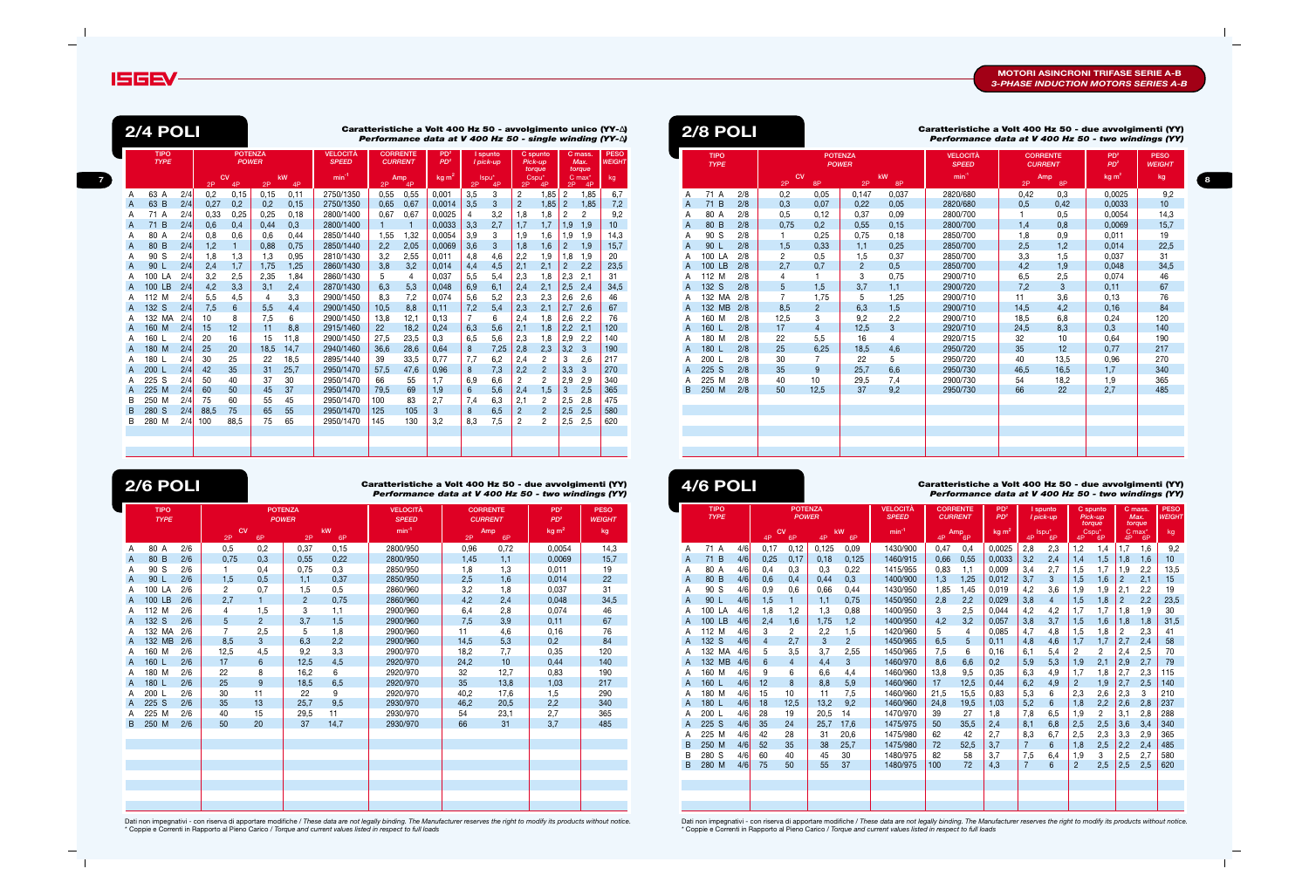

|                | <b>TIPO</b><br><b>TYPE</b> |     |      | <b>POTENZA</b><br><b>POWER</b> |      |          | <b>VELOCITÀ</b><br><b>SPEED</b> |              | <b>CORRENTE</b><br><b>CURRENT</b> | PD <sup>2</sup><br>PD <sup>2</sup> |                | I spunto<br>I pick-up |                | C spunto<br>Pick-up<br>torque |                | C mass.<br>Max.<br>torque  | <b>PESO</b><br><b>WEIGHT</b> |
|----------------|----------------------------|-----|------|--------------------------------|------|----------|---------------------------------|--------------|-----------------------------------|------------------------------------|----------------|-----------------------|----------------|-------------------------------|----------------|----------------------------|------------------------------|
|                |                            |     | 2P   | CV<br>4P                       | 2P   | kW<br>4P | $min^{-1}$                      | 2P           | Amp<br>4P                         | kg m <sup>2</sup>                  | 2P             | Ispu*<br>4P           | 2P             | Cspu*<br>4P                   | 2P             | $C$ max <sup>*</sup><br>4P | kg                           |
| A              | 63 A                       | 2/4 | 0,2  | 0,15                           | 0,15 | 0,11     | 2750/1350                       | 0,55         | 0,55                              | 0,001                              | 3,5            | 3                     | 2              | 1,85                          | $\overline{c}$ | 1,85                       | 6,7                          |
| $\overline{A}$ | 63 B                       | 2/4 | 0.27 | 0,2                            | 0.2  | 0,15     | 2750/1350                       | 0.65         | 0.67                              | 0.0014                             | 3,5            | 3                     | $\overline{2}$ | 1,85                          | $\overline{2}$ | 1,85                       | 7,2                          |
| Α              | 71 A                       | 2/4 | 0.33 | 0,25                           | 0,25 | 0,18     | 2800/1400                       | 0,67         | 0,67                              | 0,0025                             | $\overline{4}$ | 3,2                   | 1,8            | 1,8                           | $\overline{2}$ | 2                          | 9,2                          |
| $\overline{A}$ | 71 B                       | 2/4 | 0,6  | 0,4                            | 0.44 | 0,3      | 2800/1400                       | $\mathbf{1}$ | $\mathbf{1}$                      | 0.0033                             | 3,3            | 2,7                   | 1,7            | 1,7                           | 1,9            | 1,9                        | 10                           |
| Α              | 80 A                       | 2/4 | 0,8  | 0,6                            | 0,6  | 0,44     | 2850/1440                       | 1,55         | 1,32                              | 0,0054                             | 3,9            | 3                     | 1,9            | 1,6                           | 1,9            | 1,9                        | 14,3                         |
| A              | 80 B                       | 2/4 | 1,2  | $\mathbf{1}$                   | 0,88 | 0,75     | 2850/1440                       | 2,2          | 2,05                              | 0.0069                             | 3,6            | 3                     | 1,8            | 1,6                           | $\overline{2}$ | 1,9                        | 15,7                         |
| Α              | 90 S                       | 2/4 | 1,8  | 1,3                            | 1,3  | 0,95     | 2810/1430                       | 3,2          | 2,55                              | 0.011                              | 4,8            | 4,6                   | 2,2            | 1,9                           | 1,8            | 1,9                        | 20                           |
| $\overline{A}$ | 90L                        | 2/4 | 2,4  | 1,7                            | 1.75 | 1.25     | 2860/1430                       | 3,8          | 3,2                               | 0.014                              | 4,4            | 4,5                   | 2,1            | 2,1                           | $\overline{2}$ | 2,2                        | 23,5                         |
| A              | 100 LA                     | 2/4 | 3,2  | 2,5                            | 2,35 | 1,84     | 2860/1430                       | 5            | 4                                 | 0.037                              | 5,5            | 5,4                   | 2,3            | 1,8                           | 2,3            | 2,1                        | 31                           |
| $\overline{A}$ | 100 LB                     | 2/4 | 4,2  | 3,3                            | 3,1  | 2,4      | 2870/1430                       | 6,3          | 5,3                               | 0.048                              | 6,9            | 6,1                   | 2,4            | 2,1                           | 2,5            | 2,4                        | 34,5                         |
| A              | 112 M                      | 2/4 | 5.5  | 4,5                            | 4    | 3,3      | 2900/1450                       | 8,3          | 7,2                               | 0.074                              | 5,6            | 5,2                   | 2,3            | 2,3                           | 2,6            | 2,6                        | 46                           |
| A              | 132 S                      | 2/4 | 7,5  | 6                              | 5,5  | 4,4      | 2900/1450                       | 10,5         | 8,8                               | 0.11                               | 7,2            | 5,4                   | 2,3            | 2,1                           | 2,7            | 2,6                        | 67                           |
| A              | 132 MA                     | 2/4 | 10   | 8                              | 7,5  | 6        | 2900/1450                       | 13,8         | 12,1                              | 0,13                               | $\overline{7}$ | 6                     | 2,4            | 1,8                           | 2,6            | 2,2                        | 76                           |
| A              | 160 M                      | 2/4 | 15   | 12                             | 11   | 8.8      | 2915/1460                       | 22           | 18,2                              | 0.24                               | 6,3            | 5,6                   | 2,1            | 1,8                           | 2,2            | 2,1                        | 120                          |
| A              | 160 L                      | 2/4 | 20   | 16                             | 15   | 11,8     | 2900/1450                       | 27,5         | 23,5                              | 0.3                                | 6,5            | 5,6                   | 2,3            | 1,8                           | 2,9            | 2,2                        | 140                          |
| $\overline{A}$ | 180 M                      | 2/4 | 25   | 20                             | 18.5 | 14,7     | 2940/1460                       | 36,6         | 28,6                              | 0.64                               | 8              | 7,25                  | 2,8            | 2,3                           | 3,2            | $\mathbf{3}$               | 190                          |
| A              | 180 L                      | 2/4 | 30   | 25                             | 22   | 18,5     | 2895/1440                       | 39           | 33,5                              | 0,77                               | 7,7            | 6,2                   | 2,4            | $\overline{2}$                | 3              | 2,6                        | 217                          |
| A              | 200 L                      | 2/4 | 42   | 35                             | 31   | 25,7     | 2950/1470                       | 57,5         | 47,6                              | 0,96                               | 8              | 7,3                   | 2,2            | $\overline{c}$                | 3,3            | 3                          | 270                          |
| A              | 225 S                      | 2/4 | 50   | 40                             | 37   | 30       | 2950/1470                       | 66           | 55                                | 1.7                                | 6.9            | 6,6                   | $\overline{2}$ | $\overline{2}$                | 2,9            | 2,9                        | 340                          |
| A              | 225 M                      | 2/4 | 60   | 50                             | 45   | 37       | 2950/1470                       | 79,5         | 69                                | 1,9                                | 6              | 5,6                   | 2,4            | 1,5                           | 3              | 2,5                        | 365                          |
| B              | 250 M                      | 2/4 | 75   | 60                             | 55   | 45       | 2950/1470                       | 100          | 83                                | 2,7                                | 7,4            | 6,3                   | 2,1            | $\overline{c}$                | 2,5            | 2,8                        | 475                          |
| B              | 280 S                      | 2/4 | 88.5 | 75                             | 65   | 55       | 2950/1470                       | 125          | 105                               | 3                                  | 8              | 6,5                   | $\overline{2}$ | $\overline{2}$                | 2,5            | 2,5                        | 580                          |
| B              | 280 M                      | 2/4 | 100  | 88.5                           | 75   | 65       | 2950/1470                       | 145          | 130                               | 3,2                                | 8,3            | 7,5                   | 2              | $\overline{2}$                | 2,5            | 2,5                        | 620                          |

Dati non impegnativi - con riserva di apportare modifiche / *These data are not legally binding. The Manufacturer reserves the right to modify its products without notice.* \* Coppie e Correnti in Rapporto al Pieno Carico / *Torque and current values listed in respect to full loads*

Dati non impegnativi - con riserva di apportare modifiche / *These data are not legally binding. The Manufacturer reserves the right to modify its products without notice.* \* Coppie e Correnti in Rapporto al Pieno Carico / *Torque and current values listed in respect to full loads*

### **Caratteristiche a Volt 400 Hz 50 - due avvolgimenti (YY) 2/6 POLI 4/6 POLI**  *Performance data at V 400 Hz 50 - two windings (YY)*

|                | <b>TIPO</b><br><b>TYPE</b> |     |                | <b>POWER</b>   | <b>POTENZA</b> |          | <b>VELOCITÀ</b><br><b>SPEED</b> | <b>CORRENTE</b><br><b>CURRENT</b> |           | PD <sup>2</sup><br>PD <sup>2</sup> | <b>PESO</b><br><b>WEIGHT</b> |
|----------------|----------------------------|-----|----------------|----------------|----------------|----------|---------------------------------|-----------------------------------|-----------|------------------------------------|------------------------------|
|                |                            |     | CV<br>2P       | 6P             | 2P             | kW<br>6P | $min-1$                         | 2P                                | Amp<br>6P | kg m <sup>2</sup>                  | kg                           |
| Α              | 80 A                       | 2/6 | 0,5            | 0,2            | 0,37           | 0,15     | 2800/950                        | 0,96                              | 0,72      | 0,0054                             | 14,3                         |
| $\Lambda$      | 80 B                       | 2/6 | 0.75           | 0,3            | 0,55           | 0,22     | 2800/950                        | 1,45                              | 1,1       | 0,0069                             | 15,7                         |
| Α              | 90 S                       | 2/6 | 1              | 0,4            | 0,75           | 0,3      | 2850/950                        | 1,8                               | 1,3       | 0,011                              | 19                           |
| A              | 90 L                       | 2/6 | 1,5            | 0,5            | 1,1            | 0,37     | 2850/950                        | 2,5                               | 1,6       | 0,014                              | 22                           |
| A              | 100 LA                     | 2/6 | $\overline{2}$ | 0,7            | 1,5            | 0,5      | 2860/960                        | 3,2                               | 1,8       | 0,037                              | 31                           |
| A              | 100 LB                     | 2/6 | 2,7            | $\mathbf{1}$   | $\overline{2}$ | 0.75     | 2860/960                        | 4,2                               | 2,4       | 0.048                              | 34,5                         |
| A              | 112 M                      | 2/6 | 4              | 1,5            | 3              | 1,1      | 2900/960                        | 6,4                               | 2,8       | 0,074                              | 46                           |
| $\overline{A}$ | 132 S                      | 2/6 | 5              | $\overline{2}$ | 3,7            | 1,5      | 2900/960                        | 7,5                               | 3,9       | 0,11                               | 67                           |
| A              | 132 MA                     | 2/6 | $\overline{7}$ | 2,5            | 5              | 1,8      | 2900/960                        | 11                                | 4,6       | 0,16                               | 76                           |
| A              | 132 MB                     | 2/6 | 8,5            | 3              | 6,3            | 2,2      | 2900/960                        | 14,5                              | 5,3       | 0,2                                | 84                           |
| A              | 160 M                      | 2/6 | 12,5           | 4,5            | 9,2            | 3,3      | 2900/970                        | 18,2                              | 7,7       | 0,35                               | 120                          |
| $\overline{A}$ | 160 L                      | 2/6 | 17             | $6\phantom{1}$ | 12,5           | 4,5      | 2920/970                        | 24,2                              | 10        | 0,44                               | 140                          |
| Α              | 180 M                      | 2/6 | 22             | 8              | 16,2           | 6        | 2920/970                        | 32                                | 12,7      | 0,83                               | 190                          |
| $\overline{A}$ | 180 L                      | 2/6 | 25             | 9              | 18,5           | 6,5      | 2920/970                        | 35                                | 13,8      | 1,03                               | 217                          |
| Α              | 200 L                      | 2/6 | 30             | 11             | 22             | 9        | 2920/970                        | 40,2                              | 17,6      | 1,5                                | 290                          |
| $\overline{A}$ | 225 S                      | 2/6 | 35             | 13             | 25.7           | 9,5      | 2930/970                        | 46,2                              | 20,5      | 2,2                                | 340                          |
| A              | 225 M                      | 2/6 | 40             | 15             | 29,5           | 11       | 2930/970                        | 54                                | 23,1      | 2,7                                | 365                          |
| B              | 250 M                      | 2/6 | 50             | 20             | 37             | 14,7     | 2930/970                        | 66                                | 31        | 3,7                                | 485                          |
|                |                            |     |                |                |                |          |                                 |                                   |           |                                    |                              |
|                |                            |     |                |                |                |          |                                 |                                   |           |                                    |                              |
|                |                            |     |                |                |                |          |                                 |                                   |           |                                    |                              |
|                |                            |     |                |                |                |          |                                 |                                   |           |                                    |                              |
|                |                            |     |                |                |                |          |                                 |                                   |           |                                    |                              |
|                |                            |     |                |                |                |          |                                 |                                   |           |                                    |                              |
|                |                            |     |                |                |                |          |                                 |                                   |           |                                    |                              |
|                |                            |     |                |                |                |          |                                 |                                   |           |                                    |                              |

|                 |                                |      |                 |                                 |      |                                   | Caratteristiche a Volt 400 Hz 50 - avvolgimento unico (YY-A)<br>Performance data at V 400 Hz 50 - single winding $(YY-\Delta)$ |             |                         |                               |                |                                  |                              |                | <b>2/8 POLI</b>            |                  |          |                                |                |          | Caratteristiche a Volt 400 Hz 50 - due avvolgimenti (YY)<br>Performance data at V 400 Hz 50 - two windings (YY) |      |                                   |                                    |                              |
|-----------------|--------------------------------|------|-----------------|---------------------------------|------|-----------------------------------|--------------------------------------------------------------------------------------------------------------------------------|-------------|-------------------------|-------------------------------|----------------|----------------------------------|------------------------------|----------------|----------------------------|------------------|----------|--------------------------------|----------------|----------|-----------------------------------------------------------------------------------------------------------------|------|-----------------------------------|------------------------------------|------------------------------|
|                 | <b>POTENZA</b><br><b>POWER</b> |      |                 | <b>VELOCITÀ</b><br><b>SPEED</b> |      | <b>CORRENTE</b><br><b>CURRENT</b> | PD <sup>2</sup><br>PD <sup>2</sup>                                                                                             |             | I spunto<br>I pick-up   | C spunto<br>Pick-up<br>torque |                | C mass.<br>Max.<br>torque        | <b>PESO</b><br><b>WEIGHT</b> |                | <b>TIPO</b><br><b>TYPE</b> |                  |          | <b>POTENZA</b><br><b>POWER</b> |                |          | <b>VELOCITÀ</b><br><b>SPEED</b>                                                                                 |      | <b>CORRENTE</b><br><b>CURRENT</b> | PD <sup>2</sup><br>PD <sup>2</sup> | <b>PESO</b><br><b>WEIGHT</b> |
| <b>CV</b><br>4P |                                | 2P   | <b>kW</b><br>4P | $min^{-1}$                      | 2P   | Amp<br>4P                         | kg m <sup>2</sup>                                                                                                              | 2P          | lspu <sup>*</sup><br>4P | Cspu <sup>*</sup><br>2P       | 4P             | C max<br>2P<br>-4P               | kg                           |                |                            |                  | CV<br>2P | 8P                             | 2P             | kW<br>8P | $min^{-1}$                                                                                                      | 2P   | Amp<br>8P                         | kg <sub>m²</sub>                   | kg                           |
| 0,15            |                                | 0,15 | 0,11            | 2750/1350                       | 0,55 | 0,55                              | 0,001                                                                                                                          | 3,5         | 3                       | $\overline{2}$                | 1,85           | 1,85<br>$\overline{2}$           | 6,7                          |                | 71 A                       | 2/8              | 0,2      | 0,05                           | 0,147          | 0,037    | 2820/680                                                                                                        | 0,42 | 0,3                               | 0,0025                             | 9,2                          |
| 27<br>0,2       |                                | 0,2  | 0,15            | 2750/1350                       | 0,65 | 0,67                              | 0,0014                                                                                                                         | 3,5         | 3                       | $\overline{c}$                | 1,85           | $\overline{2}$<br>1,85           | 7,2                          | A              | 71 B                       | 2/8              | 0,3      | 0,07                           | 0,22           | 0,05     | 2820/680                                                                                                        | 0.5  | 0,42                              | 0,0033                             | 10 <sup>1</sup>              |
| .33<br>0,25     |                                | 0,25 | 0,18            | 2800/1400                       | 0.67 | 0,67                              | 0,0025                                                                                                                         |             | 3,2                     | 1,8                           | 1.8            | $\overline{2}$<br>$\overline{2}$ | 9,2                          |                | 80 A                       | 2/8              | 0,5      | 0,12                           | 0.37           | 0.09     | 2800/700                                                                                                        |      | 0,5                               | 0.0054                             | 14,3                         |
| 0,4             |                                | 0,44 | 0,3             | 2800/1400                       |      |                                   | 0,0033                                                                                                                         | 3,3         | 2,7                     | 1,7                           | 1,7            | 1,9<br>1,9                       | 10 <sup>1</sup>              | A              | 80<br>B                    | 2/8              | 0,75     | 0,2                            | 0,55           | 0,15     | 2800/700                                                                                                        | 1,4  | 0,8                               | 0,0069                             | 15,7                         |
| 0,6             |                                | 0,6  | 0,44            | 2850/1440                       | 1,55 | 1,32                              | 0,0054                                                                                                                         | 3,9         | 3                       | 1,9                           | 1,6            | 1,9<br>1,9                       | 14,3                         |                | 90<br>S                    | 2/8              |          | 0,25                           | 0,75           | 0,18     | 2850/700                                                                                                        | 1,8  | 0,9                               | 0,011                              | 19                           |
|                 |                                | 0,88 | 0,75            | 2850/1440                       | 2,2  | 2,05                              | 0,0069                                                                                                                         | 3,6         | 3                       | 1,8                           | 1,6            | $\overline{2}$<br>1,9            | 15,7                         | A              | 90 L                       | 2/8              | 1,5      | 0,33                           | 1,1            | 0,25     | 2850/700                                                                                                        | 2,5  | 1,2                               | 0,014                              | 22,5                         |
| 1,3             |                                | 1,3  | 0,95            | 2810/1430                       | 3,2  | 2,55                              | 0,011                                                                                                                          | 4.8         | 4,6                     | 2,2                           | 1,9            | 1,8<br>1,9                       | 20                           |                | 100                        | 2/8<br>ΙA        | 2        | 0,5                            | 1,5            | 0,37     | 2850/700                                                                                                        | 3,3  | 1,5                               | 0,037                              | 31                           |
| 1,7             |                                | 1,75 | 1,25            | 2860/1430                       | 3,8  | 3,2                               | 0,014                                                                                                                          | 4,4         | 4,5                     | 2,1                           | 2,1            | $\overline{2}$<br>2,2            | 23,5                         | A              | 100                        | LB.<br>2/8       | 2,7      | 0,7                            | $\overline{2}$ | 0.5      | 2850/700                                                                                                        | 4,2  | 1,9                               | 0.048                              | 34,5                         |
| 2,5             |                                | 2,35 | 1,84            | 2860/1430                       | 5    |                                   | 0,037                                                                                                                          | 5,5         | 5,4                     | 2,3                           | 1,8            | 2,3<br>2,1                       | 31                           |                | 112<br>м                   | 2/8              |          |                                | 3              | 0,75     | 2900/710                                                                                                        | 6,5  | 2,5                               | 0,074                              | 46                           |
| 3,3             |                                | 3,1  | 2,4             | 2870/1430                       | 6,3  | 5,3                               | 0,048                                                                                                                          | 6,9         | 6,1                     | 2,4                           | 2,1            | 2,5<br>2,4                       | 34,5                         | $\mathsf{A}$   | 132 S                      | 2/8              |          | 1,5                            | 3,7            | 1,1      | 2900/720                                                                                                        | 7,2  | 3                                 | 0,11                               | 67                           |
| 4,5             |                                |      | 3.3             | 2900/1450                       | 8,3  | 7,2                               | 0.074                                                                                                                          | 5,6         | 5,2                     | 2,3                           | 2,3            | 2.6<br>2,6                       | 46                           | $\overline{A}$ | 132 MA                     | 2/8              |          | 1,75                           | 5              | 1.25     | 2900/710                                                                                                        | 11   | 3,6                               | 0.13                               | 76                           |
|                 |                                | 5,5  | 4,4             | 2900/1450                       | 10,5 | 8,8                               | 0,11                                                                                                                           | 7,2         | 5,4                     | 2,3                           | 2,1            | 2,7<br>2,6                       | 67                           | A              | 132 <sub>2</sub>           | <b>MB</b><br>2/8 | 8,5      | $\overline{2}$                 | 6,3            | 1,5      | 2900/710                                                                                                        | 14,5 | 4,2                               | 0,16                               | 84                           |
| 8               |                                | 7,5  | 6               | 2900/1450                       | 13,8 | 12,1                              | 0,13                                                                                                                           |             | 6                       | 2,4                           | 1,8            | 2,6<br>2,2                       | 76                           |                | 160<br>M                   | 2/8              | 12,5     | 3                              | 9,2            | 2,2      | 2900/710                                                                                                        | 18,5 | 6,8                               | 0,24                               | 120                          |
| 12              |                                | 11   | 8,8             | 2915/1460                       | 22   | 18,2                              | 0,24                                                                                                                           | 6,3         | 5,6                     | 2,1                           | 1,8            | 2,2<br>2,1                       | 120                          | $\mathsf{A}$   | 160 L                      | 2/8              | 17       |                                | 12,5           | 3        | 2920/710                                                                                                        | 24,5 | 8,3                               | 0,3                                | 140                          |
| 16              |                                | 15   | 11,8            | 2900/1450                       | 27,5 | 23,5                              | 0,3                                                                                                                            | 6,5         | 5,6                     | 2,3                           | 1,8            | 2,2<br>2,9                       | 140                          | A              | 180<br>M                   | 2/8              | 22       | 5,5                            | 16             |          | 2920/715                                                                                                        | 32   | 10                                | 0,64                               | 190                          |
| 20              |                                | 18,5 | 14,7            | 2940/1460                       | 36,6 | 28,6                              | 0,64                                                                                                                           | 8           | 7,25                    | 2,8                           | 2,3            | 3,2<br>3                         | 190                          | A              | 180 L                      | 2/8              | 25       | 6,25                           | 18,5           | 4,6      | 2950/720                                                                                                        | 35   | 12                                | 0.77                               | 217                          |
| 25              |                                | 22   | 18,5            | 2895/1440                       | 39   | 33,5                              | 0,77                                                                                                                           | 7,7         | 6,2                     | 2,4                           | $\overline{2}$ | 3<br>2,6                         | 217                          |                | 200                        | 2/8              | 30       |                                | 22             | 5        | 2950/720                                                                                                        | 40   | 13,5                              | 0,96                               | 270                          |
| 35              |                                | 31   | 25,7            | 2950/1470                       | 57,5 | 47,6                              | 0,96                                                                                                                           | 8           | 7,3                     | 2,2                           | $\overline{2}$ | 3,3<br>3                         | 270                          | A              | 225 S                      | 2/8              | 35       | 9                              | 25,7           | 6,6      | 2950/730                                                                                                        | 46,5 | 16,5                              | 1,7                                | 340                          |
| 40              |                                | 37   | 30              | 2950/1470                       | 66   | 55                                | 1.7                                                                                                                            | 6.9         | 6,6                     | $\overline{2}$                | 2              | 2,9<br>2,9                       | 340                          | A              | 225                        | 2/8              | 40       | 10                             | 29,5           | 7.4      | 2900/730                                                                                                        | 54   | 18,2                              | 1.9                                | 365                          |
| 50              |                                | 45   | 37              | 2950/1470                       | 79,5 | 69                                | 1,9                                                                                                                            | $6^{\circ}$ | 5,6                     | 2,4                           | 1,5            | 3<br>2,5                         | 365                          | <b>B</b>       | 250<br>M                   | 2/8              | 50       | 12,5                           | 37             | 9.2      | 2950/730                                                                                                        | 66   | 22                                | 2.7                                | 485                          |
| 60              |                                | 55   | 45              | 2950/1470                       | 100  | 83                                | 2,7                                                                                                                            | 7,4         | 6,3                     | 2,1                           | $\overline{2}$ | 2,5<br>2,8                       | 475                          |                |                            |                  |          |                                |                |          |                                                                                                                 |      |                                   |                                    |                              |
| 75              |                                | 65   | 55              | 2950/1470                       | 125  | 105                               | 3                                                                                                                              | 8           | 6,5                     | $\overline{2}$                | $\overline{2}$ | 2,5<br>2,5                       | 580                          |                |                            |                  |          |                                |                |          |                                                                                                                 |      |                                   |                                    |                              |
| 88,5            |                                | 75   | 65              | 2950/1470                       | 145  | 130                               | 3,2                                                                                                                            | 8.3         | 7,5                     | $\overline{2}$                | 2              | 2,5<br>2,5                       | 620                          |                |                            |                  |          |                                |                |          |                                                                                                                 |      |                                   |                                    |                              |
|                 |                                |      |                 |                                 |      |                                   |                                                                                                                                |             |                         |                               |                |                                  |                              |                |                            |                  |          |                                |                |          |                                                                                                                 |      |                                   |                                    |                              |
|                 |                                |      |                 |                                 |      |                                   |                                                                                                                                |             |                         |                               |                |                                  |                              |                |                            |                  |          |                                |                |          |                                                                                                                 |      |                                   |                                    |                              |

|   | <b>4/6 POLI</b>            |     |                |                                |       |                |                                 |                |                 | Caratteristiche a Volt 400 Hz 50 - due avvolgimenti (YY)<br>Performance data at V 400 Hz 50 - two windings (YY) |                |                         |                |                               |                |                            |                              |
|---|----------------------------|-----|----------------|--------------------------------|-------|----------------|---------------------------------|----------------|-----------------|-----------------------------------------------------------------------------------------------------------------|----------------|-------------------------|----------------|-------------------------------|----------------|----------------------------|------------------------------|
|   | <b>TIPO</b><br><b>TYPE</b> |     |                | <b>POTENZA</b><br><b>POWER</b> |       |                | <b>VELOCITÀ</b><br><b>SPEED</b> | <b>CURRENT</b> | <b>CORRENTE</b> | PD <sup>2</sup><br>PD <sup>2</sup>                                                                              |                | I spunto<br>I pick-up   |                | C spunto<br>Pick-up<br>torque |                | C mass.<br>Max.<br>torque  | <b>PESO</b><br><b>WEIGHT</b> |
|   |                            |     | 4P             | CV<br>6P                       | 4P    | kW<br>6P       | $min^{-1}$                      | 4P             | Amp<br>6P       | kg <sub>m²</sub>                                                                                                | 4P             | Ispu <sup>*</sup><br>6P | 4P             | Cspu*<br>6P                   | 4P             | $C$ max <sup>*</sup><br>6P | kg                           |
| A | 71 A                       | 4/6 | 0,17           | 0.12                           | 0,125 | 0,09           | 1430/900                        | 0,47           | 0,4             | 0.0025                                                                                                          | 2,8            | 2,3                     | 1,2            | 1,4                           | 1,7            | 1,6                        | 9,2                          |
| A | 71 B                       | 4/6 | 0.25           | 0,17                           | 0.18  | 0.125          | 1460/915                        | 0,66           | 0,55            | 0.0033                                                                                                          | 3,2            | 2,4                     | 1,4            | 1,5                           | 1,8            | 1,6                        | 10                           |
| A | 80 A                       | 4/6 | 0,4            | 0,3                            | 0,3   | 0,22           | 1415/955                        | 0,83           | 1,1             | 0.009                                                                                                           | 3,4            | 2,7                     | 1,5            | 1,7                           | 1,9            | 2,2                        | 13,5                         |
| A | 80 B                       | 4/6 | 0.6            | 0.4                            | 0.44  | 0,3            | 1400/900                        | 1,3            | 1.25            | 0.012                                                                                                           | 3,7            | 3                       | 1,5            | 1,6                           | $\overline{2}$ | 2,1                        | 15                           |
| A | 90S                        | 4/6 | 0,9            | 0.6                            | 0.66  | 0,44           | 1430/950                        | 1,85           | 1,45            | 0.019                                                                                                           | 4,2            | 3.6                     | 1,9            | 1,9                           | 2,1            | 2,2                        | 19                           |
| A | 90 <sub>l</sub>            | 4/6 | 1,5            | $\mathbf{1}$                   | 1,1   | 0.75           | 1450/950                        | 2,8            | 2,2             | 0.029                                                                                                           | 3,8            | $\overline{4}$          | 1,5            | 1,8                           | $\overline{c}$ | 2,2                        | 23,5                         |
| A | 100 LA                     | 4/6 | 1,8            | 1,2                            | 1,3   | 0,88           | 1400/950                        | 3              | 2,5             | 0.044                                                                                                           | 4,2            | 4,2                     | 1,7            | 1,7                           | 1,8            | 1,9                        | 30                           |
| A | 100 LB                     | 4/6 | 2,4            | 1.6                            | 1,75  | 1,2            | 1400/950                        | 4.2            | 3.2             | 0.057                                                                                                           | 3,8            | 3,7                     | 1,5            | 1,6                           | 1,8            | 1,8                        | 31,5                         |
| A | 112 M                      | 4/6 | 3              | $\overline{2}$                 | 2,2   | 1,5            | 1420/960                        | 5              | 4               | 0.085                                                                                                           | 4,7            | 4,8                     | 1,5            | 1,8                           | $\overline{2}$ | 2,3                        | 41                           |
| A | 132 S                      | 4/6 | $\overline{4}$ | 2.7                            | 3     | $\overline{2}$ | 1450/965                        | 6.5            | 5               | 0.11                                                                                                            | 4,8            | 4,6                     | 1.7            | 1,7                           | 2,7            | 2.4                        | 58                           |
| A | 132 MA                     | 4/6 | 5              | 3.5                            | 3,7   | 2,55           | 1450/965                        | 7,5            | 6               | 0,16                                                                                                            | 6,1            | 5,4                     | $\overline{2}$ | $\overline{2}$                | 2,4            | 2,5                        | 70                           |
| A | 132 MB                     | 4/6 | 6              | $\overline{4}$                 | 4,4   | 3              | 1460/970                        | 8.6            | 6.6             | 0.2                                                                                                             | 5,9            | 5,3                     | 1.9            | 2,1                           | 2,9            | 2,7                        | 79                           |
| A | 160 M                      | 4/6 | 9              | 6                              | 6,6   | 4,4            | 1460/960                        | 13.8           | 9,5             | 0.35                                                                                                            | 6,3            | 4,9                     | 1,7            | 1,8                           | 2,7            | 2,3                        | 115                          |
| A | 160 L                      | 4/6 | 12             | 8                              | 8,8   | 5,9            | 1460/960                        | 17             | 12,5            | 0.44                                                                                                            | 6,2            | 4,9                     | $\overline{2}$ | 1,9                           | 2,7            | 2,5                        | 140                          |
| A | 180 M                      | 4/6 | 15             | 10                             | 11    | 7,5            | 1460/960                        | 21,5           | 15.5            | 0.83                                                                                                            | 5,3            | 6                       | 2,3            | 2,6                           | 2,3            | 3                          | 210                          |
| A | 180 L                      | 4/6 | 18             | 12,5                           | 13.2  | 9,2            | 1460/960                        | 24,8           | 19,5            | 1.03                                                                                                            | 5.2            | 6                       | 1,8            | 2,2                           | 2,6            | 2,8                        | 237                          |
| A | 200 L                      | 4/6 | 28             | 19                             | 20,5  | 14             | 1470/970                        | 39             | 27              | 1,8                                                                                                             | 7,8            | 6,5                     | 1,9            | $\overline{2}$                | 3,1            | 2,8                        | 288                          |
| A | 225 S                      | 4/6 | 35             | 24                             | 25,7  | 17,6           | 1475/975                        | 50             | 35.5            | 2,4                                                                                                             | 8,1            | 6,8                     | 2,5            | 2,5                           | 3,6            | 3,4                        | 340                          |
| A | 225 M                      | 4/6 | 42             | 28                             | 31    | 20,6           | 1475/980                        | 62             | 42              | 2,7                                                                                                             | 8,3            | 6.7                     | 2,5            | 2,3                           | 3,3            | 2,9                        | 365                          |
| B | 250 M                      | 4/6 | 52             | 35                             | 38    | 25.7           | 1475/980                        | 72             | 52,5            | 3.7                                                                                                             | $\overline{7}$ | 6                       | 1,8            | 2,5                           | 2,2            | 2,4                        | 485                          |
| B | 280 S                      | 4/6 | 60             | 40                             | 45    | 30             | 1480/975                        | 82             | 58              | 3.7                                                                                                             | 7,5            | 6.4                     | 1.9            | 3                             | 2,5            | 2,7                        | 580                          |
| B | 280 M                      | 4/6 | 75             | 50                             | 55    | 37             | 1480/975                        | 100            | 72              | 4.3                                                                                                             | $\overline{7}$ | 6                       | $\overline{2}$ | 2.5                           | 2,5            | 2.5                        | 620                          |
|   |                            |     |                |                                |       |                |                                 |                |                 |                                                                                                                 |                |                         |                |                               |                |                            |                              |
|   |                            |     |                |                                |       |                |                                 |                |                 |                                                                                                                 |                |                         |                |                               |                |                            |                              |
|   |                            |     |                |                                |       |                |                                 |                |                 |                                                                                                                 |                |                         |                |                               |                |                            |                              |
|   |                            |     |                |                                |       |                |                                 |                |                 |                                                                                                                 |                |                         |                |                               |                |                            |                              |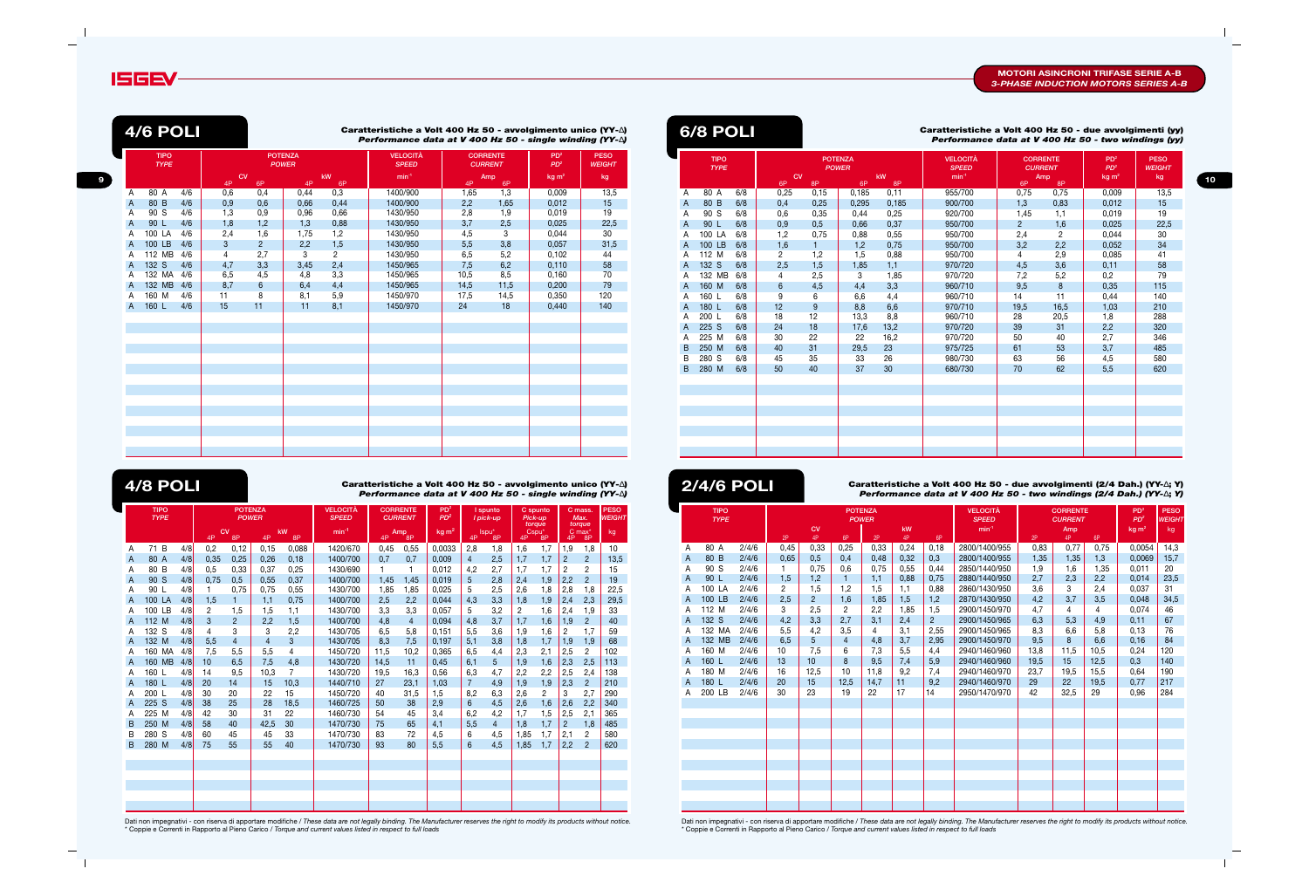**9**

#### **Caratteristiche a Volt 400 Hz 50 - due avvolgimenti (2/4 Dah.) (YY-**∆**; Y)** *Performance data at V 400 Hz 50 - two windings (2/4 Dah.) (YY-*∆**;** *Y)*

Dati non impegnativi - con riserva di apportare modifiche / *These data are not legally binding. The Manufacturer reserves the right to modify its products without notice.* \* Coppie e Correnti in Rapporto al Pieno Carico / *Torque and current values listed in respect to full loads*

Dati non impegnativi - con riserva di apportare modifiche / *These data are not legally binding. The Manufacturer reserves the right to modify its products without notice.* \* Coppie e Correnti in Rapporto al Pieno Carico / *Torque and current values listed in respect to full loads*

**Caratteristiche a Volt 400 Hz 50 - avvolgimento unico (YY-**∆**)** *Performance data at V 400 Hz 50 - single winding (YY-*∆*)*



**4/6 POLI**

|              | <b>TIPO</b><br><b>TYPE</b> |     |     | <b>POTENZA</b><br><b>POWER</b><br><b>CV</b><br>kW |      |                | <b>VELOCITÀ</b><br><b>SPEED</b> |      | <b>CORRENTE</b><br><b>CURRENT</b> | PD <sup>2</sup><br>PD <sup>2</sup> | <b>PESO</b><br><b>WEIGHT</b> |
|--------------|----------------------------|-----|-----|---------------------------------------------------|------|----------------|---------------------------------|------|-----------------------------------|------------------------------------|------------------------------|
|              |                            |     | 4P  | 6P                                                | 4P   | 6P             | $min-1$                         | 4P   | Amp<br>6P                         | kg m <sup>2</sup>                  | kg                           |
| Α            | 80 A                       | 4/6 | 0,6 | 0,4                                               | 0,44 | 0,3            | 1400/900                        | 1,65 | 1,3                               | 0,009                              | 13,5                         |
| A            | 80 B                       | 4/6 | 0,9 | 0,6                                               | 0,66 | 0,44           | 1400/900                        | 2,2  | 1,65                              | 0,012                              | 15                           |
| A            | 90 S                       | 4/6 | 1,3 | 0,9                                               | 0,96 | 0,66           | 1430/950                        | 2,8  | 1,9                               | 0,019                              | 19                           |
| $\mathsf{A}$ | 90 L                       | 4/6 | 1,8 | 1,2                                               | 1,3  | 0,88           | 1430/950                        | 3,7  | 2,5                               | 0,025                              | 22,5                         |
| A            | 100 LA                     | 4/6 | 2,4 | 1,6                                               | 1,75 | 1,2            | 1430/950                        | 4,5  | 3                                 | 0,044                              | 30                           |
| $\mathsf{A}$ | 100 LB                     | 4/6 | 3   | $\overline{2}$                                    | 2,2  | 1,5            | 1430/950                        | 5,5  | 3,8                               | 0,057                              | 31,5                         |
| Α            | 112 MB                     | 4/6 | 4   | 2,7                                               | 3    | $\overline{2}$ | 1430/950                        | 6,5  | 5,2                               | 0,102                              | 44                           |
| A            | 132 S                      | 4/6 | 4,7 | 3,3                                               | 3,45 | 2,4            | 1450/965                        | 7,5  | 6,2                               | 0,110                              | 58                           |
| A            | 132 MA                     | 4/6 | 6,5 | 4,5                                               | 4,8  | 3,3            | 1450/965                        | 10,5 | 8,5                               | 0,160                              | 70                           |
| A            | 132 MB                     | 4/6 | 8,7 | 6                                                 | 6,4  | 4,4            | 1450/965                        | 14,5 | 11,5                              | 0,200                              | 79                           |
| Α            | 160 M                      | 4/6 | 11  | 8                                                 | 8,1  | 5,9            | 1450/970                        | 17,5 | 14,5                              | 0,350                              | 120                          |
| $\mathsf{A}$ | 160 L                      | 4/6 | 15  | 11                                                | 11   | 8,1            | 1450/970                        | 24   | 18                                | 0,440                              | 140                          |
|              |                            |     |     |                                                   |      |                |                                 |      |                                   |                                    |                              |
|              |                            |     |     |                                                   |      |                |                                 |      |                                   |                                    |                              |
|              |                            |     |     |                                                   |      |                |                                 |      |                                   |                                    |                              |
|              |                            |     |     |                                                   |      |                |                                 |      |                                   |                                    |                              |
|              |                            |     |     |                                                   |      |                |                                 |      |                                   |                                    |                              |
|              |                            |     |     |                                                   |      |                |                                 |      |                                   |                                    |                              |
|              |                            |     |     |                                                   |      |                |                                 |      |                                   |                                    |                              |
|              |                            |     |     |                                                   |      |                |                                 |      |                                   |                                    |                              |
|              |                            |     |     |                                                   |      |                |                                 |      |                                   |                                    |                              |
|              |                            |     |     |                                                   |      |                |                                 |      |                                   |                                    |                              |
|              |                            |     |     |                                                   |      |                |                                 |      |                                   |                                    |                              |
|              |                            |     |     |                                                   |      |                |                                 |      |                                   |                                    |                              |
|              |                            |     |     |                                                   |      |                |                                 |      |                                   |                                    |                              |
|              |                            |     |     |                                                   |      |                |                                 |      |                                   |                                    |                              |

|   | <b>TIPO</b><br><b>TYPE</b> |       |                 |                |                | <b>POTENZA</b><br><b>POWER</b> |      |                | <b>VELOCITÀ</b><br><b>SPEED</b> |      | <b>CORRENTE</b><br><b>CURRENT</b> |      | PD <sup>2</sup><br>PD <sup>2</sup> | <b>PESO</b><br><b>WEIGHT</b> |
|---|----------------------------|-------|-----------------|----------------|----------------|--------------------------------|------|----------------|---------------------------------|------|-----------------------------------|------|------------------------------------|------------------------------|
|   |                            |       |                 | <b>CV</b>      |                |                                | kW   |                | $min-1$                         |      | Amp                               |      | kg m <sup>2</sup>                  | kg                           |
|   |                            |       | 2P              | 4P             | 6P             | 2P                             | 4P   | 6P             |                                 | 2P   | 4P                                | 6P   |                                    |                              |
| A | 80 A                       | 2/4/6 | 0,45            | 0,33           | 0,25           | 0.33                           | 0.24 | 0.18           | 2800/1400/955                   | 0,83 | 0.77                              | 0,75 | 0.0054                             | 14,3                         |
| A | 80 B                       | 2/4/6 | 0,65            | 0,5            | 0,4            | 0,48                           | 0,32 | 0,3            | 2800/1400/955                   | 1,35 | 1,35                              | 1,3  | 0,0069                             | 15,7                         |
| Α | 90 S                       | 2/4/6 | 1.              | 0,75           | 0,6            | 0,75                           | 0,55 | 0,44           | 2850/1440/950                   | 1,9  | 1,6                               | 1,35 | 0,011                              | 20                           |
| А | 90 L                       | 2/4/6 | 1,5             | 1,2            | $\mathbf{1}$   | 1,1                            | 0,88 | 0,75           | 2880/1440/950                   | 2,7  | 2,3                               | 2,2  | 0,014                              | 23,5                         |
| Α | 100 LA                     | 2/4/6 | $\overline{2}$  | 1,5            | 1,2            | 1,5                            | 1,1  | 0,88           | 2860/1430/950                   | 3,6  | 3                                 | 2,4  | 0.037                              | 31                           |
| A | 100 LB                     | 2/4/6 | 2,5             | $\overline{2}$ | 1,6            | 1,85                           | 1,5  | 1,2            | 2870/1430/950                   | 4,2  | 3,7                               | 3,5  | 0,048                              | 34,5                         |
| A | 112 M                      | 2/4/6 | 3               | 2,5            | $\mathbf{2}$   | 2,2                            | 1,85 | 1,5            | 2900/1450/970                   | 4,7  | $\overline{4}$                    | 4    | 0,074                              | 46                           |
| A | 132 S                      | 2/4/6 | 4,2             | 3,3            | 2,7            | 3,1                            | 2,4  | $\overline{2}$ | 2900/1450/965                   | 6,3  | 5,3                               | 4,9  | 0,11                               | 67                           |
| Α | 132 MA                     | 2/4/6 | 5,5             | 4,2            | 3,5            | 4                              | 3,1  | 2,55           | 2900/1450/965                   | 8,3  | 6,6                               | 5,8  | 0,13                               | 76                           |
| A | 132 MB                     | 2/4/6 | 6,5             | 5              | $\overline{4}$ | 4,8                            | 3,7  | 2,95           | 2900/1450/970                   | 9,5  | 8                                 | 6,6  | 0.16                               | 84                           |
| Α | 160 M                      | 2/4/6 | 10 <sup>1</sup> | 7,5            | 6              | 7,3                            | 5,5  | 4,4            | 2940/1460/960                   | 13,8 | 11,5                              | 10,5 | 0,24                               | 120                          |
| A | 160 L                      | 2/4/6 | 13              | 10             | 8              | 9,5                            | 7,4  | 5,9            | 2940/1460/960                   | 19,5 | 15                                | 12,5 | 0,3                                | 140                          |
| Α | 180 M                      | 2/4/6 | 16              | 12,5           | 10             | 11,8                           | 9,2  | 7,4            | 2940/1460/970                   | 23,7 | 19,5                              | 15,5 | 0,64                               | 190                          |
| A | 180 L                      | 2/4/6 | 20              | 15             | 12,5           | 14,7                           | 11   | 9,2            | 2940/1460/970                   | 29   | 22                                | 19,5 | 0,77                               | 217                          |
| Α | 200 LB                     | 2/4/6 | 30              | 23             | 19             | 22                             | 17   | 14             | 2950/1470/970                   | 42   | 32,5                              | 29   | 0,96                               | 284                          |
|   |                            |       |                 |                |                |                                |      |                |                                 |      |                                   |      |                                    |                              |
|   |                            |       |                 |                |                |                                |      |                |                                 |      |                                   |      |                                    |                              |
|   |                            |       |                 |                |                |                                |      |                |                                 |      |                                   |      |                                    |                              |
|   |                            |       |                 |                |                |                                |      |                |                                 |      |                                   |      |                                    |                              |
|   |                            |       |                 |                |                |                                |      |                |                                 |      |                                   |      |                                    |                              |
|   |                            |       |                 |                |                |                                |      |                |                                 |      |                                   |      |                                    |                              |
|   |                            |       |                 |                |                |                                |      |                |                                 |      |                                   |      |                                    |                              |
|   |                            |       |                 |                |                |                                |      |                |                                 |      |                                   |      |                                    |                              |
|   |                            |       |                 |                |                |                                |      |                |                                 |      |                                   |      |                                    |                              |
|   |                            |       |                 |                |                |                                |      |                |                                 |      |                                   |      |                                    |                              |
|   |                            |       |                 |                |                |                                |      |                |                                 |      |                                   |      |                                    |                              |

|                | <b>6/8 POLI</b>            |     |                |              |                                      |          | Caratteristiche a Volt 400 Hz 50 - due avvolgimenti (yy)<br>Performance data at V 400 Hz 50 - two windings (yy) |                |                                                |                                                         |                                    |
|----------------|----------------------------|-----|----------------|--------------|--------------------------------------|----------|-----------------------------------------------------------------------------------------------------------------|----------------|------------------------------------------------|---------------------------------------------------------|------------------------------------|
|                | <b>TIPO</b><br><b>TYPE</b> |     | CV<br>6P       | 8P           | <b>POTENZA</b><br><b>POWER</b><br>6P | kW<br>8P | <b>VELOCITÀ</b><br><b>SPEED</b><br>$min-1$                                                                      | 6P             | <b>CORRENTE</b><br><b>CURRENT</b><br>Amp<br>8P | PD <sup>2</sup><br>PD <sup>2</sup><br>kg m <sup>2</sup> | <b>PESO</b><br><b>WEIGHT</b><br>kg |
| A              | $\overline{80}$ A          | 6/8 | 0,25           | 0,15         | 0,185                                | 0,11     | 955/700                                                                                                         | 0,75           | 0,75                                           | 0,009                                                   | 13,5                               |
| A              | 80 B                       | 6/8 | 0,4            | 0,25         | 0,295                                | 0,185    | 900/700                                                                                                         | 1,3            | 0,83                                           | 0,012                                                   | 15                                 |
| Α              | 90 S                       | 6/8 | 0,6            | 0,35         | 0,44                                 | 0,25     | 920/700                                                                                                         | 1,45           | 1,1                                            | 0,019                                                   | 19                                 |
| A              | 90 L                       | 6/8 | 0,9            | 0,5          | 0.66                                 | 0,37     | 950/700                                                                                                         | $\overline{2}$ | 1,6                                            | 0,025                                                   | 22,5                               |
| A              | 100 LA                     | 6/8 | 1,2            | 0,75         | 0,88                                 | 0,55     | 950/700                                                                                                         | 2,4            | $\overline{2}$                                 | 0,044                                                   | 30                                 |
| A              | 100 LB                     | 6/8 | 1,6            | $\mathbf{1}$ | 1,2                                  | 0,75     | 950/700                                                                                                         | 3,2            | 2,2                                            | 0,052                                                   | 34                                 |
| A              | 112 M                      | 6/8 | $\overline{2}$ | 1,2          | 1,5                                  | 0,88     | 950/700                                                                                                         | 4              | 2,9                                            | 0.085                                                   | 41                                 |
| $\overline{A}$ | 132 S                      | 6/8 | 2,5            | 1,5          | 1,85                                 | 1,1      | 970/720                                                                                                         | 4,5            | 3,6                                            | 0,11                                                    | 58                                 |
| A              | 132 MB                     | 6/8 | 4              | 2,5          | 3                                    | 1,85     | 970/720                                                                                                         | 7,2            | 5,2                                            | 0,2                                                     | 79                                 |
| A              | 160 M                      | 6/8 | 6              | 4,5          | 4,4                                  | 3,3      | 960/710                                                                                                         | 9,5            | 8                                              | 0,35                                                    | 115                                |
| A              | 160 L                      | 6/8 | 9              | 6            | 6,6                                  | 4,4      | 960/710                                                                                                         | 14             | 11                                             | 0,44                                                    | 140                                |
| A              | 180 L                      | 6/8 | 12             | $9\,$        | 8,8                                  | 6,6      | 970/710                                                                                                         | 19,5           | 16,5                                           | 1,03                                                    | 210                                |
| A              | 200 L                      | 6/8 | 18             | 12           | 13,3                                 | 8,8      | 960/710                                                                                                         | 28             | 20,5                                           | 1,8                                                     | 288                                |
| A              | 225 S                      | 6/8 | 24             | 18           | 17,6                                 | 13,2     | 970/720                                                                                                         | 39             | 31                                             | 2,2                                                     | 320                                |
| A              | 225 M                      | 6/8 | 30             | 22           | 22                                   | 16,2     | 970/720                                                                                                         | 50             | 40                                             | 2,7                                                     | 346                                |
| B              | 250 M                      | 6/8 | 40             | 31           | 29,5                                 | 23       | 975/725                                                                                                         | 61             | 53                                             | 3,7                                                     | 485                                |
| B              | 280 S                      | 6/8 | 45             | 35           | 33                                   | 26       | 980/730                                                                                                         | 63             | 56                                             | 4,5                                                     | 580                                |
| B              | 280 M                      | 6/8 | 50             | 40           | 37                                   | 30       | 680/730                                                                                                         | 70             | 62                                             | 5,5                                                     | 620                                |
|                |                            |     |                |              |                                      |          |                                                                                                                 |                |                                                |                                                         |                                    |
|                |                            |     |                |              |                                      |          |                                                                                                                 |                |                                                |                                                         |                                    |
|                |                            |     |                |              |                                      |          |                                                                                                                 |                |                                                |                                                         |                                    |
|                |                            |     |                |              |                                      |          |                                                                                                                 |                |                                                |                                                         |                                    |
|                |                            |     |                |              |                                      |          |                                                                                                                 |                |                                                |                                                         |                                    |
|                |                            |     |                |              |                                      |          |                                                                                                                 |                |                                                |                                                         |                                    |
|                |                            |     |                |              |                                      |          |                                                                                                                 |                |                                                |                                                         |                                    |
|                |                            |     |                |              |                                      |          |                                                                                                                 |                |                                                |                                                         |                                    |

**Caratteristiche a Volt 400 Hz 50 - avvolgimento unico (YY-**∆**)** *Performance data at V 400 Hz 50 - single winding (YY-*∆*)*

|   | <b>TIPO</b><br><b>TYPE</b> |     | <b>POTENZA</b><br><b>POWER</b><br><b>CV</b><br>kW |                | <b>VELOCITÀ</b><br><b>SPEED</b> |       | <b>CORRENTE</b><br><b>CURRENT</b> | PD <sup>2</sup><br>PD <sup>2</sup> |                | I spunto<br>I pick-up | Pick-up        | C spunto<br>torque |                         | C mass.<br>Max.<br>torque | <b>PESO</b><br><b>WEIGHT</b> |                          |      |
|---|----------------------------|-----|---------------------------------------------------|----------------|---------------------------------|-------|-----------------------------------|------------------------------------|----------------|-----------------------|----------------|--------------------|-------------------------|---------------------------|------------------------------|--------------------------|------|
|   |                            |     | 4P                                                | 8P             | 4P                              | 8P    | $min^{-1}$                        | 4P                                 | Amp<br>8P      | kg <sub>m²</sub>      | 4P             | Ispu*<br>8P        | Cspu <sup>*</sup><br>4P | 8P                        | 4P                           | C max <sup>*</sup><br>8P | kg   |
| A | 71 B                       | 4/8 | 0,2                                               | 0,12           | 0,15                            | 0,088 | 1420/670                          | 0,45                               | 0,55           | 0,0033                | 2,8            | 1,8                | 1,6                     | 1,7                       | 1,9                          | 1,8                      | 10   |
| A | 80 A                       | 4/8 | 0,35                                              | 0,25           | 0,26                            | 0,18  | 1400/700                          | 0,7                                | 0,7            | 0,009                 | $\overline{4}$ | 2,5                | 1,7                     | 1,7                       | $\overline{2}$               | $\overline{2}$           | 13,5 |
| Α | 80 B                       | 4/8 | 0,5                                               | 0,33           | 0,37                            | 0,25  | 1430/690                          | 1                                  | 1              | 0,012                 | 4,2            | 2,7                | 1,7                     | 1,7                       | 2                            | 2                        | 15   |
| A | 90 S                       | 4/8 | 0.75                                              | 0,5            | 0,55                            | 0.37  | 1400/700                          | 1,45                               | 1,45           | 0.019                 | 5              | 2,8                | 2,4                     | 1,9                       | 2,2                          | $\overline{2}$           | 19   |
| A | 90 L                       | 4/8 | 1.                                                | 0.75           | 0,75                            | 0,55  | 1430/700                          | 1,85                               | 1,85           | 0,025                 | 5              | 2,5                | 2,6                     | 1,8                       | 2,8                          | 1,8                      | 22,5 |
| A | 100 LA                     | 4/8 | 1,5                                               |                | 1,1                             | 0,75  | 1400/700                          | 2,5                                | 2,2            | 0.044                 | 4,3            | 3,3                | 1,8                     | 1,9                       | 2,4                          | 2,3                      | 29,5 |
| Α | 100 LB                     | 4/8 | 2                                                 | 1,5            | 1,5                             | 1,1   | 1430/700                          | 3,3                                | 3,3            | 0,057                 | 5              | 3,2                | $\overline{2}$          | 1,6                       | 2,4                          | 1,9                      | 33   |
| A | 112 M                      | 4/8 | 3                                                 | $\overline{2}$ | 2,2                             | 1,5   | 1400/700                          | 4,8                                | $\overline{4}$ | 0.094                 | 4,8            | 3,7                | 1,7                     | 1,6                       | 1,9                          | $\overline{2}$           | 40   |
| A | 132 S                      | 4/8 | 4                                                 | 3              | 3                               | 2,2   | 1430/705                          | 6,5                                | 5,8            | 0,151                 | 5,5            | 3,6                | 1,9                     | 1,6                       | $\overline{2}$               | 1,7                      | 59   |
| A | 132 M                      | 4/8 | 5,5                                               | $\overline{4}$ | $\overline{4}$                  | 3     | 1430/705                          | 8,3                                | 7,5            | 0.197                 | 5,1            | 3,8                | 1,8                     | 1,7                       | 1,9                          | 1,9                      | 68   |
| A | 160 MA                     | 4/8 | 7,5                                               | 5,5            | 5,5                             | 4     | 1450/720                          | 11,5                               | 10,2           | 0.365                 | 6,5            | 4,4                | 2,3                     | 2,1                       | 2,5                          | $\overline{2}$           | 102  |
| A | 160 MB                     | 4/8 | 10                                                | 6,5            | 7,5                             | 4,8   | 1430/720                          | 14,5                               | 11             | 0,45                  | 6,1            | 5                  | 1,9                     | 1,6                       | 2,3                          | 2,5                      | 113  |
| A | 160 L                      | 4/8 | 14                                                | 9,5            | 10,3                            | 7     | 1430/720                          | 19,5                               | 16,3           | 0.56                  | 6,3            | 4,7                | 2,2                     | 2,2                       | 2,5                          | 2,4                      | 138  |
| A | 180 L                      | 4/8 | 20                                                | 14             | 15                              | 10,3  | 1440/710                          | 27                                 | 23,1           | 1,03                  | $\overline{7}$ | 4,9                | 1,9                     | 1,9                       | 2,3                          | $\overline{2}$           | 210  |
| A | 200 L                      | 4/8 | 30                                                | 20             | 22                              | 15    | 1450/720                          | 40                                 | 31,5           | 1,5                   | 8,2            | 6,3                | 2,6                     | 2                         | 3                            | 2,7                      | 290  |
| A | 225 S                      | 4/8 | 38                                                | 25             | 28                              | 18.5  | 1460/725                          | 50                                 | 38             | 2,9                   | 6              | 4,5                | 2,6                     | 1,6                       | 2,6                          | 2,2                      | 340  |
| Α | 225 M                      | 4/8 | 42                                                | 30             | 31                              | 22    | 1460/730                          | 54                                 | 45             | 3,4                   | 6,2            | 4,2                | 1,7                     | 1,5                       | 2,5                          | 2,1                      | 365  |
| В | 250 M                      | 4/8 | 58                                                | 40             | 42,5                            | 30    | 1470/730                          | 75                                 | 65             | 4,1                   | 5,5            | 4                  | 1,8                     | 1,7                       | $\overline{2}$               | 1.8                      | 485  |
| B | 280 S                      | 4/8 | 60                                                | 45             | 45                              | 33    | 1470/730                          | 83                                 | 72             | 4,5                   | 6              | 4,5                | 1,85                    | 1,7                       | 2,1                          | 2                        | 580  |
| B | 280 M                      | 4/8 | 75                                                | 55             | 55                              | 40    | 1470/730                          | 93                                 | 80             | 5,5                   | 6              | 4.5                | 1,85                    | 1.7                       | 2,2                          | $\overline{2}$           | 620  |
|   |                            |     |                                                   |                |                                 |       |                                   |                                    |                |                       |                |                    |                         |                           |                              |                          |      |
|   |                            |     |                                                   |                |                                 |       |                                   |                                    |                |                       |                |                    |                         |                           |                              |                          |      |
|   |                            |     |                                                   |                |                                 |       |                                   |                                    |                |                       |                |                    |                         |                           |                              |                          |      |
|   |                            |     |                                                   |                |                                 |       |                                   |                                    |                |                       |                |                    |                         |                           |                              |                          |      |
|   |                            |     |                                                   |                |                                 |       |                                   |                                    |                |                       |                |                    |                         |                           |                              |                          |      |
|   |                            |     |                                                   |                |                                 |       |                                   |                                    |                |                       |                |                    |                         |                           |                              |                          |      |

**2/4/6 POLI**

# **4/8 POLI**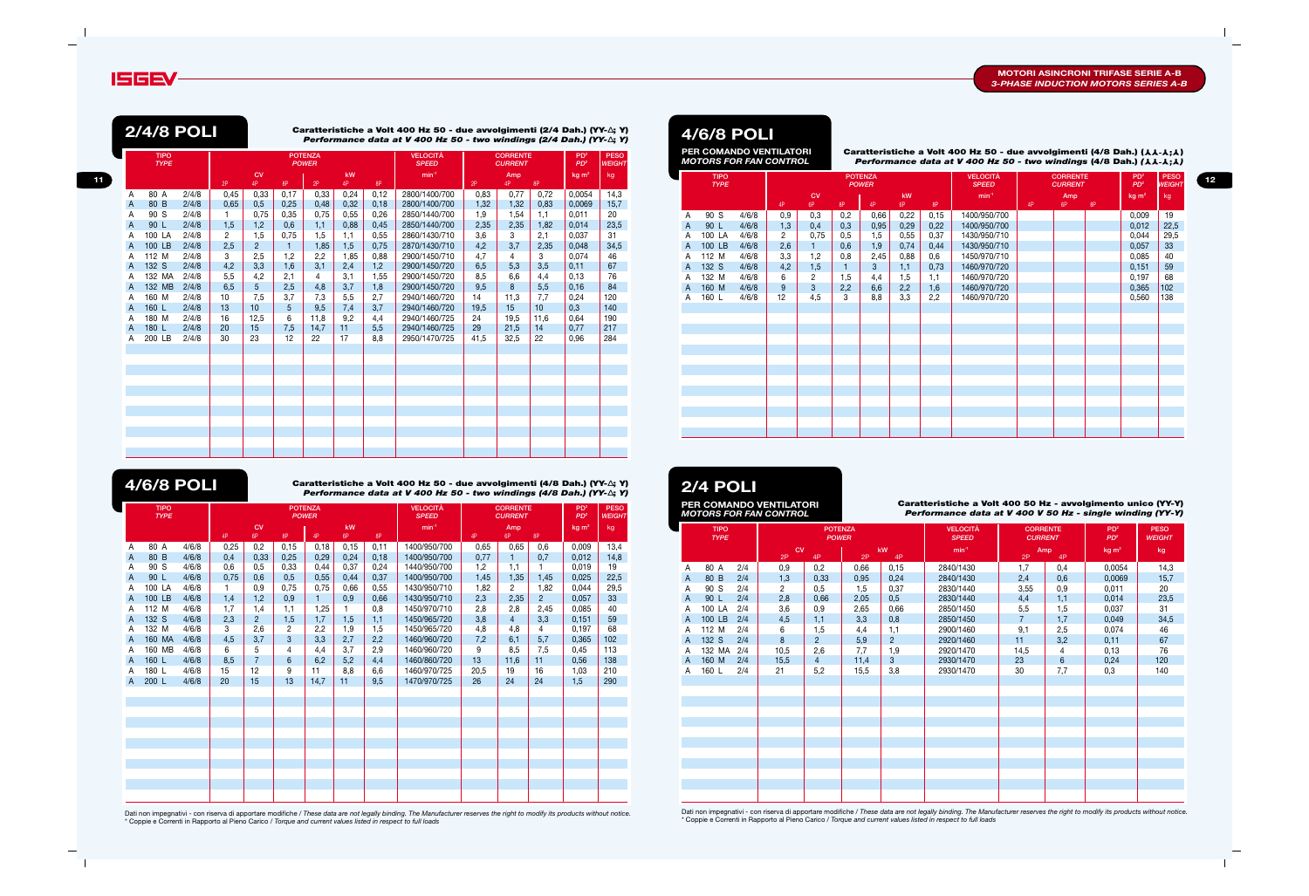**Caratteristiche a Volt 400 Hz 50 - due avvolgimenti (4/8 Dah.) (YY-**∆**; Y)** *Performance data at V 400 Hz 50 - two windings (4/8 Dah.) (YY-*∆**;** *Y)*

#### **Volt 400 Hz 50 - due avvolgimenti (4/8 Dah.) (11.4.1;1)** *Performance data at V 400 Hz 50 - two windings (4/8 Dah.) (*  $\lambda \lambda - \lambda$  *;*  $\lambda$  *)*



**11**

Dati non impegnativi - con riserva di apportare modifiche / *These data are not legally binding. The Manufacturer reserves the right to modify its products without notice.* \* Coppie e Correnti in Rapporto al Pieno Carico / *Torque and current values listed in respect to full loads*

Dati non impegnativi - con riserva di apportare modifiche / *These data are not legally binding. The Manufacturer reserves the right to modify its products without notice.* \* Coppie e Correnti in Rapporto al Pieno Carico / *Torque and current values listed in respect to full loads*

**Caratteristiche a Volt 400 Hz 50 - due avvolgimenti (2/4 Dah.) (YY-**∆**; Y)** *Performance data at V 400 Hz 50 - two windings (2/4 Dah.) (YY-*∆**;** *Y)*

| <b>TIPO</b><br><b>TYPE</b> |                                        |                                  | CV                              |                                        |                           |                                                                      |                                   | <b>VELOCITÀ</b><br><b>SPEED</b>    |                                                                              |                                          |                                                          | PD <sup>2</sup><br>PD <sup>2</sup>                     | <b>PESO</b><br><b>WEIGHT</b>     |
|----------------------------|----------------------------------------|----------------------------------|---------------------------------|----------------------------------------|---------------------------|----------------------------------------------------------------------|-----------------------------------|------------------------------------|------------------------------------------------------------------------------|------------------------------------------|----------------------------------------------------------|--------------------------------------------------------|----------------------------------|
|                            |                                        |                                  |                                 |                                        |                           | kW                                                                   |                                   | $min-1$                            |                                                                              | Amp                                      |                                                          | kg m <sup>2</sup>                                      | kg                               |
|                            |                                        |                                  |                                 |                                        |                           |                                                                      |                                   |                                    |                                                                              |                                          |                                                          |                                                        |                                  |
|                            | 4/6/8                                  | 0,25                             | 0,2                             | 0,15                                   | 0,18                      | 0,15                                                                 | 0,11                              |                                    | 0,65                                                                         |                                          | 0,6                                                      | 0,009                                                  | 13,4                             |
|                            |                                        |                                  |                                 |                                        |                           |                                                                      |                                   |                                    |                                                                              |                                          |                                                          |                                                        | 14,8                             |
|                            |                                        |                                  |                                 |                                        |                           |                                                                      |                                   |                                    |                                                                              |                                          | 1.                                                       |                                                        | 19                               |
|                            |                                        |                                  |                                 |                                        |                           |                                                                      |                                   |                                    |                                                                              |                                          | 1,45                                                     |                                                        | 22,5                             |
|                            |                                        |                                  |                                 | 0,75                                   |                           | 0,66                                                                 | 0,55                              | 1430/950/710                       |                                                                              |                                          |                                                          |                                                        | 29,5                             |
| 100 LB                     | 4/6/8                                  |                                  |                                 | 0,9                                    | 1.                        |                                                                      |                                   | 1430/950/710                       |                                                                              |                                          | $\overline{2}$                                           | 0.057                                                  | 33                               |
| 112 M                      | 4/6/8                                  | 1,7                              | 1,4                             | 1,1                                    | 1,25                      |                                                                      | 0,8                               |                                    | 2,8                                                                          | 2,8                                      | 2,45                                                     | 0,085                                                  | 40                               |
| 132 S                      | 4/6/8                                  | 2,3                              | $\overline{2}$                  | 1,5                                    | 1,7                       | 1,5                                                                  | 1,1                               | 1450/965/720                       | 3,8                                                                          | $\overline{4}$                           | 3,3                                                      | 0,151                                                  | 59                               |
| 132 M                      | 4/6/8                                  | 3                                | 2,6                             | 2                                      | 2,2                       | 1,9                                                                  | 1,5                               | 1450/965/720                       | 4,8                                                                          | 4,8                                      | 4                                                        | 0,197                                                  | 68                               |
| 160 MA                     | 4/6/8                                  | 4,5                              | 3,7                             | 3                                      | 3,3                       | 2,7                                                                  | 2,2                               | 1460/960/720                       | 7,2                                                                          | 6,1                                      | 5,7                                                      | 0,365                                                  | 102                              |
| 160 MB                     | 4/6/8                                  | 6                                | 5                               | 4                                      | 4,4                       | 3,7                                                                  | 2,9                               | 1460/960/720                       | 9                                                                            | 8,5                                      | 7,5                                                      | 0,45                                                   | 113                              |
| 160 L                      | 4/6/8                                  | 8,5                              | $\overline{7}$                  | 6                                      | 6,2                       | 5,2                                                                  | 4,4                               | 1460/860/720                       | 13                                                                           | 11,6                                     | 11                                                       | 0,56                                                   | 138                              |
| 180 L                      | 4/6/8                                  | 15                               | 12                              | 9                                      | 11                        | 8,8                                                                  | 6,6                               | 1460/970/725                       | 20,5                                                                         | 19                                       | 16                                                       | 1,03                                                   | 210                              |
| 200 L                      | 4/6/8                                  | 20                               | 15                              | 13                                     | 14,7                      | 11                                                                   | 9,5                               | 1470/970/725                       | 26                                                                           | 24                                       | 24                                                       | 1,5                                                    | 290                              |
|                            |                                        |                                  |                                 |                                        |                           |                                                                      |                                   |                                    |                                                                              |                                          |                                                          |                                                        |                                  |
|                            |                                        |                                  |                                 |                                        |                           |                                                                      |                                   |                                    |                                                                              |                                          |                                                          |                                                        |                                  |
|                            |                                        |                                  |                                 |                                        |                           |                                                                      |                                   |                                    |                                                                              |                                          |                                                          |                                                        |                                  |
|                            |                                        |                                  |                                 |                                        |                           |                                                                      |                                   |                                    |                                                                              |                                          |                                                          |                                                        |                                  |
|                            |                                        |                                  |                                 |                                        |                           |                                                                      |                                   |                                    |                                                                              |                                          |                                                          |                                                        |                                  |
|                            |                                        |                                  |                                 |                                        |                           |                                                                      |                                   |                                    |                                                                              |                                          |                                                          |                                                        |                                  |
|                            |                                        |                                  |                                 |                                        |                           |                                                                      |                                   |                                    |                                                                              |                                          |                                                          |                                                        |                                  |
|                            |                                        |                                  |                                 |                                        |                           |                                                                      |                                   |                                    |                                                                              |                                          |                                                          |                                                        |                                  |
|                            |                                        |                                  |                                 |                                        |                           |                                                                      |                                   |                                    |                                                                              |                                          |                                                          |                                                        |                                  |
|                            |                                        |                                  |                                 |                                        |                           |                                                                      |                                   |                                    |                                                                              |                                          |                                                          |                                                        |                                  |
|                            |                                        |                                  |                                 |                                        |                           |                                                                      |                                   |                                    |                                                                              |                                          |                                                          |                                                        |                                  |
|                            | 80 A<br>80 B<br>90 S<br>90 L<br>100 LA | 4/6/8<br>4/6/8<br>4/6/8<br>4/6/8 | 4P<br>0,4<br>0,6<br>0,75<br>1,4 | 6P<br>0,33<br>0,5<br>0,6<br>0,9<br>1,2 | 8P<br>0,25<br>0,33<br>0,5 | <b>POTENZA</b><br><b>POWER</b><br>4P<br>0,29<br>0,44<br>0,55<br>0,75 | 6P<br>0,24<br>0,37<br>0,44<br>0,9 | 8P<br>0,18<br>0,24<br>0,37<br>0,66 | 1400/950/700<br>1400/950/700<br>1440/950/700<br>1400/950/700<br>1450/970/710 | 4P<br>0,77<br>1,2<br>1,45<br>1,82<br>2,3 | 6P<br>0,65<br>1<br>1,1<br>1,35<br>$\overline{2}$<br>2,35 | <b>CORRENTE</b><br><b>CURRENT</b><br>8P<br>0,7<br>1,82 | 0,012<br>0,019<br>0,025<br>0,044 |

|   | <b>TIPO</b><br><b>TYPE</b> |       |                |                | <b>POTENZA</b><br><b>POWER</b> |      |      | <b>VELOCITÀ</b><br><b>SPEED</b> |               | <b>CORRENTE</b><br><b>CURRENT</b> |      | PD <sup>2</sup><br>PD <sup>2</sup> | <b>PESO</b><br><b>WEIGHT</b> |      |
|---|----------------------------|-------|----------------|----------------|--------------------------------|------|------|---------------------------------|---------------|-----------------------------------|------|------------------------------------|------------------------------|------|
|   |                            |       |                | <b>CV</b>      |                                |      | kW   |                                 | $min-1$       |                                   | Amp  |                                    | kg m <sup>2</sup>            | kg   |
|   |                            |       | 2P             | 4P             | 8P                             | 2P   | 4P   | 8P                              |               | 2P                                | 4P   | 8P                                 |                              |      |
| Α | 80 A                       | 2/4/8 | 0,45           | 0,33           | 0,17                           | 0,33 | 0,24 | 0,12                            | 2800/1400/700 | 0,83                              | 0,77 | 0,72                               | 0.0054                       | 14,3 |
| A | 80 B                       | 2/4/8 | 0,65           | 0,5            | 0,25                           | 0,48 | 0,32 | 0,18                            | 2800/1400/700 | 1,32                              | 1,32 | 0,83                               | 0,0069                       | 15,7 |
| A | 90 S                       | 2/4/8 | 1              | 0.75           | 0,35                           | 0.75 | 0,55 | 0,26                            | 2850/1440/700 | 1,9                               | 1,54 | 1,1                                | 0,011                        | 20   |
| A | 90 L                       | 2/4/8 | 1,5            | 1,2            | 0,6                            | 1,1  | 0,88 | 0,45                            | 2850/1440/700 | 2,35                              | 2,35 | 1,82                               | 0.014                        | 23,5 |
| Α | 100 LA                     | 2/4/8 | $\overline{2}$ | 1,5            | 0,75                           | 1,5  | 1,1  | 0,55                            | 2860/1430/710 | 3,6                               | 3    | 2,1                                | 0,037                        | 31   |
| A | 100 LB                     | 2/4/8 | 2,5            | $\overline{2}$ | $\mathbf{1}$                   | 1,85 | 1,5  | 0,75                            | 2870/1430/710 | 4,2                               | 3,7  | 2,35                               | 0,048                        | 34,5 |
| Α | 112 M                      | 2/4/8 | 3              | 2,5            | 1,2                            | 2,2  | 1,85 | 0,88                            | 2900/1450/710 | 4,7                               | 4    | 3                                  | 0,074                        | 46   |
| A | 132 S                      | 2/4/8 | 4,2            | 3,3            | 1,6                            | 3,1  | 2,4  | 1,2                             | 2900/1450/720 | 6,5                               | 5,3  | 3,5                                | 0,11                         | 67   |
| Α | 132 MA                     | 2/4/8 | 5,5            | 4,2            | 2,1                            | 4    | 3,1  | 1,55                            | 2900/1450/720 | 8,5                               | 6,6  | 4,4                                | 0, 13                        | 76   |
| A | 132 MB                     | 2/4/8 | 6,5            | 5              | 2,5                            | 4,8  | 3,7  | 1,8                             | 2900/1450/720 | 9,5                               | 8    | 5,5                                | 0,16                         | 84   |
| Α | 160 M                      | 2/4/8 | 10             | 7,5            | 3,7                            | 7,3  | 5,5  | 2,7                             | 2940/1460/720 | 14                                | 11,3 | 7,7                                | 0,24                         | 120  |
| A | 160 L                      | 2/4/8 | 13             | 10             | 5                              | 9,5  | 7,4  | 3,7                             | 2940/1460/720 | 19,5                              | 15   | 10                                 | 0,3                          | 140  |
| Α | 180 M                      | 2/4/8 | 16             | 12,5           | 6                              | 11,8 | 9,2  | 4,4                             | 2940/1460/725 | 24                                | 19,5 | 11,6                               | 0,64                         | 190  |
| A | 180 L                      | 2/4/8 | 20             | 15             | 7,5                            | 14,7 | 11   | 5,5                             | 2940/1460/725 | 29                                | 21,5 | 14                                 | 0,77                         | 217  |
| Α | 200 LB                     | 2/4/8 | 30             | 23             | 12                             | 22   | 17   | 8,8                             | 2950/1470/725 | 41,5                              | 32,5 | 22                                 | 0,96                         | 284  |
|   |                            |       |                |                |                                |      |      |                                 |               |                                   |      |                                    |                              |      |
|   |                            |       |                |                |                                |      |      |                                 |               |                                   |      |                                    |                              |      |
|   |                            |       |                |                |                                |      |      |                                 |               |                                   |      |                                    |                              |      |
|   |                            |       |                |                |                                |      |      |                                 |               |                                   |      |                                    |                              |      |
|   |                            |       |                |                |                                |      |      |                                 |               |                                   |      |                                    |                              |      |
|   |                            |       |                |                |                                |      |      |                                 |               |                                   |      |                                    |                              |      |
|   |                            |       |                |                |                                |      |      |                                 |               |                                   |      |                                    |                              |      |
|   |                            |       |                |                |                                |      |      |                                 |               |                                   |      |                                    |                              |      |
|   |                            |       |                |                |                                |      |      |                                 |               |                                   |      |                                    |                              |      |
|   |                            |       |                |                |                                |      |      |                                 |               |                                   |      |                                    |                              |      |
|   |                            |       |                |                |                                |      |      |                                 |               |                                   |      |                                    |                              |      |

## **2/4 POLI**

#### **Caratteristiche a Volt 400 50 Hz - avvolgimento unico (YY-Y)** *Performance data at V 400 V 50 Hz - single winding (YY-Y)*

|   | <b>TIPO</b> |             |     |                   |                                                          |      |                                |      | <b>VELOCITÀ</b> |              |           | PD <sup>2</sup>                         | <b>PES</b><br><b>WEIGF</b>                                                                                                                                                                        |
|---|-------------|-------------|-----|-------------------|----------------------------------------------------------|------|--------------------------------|------|-----------------|--------------|-----------|-----------------------------------------|---------------------------------------------------------------------------------------------------------------------------------------------------------------------------------------------------|
|   |             |             | 4P  | <b>CV</b><br>6P   | 8P                                                       | 4P   | kW<br>6P                       |      | $min-1$         | 4P           | Amp<br>6P | $\text{kg m}^2$                         | kg                                                                                                                                                                                                |
| A | 90 S        | 4/6/8       | 0,9 | 0,3               | 0,2                                                      | 0.66 | 0,22                           | 0,15 | 1400/950/700    |              |           | 0,009                                   | 19                                                                                                                                                                                                |
| A | 90 L        | 4/6/8       | 1,3 | 0,4               | 0,3                                                      | 0,95 | 0,29                           | 0,22 | 1400/950/700    |              |           | 0,012                                   | 22,5                                                                                                                                                                                              |
| A | 100 LA      | 4/6/8       | 2   | 0,75              | 0.5                                                      | 1,5  | 0,55                           | 0,37 | 1430/950/710    |              |           | 0,044                                   | 29,5                                                                                                                                                                                              |
| A | 100 LB      | 4/6/8       | 2,6 |                   | 0,6                                                      | 1,9  | 0,74                           | 0,44 | 1430/950/710    |              |           | 0,057                                   | 33                                                                                                                                                                                                |
| A | 112 M       | 4/6/8       | 3,3 | 1,2               | 0,8                                                      | 2,45 | 0,88                           | 0,6  | 1450/970/710    |              |           | 0,085                                   | 40                                                                                                                                                                                                |
| A | 132S        | 4/6/8       | 4,2 | 1,5               |                                                          | 3    | 1,1                            | 0,73 | 1460/970/720    |              |           | 0,151                                   | 59                                                                                                                                                                                                |
| A | 132 M       | 4/6/8       | 6   | 2                 | 1,5                                                      | 4,4  | 1,5                            | 1,1  | 1460/970/720    |              |           | 0,197                                   | 68                                                                                                                                                                                                |
| A | 160 M       | 4/6/8       | 9   | 3                 | 2,2                                                      | 6,6  | 2,2                            | 1,6  | 1460/970/720    |              |           | 0,365                                   | 102                                                                                                                                                                                               |
| A | 160 L       | 4/6/8       | 12  | 4,5               | 3                                                        | 8,8  | 3,3                            | 2,2  | 1460/970/720    |              |           | 0,560                                   | 138                                                                                                                                                                                               |
|   |             |             |     |                   |                                                          |      |                                |      |                 |              |           |                                         |                                                                                                                                                                                                   |
|   |             |             |     |                   |                                                          |      |                                |      |                 |              |           |                                         |                                                                                                                                                                                                   |
|   |             |             |     |                   |                                                          |      |                                |      |                 |              |           |                                         |                                                                                                                                                                                                   |
|   |             |             |     |                   |                                                          |      |                                |      |                 |              |           |                                         |                                                                                                                                                                                                   |
|   |             |             |     |                   |                                                          |      |                                |      |                 |              |           |                                         |                                                                                                                                                                                                   |
|   |             |             |     |                   |                                                          |      |                                |      |                 |              |           |                                         |                                                                                                                                                                                                   |
|   |             | <b>TYPE</b> |     | <b>4/6/8 POLI</b> | PER COMANDO VENTILATORI<br><b>MOTORS FOR FAN CONTROL</b> |      | <b>POTENZA</b><br><b>POWER</b> |      | 8P              | <b>SPEED</b> |           | <b>CORRENTE</b><br><b>CURRENT</b><br>8P | Caratteristiche a Volt 400 Hz 50 - due avvolgimenti (4/8 Dah.) (11-1;1<br>Performance data at V 400 Hz 50 - two windings (4/8 Dah.) ( $\lambda\lambda$ - $\lambda$ ; $\lambda$<br>PD <sup>2</sup> |

**PER COMANDO VENTILATORI** *MOTORS FOR FAN CONTROL*

|   | <b>TIPO</b><br><b>TYPE</b> |     |                 | <b>POTENZA</b><br><b>POWER</b> |      |                | <b>VELOCITÀ</b><br><b>SPEED</b> | <b>CORRENTE</b><br><b>CURRENT</b> |                | PD <sup>2</sup><br>PD <sup>2</sup> | <b>PESO</b><br><b>WEIGHT</b> |
|---|----------------------------|-----|-----------------|--------------------------------|------|----------------|---------------------------------|-----------------------------------|----------------|------------------------------------|------------------------------|
|   |                            |     | <b>CV</b><br>2P | 4P                             | 2P   | kW<br>4P       | $min-1$                         | 2P                                | Amp<br>4P      | kg m <sup>2</sup>                  | kg                           |
| Α | 80 A                       | 2/4 | 0,9             | 0,2                            | 0,66 | 0, 15          | 2840/1430                       | 1,7                               | 0,4            | 0,0054                             | 14,3                         |
| A | 80 B                       | 2/4 | 1,3             | 0,33                           | 0,95 | 0,24           | 2840/1430                       | 2,4                               | 0,6            | 0,0069                             | 15,7                         |
| Α | 90 S                       | 2/4 | $\overline{2}$  | 0,5                            | 1,5  | 0,37           | 2830/1440                       | 3,55                              | 0,9            | 0,011                              | 20                           |
| A | 90 L                       | 2/4 | 2,8             | 0,66                           | 2,05 | 0,5            | 2830/1440                       | 4,4                               | 1,1            | 0,014                              | 23,5                         |
| A | 100 LA                     | 2/4 | 3,6             | 0,9                            | 2,65 | 0,66           | 2850/1450                       | 5,5                               | 1,5            | 0,037                              | 31                           |
| A | 100 LB                     | 2/4 | 4,5             | 1,1                            | 3,3  | 0,8            | 2850/1450                       | $\overline{7}$                    | 1,7            | 0,049                              | 34,5                         |
| A | 112 M                      | 2/4 | 6               | 1,5                            | 4,4  | 1,1            | 2900/1460                       | 9,1                               | 2,5            | 0,074                              | 46                           |
| A | 132 S                      | 2/4 | 8               | $\overline{2}$                 | 5,9  | $\overline{2}$ | 2920/1460                       | 11                                | 3,2            | 0,11                               | 67                           |
| Α | 132 MA                     | 2/4 | 10,5            | 2,6                            | 7,7  | 1,9            | 2920/1470                       | 14,5                              | 4              | 0,13                               | 76                           |
| A | 160 M                      | 2/4 | 15,5            | $\overline{4}$                 | 11,4 | $\mathbf{3}$   | 2930/1470                       | 23                                | $6\phantom{1}$ | 0,24                               | 120                          |
| A | 160 L                      | 2/4 | 21              | 5,2                            | 15,5 | 3,8            | 2930/1470                       | 30                                | 7,7            | 0,3                                | 140                          |
|   |                            |     |                 |                                |      |                |                                 |                                   |                |                                    |                              |
|   |                            |     |                 |                                |      |                |                                 |                                   |                |                                    |                              |
|   |                            |     |                 |                                |      |                |                                 |                                   |                |                                    |                              |
|   |                            |     |                 |                                |      |                |                                 |                                   |                |                                    |                              |
|   |                            |     |                 |                                |      |                |                                 |                                   |                |                                    |                              |
|   |                            |     |                 |                                |      |                |                                 |                                   |                |                                    |                              |
|   |                            |     |                 |                                |      |                |                                 |                                   |                |                                    |                              |
|   |                            |     |                 |                                |      |                |                                 |                                   |                |                                    |                              |
|   |                            |     |                 |                                |      |                |                                 |                                   |                |                                    |                              |
|   |                            |     |                 |                                |      |                |                                 |                                   |                |                                    |                              |
|   |                            |     |                 |                                |      |                |                                 |                                   |                |                                    |                              |
|   |                            |     |                 |                                |      |                |                                 |                                   |                |                                    |                              |

| <b>2/4/8 POLI</b> |  |  |
|-------------------|--|--|
|                   |  |  |

# **4/6/8 POLI**

| <b>TIPO</b><br><b>TYPE</b> |       | CV             |              |     | <b>POTENZA</b><br><b>POWER</b> |      |      | <b>VELOCITÀ</b><br><b>SPEED</b> |    | <b>CORRENTE</b><br><b>CURRENT</b> |    | PD <sup>2</sup><br>PD <sup>2</sup> | <b>PESO</b><br><b>WEIGHT</b> |
|----------------------------|-------|----------------|--------------|-----|--------------------------------|------|------|---------------------------------|----|-----------------------------------|----|------------------------------------|------------------------------|
|                            |       |                |              |     |                                | kW   |      | $min-1$                         |    | Amp                               |    | $kg \, m^2$                        | kg                           |
|                            |       | 4P             | 6P           | 8P  | 4P                             | 6P   | 8P   |                                 | 4P | 6P                                | 8P |                                    |                              |
| S                          | 4/6/8 | 0,9            | 0,3          | 0,2 | 0,66                           | 0,22 | 0,15 | 1400/950/700                    |    |                                   |    | 0,009                              | 19                           |
| L                          | 4/6/8 | 1,3            | 0,4          | 0,3 | 0,95                           | 0,29 | 0,22 | 1400/950/700                    |    |                                   |    | 0,012                              | 22,5                         |
| LA                         | 4/6/8 | $\overline{2}$ | 0,75         | 0,5 | 1,5                            | 0,55 | 0,37 | 1430/950/710                    |    |                                   |    | 0,044                              | 29,5                         |
| <b>LB</b>                  | 4/6/8 | 2,6            | 1            | 0,6 | 1,9                            | 0,74 | 0,44 | 1430/950/710                    |    |                                   |    | 0,057                              | 33                           |
| M                          | 4/6/8 | 3,3            | 1,2          | 0,8 | 2,45                           | 0,88 | 0,6  | 1450/970/710                    |    |                                   |    | 0,085                              | 40                           |
| S                          | 4/6/8 | 4,2            | 1,5          | 1   | 3                              | 1,1  | 0,73 | 1460/970/720                    |    |                                   |    | 0,151                              | 59                           |
| M                          | 4/6/8 | 6              | 2            | 1,5 | 4,4                            | 1,5  | 1,1  | 1460/970/720                    |    |                                   |    | 0,197                              | 68                           |
| M                          | 4/6/8 | 9              | $\mathbf{3}$ | 2,2 | 6,6                            | 2,2  | 1,6  | 1460/970/720                    |    |                                   |    | 0,365                              | 102                          |
| L                          | 4/6/8 | 12             | 4,5          | 3   | 8,8                            | 3,3  | 2,2  | 1460/970/720                    |    |                                   |    | 0,560                              | 138                          |
|                            |       |                |              |     |                                |      |      |                                 |    |                                   |    |                                    |                              |
|                            |       |                |              |     |                                |      |      |                                 |    |                                   |    |                                    |                              |
|                            |       |                |              |     |                                |      |      |                                 |    |                                   |    |                                    |                              |
|                            |       |                |              |     |                                |      |      |                                 |    |                                   |    |                                    |                              |
|                            |       |                |              |     |                                |      |      |                                 |    |                                   |    |                                    |                              |
|                            |       |                |              |     |                                |      |      |                                 |    |                                   |    |                                    |                              |
|                            |       |                |              |     |                                |      |      |                                 |    |                                   |    |                                    |                              |
|                            |       |                |              |     |                                |      |      |                                 |    |                                   |    |                                    |                              |
|                            |       |                |              |     |                                |      |      |                                 |    |                                   |    |                                    |                              |
|                            |       |                |              |     |                                |      |      |                                 |    |                                   |    |                                    |                              |
|                            |       |                |              |     |                                |      |      |                                 |    |                                   |    |                                    |                              |
|                            |       |                |              |     |                                |      |      |                                 |    |                                   |    |                                    |                              |
|                            |       |                |              |     |                                |      |      |                                 |    |                                   |    |                                    |                              |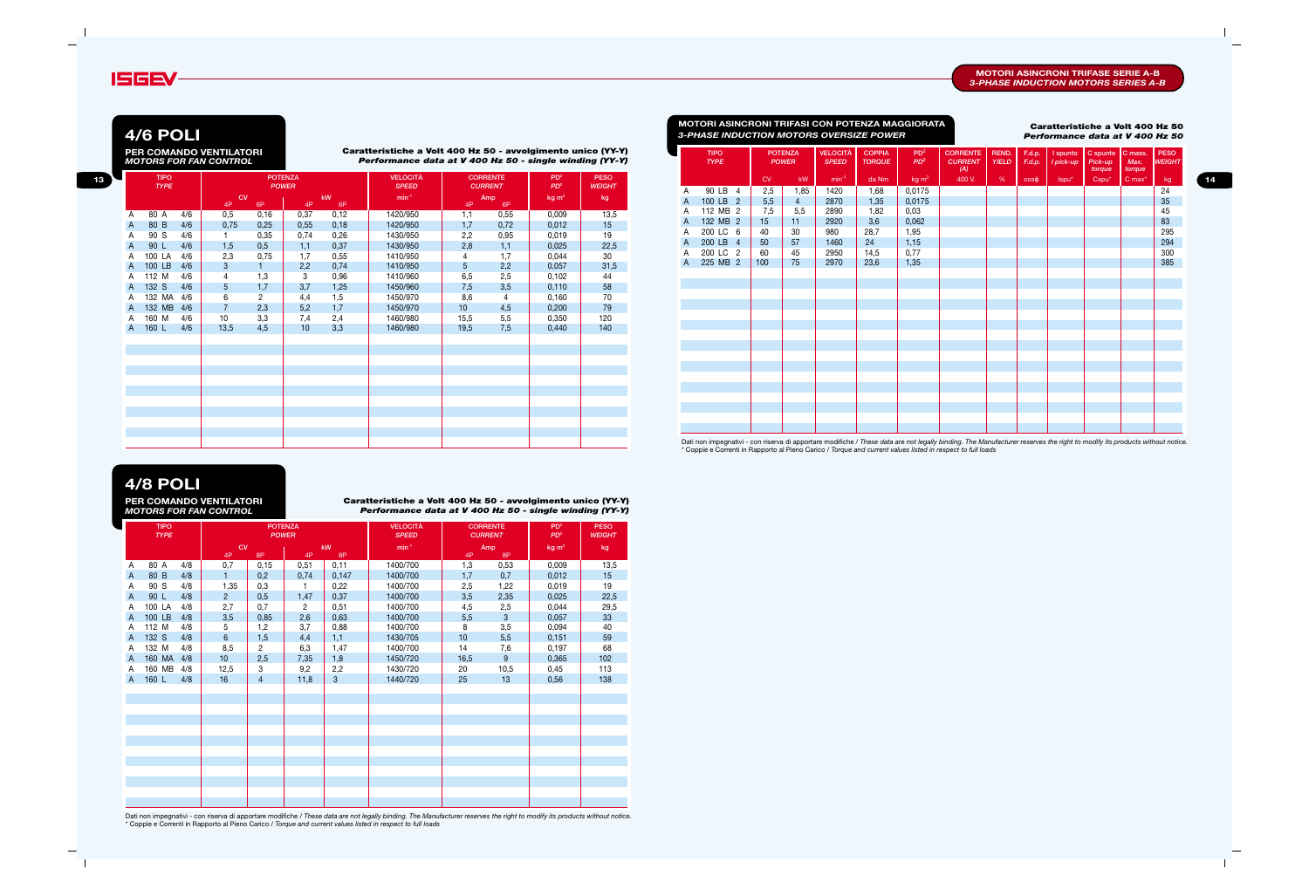#### **MOTORI ASINCRONI TRIFASE SERIE A-B** *3-PHASE INDUCTION MOTORS SERIES A-B*

## **4/8 POLI**

**Caratteristiche a Volt 400 Hz 50 - avvolgimento unico (YY-Y)** *Performance data at V 400 Hz 50 - single winding (YY-Y)*

**PER COMANDO VENTILATORI** *MOTORS FOR FAN CONTROL*

|   | <b>TIPO</b><br><b>TYPE</b> |     |                 | <b>POWER</b>   | <b>POTENZA</b> |                | <b>VELOCITÀ</b><br><b>SPEED</b> |      | <b>CORRENTE</b><br><b>CURRENT</b> | PD <sup>2</sup><br>PD <sup>2</sup> | <b>PESO</b><br><b>WEIGHT</b> |
|---|----------------------------|-----|-----------------|----------------|----------------|----------------|---------------------------------|------|-----------------------------------|------------------------------------|------------------------------|
|   |                            |     | <b>CV</b><br>4P | 8P             | 4P             | kW<br>8P       | $min-1$                         | 4P   | Amp<br>8P                         | kg m <sup>2</sup>                  | kg                           |
| Α | 80 A                       | 4/8 | 0,7             | 0,15           | 0,51           | 0,11           | 1400/700                        | 1,3  | 0,53                              | 0,009                              | 13,5                         |
| A | 80 B                       | 4/8 | $\mathbf{1}$    | 0,2            | 0,74           | 0,147          | 1400/700                        | 1,7  | 0,7                               | 0,012                              | 15                           |
| Α | 90 S                       | 4/8 | 1,35            | 0,3            | 1              | 0,22           | 1400/700                        | 2,5  | 1,22                              | 0,019                              | 19                           |
| A | 90 L                       | 4/8 | 2 <sup>1</sup>  | 0,5            | 1,47           | 0,37           | 1400/700                        | 3,5  | 2,35                              | 0,025                              | 22,5                         |
| A | 100 LA                     | 4/8 | 2,7             | 0,7            | $\overline{2}$ | 0,51           | 1400/700                        | 4,5  | 2,5                               | 0,044                              | 29,5                         |
| A | 100 LB                     | 4/8 | 3,5             | 0,85           | 2,6            | 0,63           | 1400/700                        | 5,5  | $\sqrt{3}$                        | 0,057                              | 33                           |
| A | 112 M                      | 4/8 | 5               | 1,2            | 3,7            | 0,88           | 1400/700                        | 8    | 3,5                               | 0,094                              | 40                           |
| A | 132 S                      | 4/8 | $6\phantom{a}$  | 1,5            | 4,4            | 1,1            | 1430/705                        | 10   | 5,5                               | 0,151                              | 59                           |
| Α | 132 M                      | 4/8 | 8,5             | $\overline{2}$ | 6,3            | 1,47           | 1400/700                        | 14   | 7,6                               | 0,197                              | 68                           |
| A | 160 MA                     | 4/8 | 10 <sup>1</sup> | 2,5            | 7,35           | 1,8            | 1450/720                        | 16,5 | 9                                 | 0,365                              | 102                          |
| Α | 160 MB                     | 4/8 | 12,5            | 3              | 9,2            | 2,2            | 1430/720                        | 20   | 10,5                              | 0,45                               | 113                          |
| A | 160 L                      | 4/8 | 16              | 4              | 11,8           | 3 <sup>5</sup> | 1440/720                        | 25   | 13                                | 0,56                               | 138                          |
|   |                            |     |                 |                |                |                |                                 |      |                                   |                                    |                              |
|   |                            |     |                 |                |                |                |                                 |      |                                   |                                    |                              |
|   |                            |     |                 |                |                |                |                                 |      |                                   |                                    |                              |
|   |                            |     |                 |                |                |                |                                 |      |                                   |                                    |                              |
|   |                            |     |                 |                |                |                |                                 |      |                                   |                                    |                              |
|   |                            |     |                 |                |                |                |                                 |      |                                   |                                    |                              |
|   |                            |     |                 |                |                |                |                                 |      |                                   |                                    |                              |
|   |                            |     |                 |                |                |                |                                 |      |                                   |                                    |                              |
|   |                            |     |                 |                |                |                |                                 |      |                                   |                                    |                              |
|   |                            |     |                 |                |                |                |                                 |      |                                   |                                    |                              |
|   |                            |     |                 |                |                |                |                                 |      |                                   |                                    |                              |
|   |                            |     |                 |                |                |                |                                 |      |                                   |                                    |                              |



**4/6 POLI PER COMANDO VENTILATORI** *MOTORS FOR FAN CONTROL*

|  |                            |     | PER COMANDO VENTILATORI<br><b>MOTORS FOR FAN CONTROL</b> |              |                 |           | Caratteristiche a Volt 400 Hz 50 - avvolgimento unico (YY-Y)<br>Performance data at V 400 Hz 50 - single winding (YY-Y) |               |                 |                  |               |              | <b>TIPO</b><br><b>TYPE</b> |           | POTENZA<br><b>POWER</b> | VELOCITÀ<br><b>SPEED</b> | <b>COPPIA</b><br><b>TORQUE</b> | PD <sup>2</sup><br>$PD^2$ | <b>CORRENTE</b><br><b>CURRENT</b><br>(A) | REND. | F.d.p.    | YIELD F.d.p. Tpick-up Pick-up | I spunto   C spunto   C mass.<br>torque | Max.<br>torque                | <b>PESO</b><br><b>WEIGHT</b> |
|--|----------------------------|-----|----------------------------------------------------------|--------------|-----------------|-----------|-------------------------------------------------------------------------------------------------------------------------|---------------|-----------------|------------------|---------------|--------------|----------------------------|-----------|-------------------------|--------------------------|--------------------------------|---------------------------|------------------------------------------|-------|-----------|-------------------------------|-----------------------------------------|-------------------------------|------------------------------|
|  | <b>TIPO</b><br><b>TYPE</b> |     |                                                          | POTENZA      |                 |           | <b>VELOCITÀ</b>                                                                                                         |               | <b>CORRENTE</b> | PD <sup>2</sup>  | <b>PESO</b>   |              |                            | <b>CV</b> | kW                      | min <sup>-1</sup>        | da Nm                          | $kg \, m^2$               | 400 V.                                   | %     | $COS\phi$ | lspu*                         | Cspu*                                   | $\mathsf{C}$ max <sup>*</sup> | kg.                          |
|  |                            |     |                                                          | <b>POWER</b> |                 |           | <b>SPEED</b>                                                                                                            |               | <b>CURRENT</b>  | PD <sup>2</sup>  | <b>WEIGHT</b> |              | 90 LB 4                    | 2,5       | 1,85                    | 1420                     | 1,68                           | 0,0175                    |                                          |       |           |                               |                                         |                               | 24                           |
|  |                            |     | <b>CV</b><br>4P                                          | 6P           | 4P              | kW.<br>6P | $min-1$                                                                                                                 | $\mathbf{4P}$ | Amp<br>6P       | kg <sub>m²</sub> | kg            | $\mathsf{A}$ | 100 LB 2                   | 5,5       |                         | 2870                     | 1,35                           | 0,0175                    |                                          |       |           |                               |                                         |                               | 35                           |
|  | 80 A                       | 4/6 | 0.5                                                      | 0,16         | 0,37            | 0,12      | 1420/950                                                                                                                |               | 0,55            | 0,009            | 13,5          | A            | 112 MB 2                   | 7,5       | 5,5                     | 2890                     | 1,82                           | 0,03                      |                                          |       |           |                               |                                         |                               | 45                           |
|  | 80 B                       | 4/6 | 0,75                                                     | 0,25         | 0,55            | 0,18      | 1420/950                                                                                                                | 1.7           | 0,72            | 0,012            | 15            | $\mathsf{A}$ | 132 MB 2                   | 15        | 11                      | 2920                     | 3,6                            | 0,062                     |                                          |       |           |                               |                                         |                               | 83                           |
|  | 90 S                       | 4/6 |                                                          | 0,35         | 0,74            | 0,26      | 1430/950                                                                                                                | 2,2           | 0,95            | 0,019            | 19            | A            | 200 LC 6                   | 40        | 30                      | 980                      | 28,7                           | 1,95                      |                                          |       |           |                               |                                         |                               | 295                          |
|  | 90 L                       | 4/6 | 0,5<br>0,37<br>1,5<br>1,1<br>0,75<br>2,3<br>0,55         |              |                 |           | 1430/950                                                                                                                | 2,8           | 1,1             | 0,025            | 22,5          | $\mathsf{A}$ | 200 LB 4                   | 50        | 57                      | 1460                     | 24                             | 1,15                      |                                          |       |           |                               |                                         |                               | 294                          |
|  | 100 LA                     | 4/6 |                                                          |              |                 |           | 1410/950                                                                                                                |               | 1.7             | 0,044            | 30            |              | 200 LC 2                   | 60        | 45                      | 2950                     | 14,5                           | 0,77                      |                                          |       |           |                               |                                         |                               | 300                          |
|  | 100 LB 4/6                 |     |                                                          |              | 2,2             | 0,74      | 1410/950                                                                                                                |               | 2,2             | 0,057            | 31,5          | $\mathsf{A}$ | 225 MB 2                   | 100       | 75                      | 2970                     | 23,6                           | 1,35                      |                                          |       |           |                               |                                         |                               | 385                          |
|  | 112 M                      | 4/6 |                                                          | 1,3          |                 | 0,96      | 1410/960                                                                                                                | 6,5           | 2,5             | 0,102            | 44            |              |                            |           |                         |                          |                                |                           |                                          |       |           |                               |                                         |                               |                              |
|  | 132 S                      | 4/6 |                                                          | 1,7          | 3,7             | 1,25      | 1450/960                                                                                                                | 7,5           | 3,5             | 0,110            | 58            |              |                            |           |                         |                          |                                |                           |                                          |       |           |                               |                                         |                               |                              |
|  | 132 MA 4/6                 |     |                                                          |              | 4,4             | 1,5       | 1450/970                                                                                                                | 8,6           |                 | 0,160            | 70            |              |                            |           |                         |                          |                                |                           |                                          |       |           |                               |                                         |                               |                              |
|  | 132 MB 4/6                 |     |                                                          | 2,3          | 5,2             | 1,7       | 1450/970                                                                                                                | 10            | 4,5             | 0,200            | 79            |              |                            |           |                         |                          |                                |                           |                                          |       |           |                               |                                         |                               |                              |
|  | 160 M                      | 4/6 | 10                                                       | 3,3          | 7,4             | 2,4       | 1460/980                                                                                                                | 15,5          | 5,5             | 0,350            | 120           |              |                            |           |                         |                          |                                |                           |                                          |       |           |                               |                                         |                               |                              |
|  | 160 L                      | 4/6 | 13,5                                                     | 4,5          | 10 <sup>1</sup> | 3,3       | 1460/980                                                                                                                | 19,5          | 7,5             | 0,440            | 140           |              |                            |           |                         |                          |                                |                           |                                          |       |           |                               |                                         |                               |                              |
|  |                            |     |                                                          |              |                 |           |                                                                                                                         |               |                 |                  |               |              |                            |           |                         |                          |                                |                           |                                          |       |           |                               |                                         |                               |                              |
|  |                            |     |                                                          |              |                 |           |                                                                                                                         |               |                 |                  |               |              |                            |           |                         |                          |                                |                           |                                          |       |           |                               |                                         |                               |                              |
|  |                            |     |                                                          |              |                 |           |                                                                                                                         |               |                 |                  |               |              |                            |           |                         |                          |                                |                           |                                          |       |           |                               |                                         |                               |                              |
|  |                            |     |                                                          |              |                 |           |                                                                                                                         |               |                 |                  |               |              |                            |           |                         |                          |                                |                           |                                          |       |           |                               |                                         |                               |                              |
|  |                            |     |                                                          |              |                 |           |                                                                                                                         |               |                 |                  |               |              |                            |           |                         |                          |                                |                           |                                          |       |           |                               |                                         |                               |                              |
|  |                            |     |                                                          |              |                 |           |                                                                                                                         |               |                 |                  |               |              |                            |           |                         |                          |                                |                           |                                          |       |           |                               |                                         |                               |                              |
|  |                            |     |                                                          |              |                 |           |                                                                                                                         |               |                 |                  |               |              |                            |           |                         |                          |                                |                           |                                          |       |           |                               |                                         |                               |                              |
|  |                            |     |                                                          |              |                 |           |                                                                                                                         |               |                 |                  |               |              |                            |           |                         |                          |                                |                           |                                          |       |           |                               |                                         |                               |                              |
|  |                            |     |                                                          |              |                 |           |                                                                                                                         |               |                 |                  |               |              |                            |           |                         |                          |                                |                           |                                          |       |           |                               |                                         |                               |                              |

|   | <b>TIPO</b><br><b>TYPE</b> |     |                 |              | <b>POTENZA</b><br><b>POWER</b> |          | <b>VELOCITÀ</b><br><b>SPEED</b> |                  | <b>CORRENTE</b><br><b>CURRENT</b> | PD <sup>2</sup><br>PD <sup>2</sup> | <b>PESO</b><br><b>WEIGHT</b> |
|---|----------------------------|-----|-----------------|--------------|--------------------------------|----------|---------------------------------|------------------|-----------------------------------|------------------------------------|------------------------------|
|   |                            |     | <b>CV</b><br>4P | 6P           | 4P                             | kW<br>6P | $min-1$                         | 4P               | Amp<br>6P                         | kg m <sup>2</sup>                  | kg                           |
| A | 80 A                       | 4/6 | 0,5             | 0,16         | 0,37                           | 0,12     | 1420/950                        | $\overline{1,1}$ | 0,55                              | 0,009                              | 13,5                         |
| A | 80 B                       | 4/6 | 0,75            | 0,25         | 0,55                           | 0,18     | 1420/950                        | 1,7              | 0,72                              | 0,012                              | 15                           |
| Α | 90 S                       | 4/6 |                 | 0,35         | 0,74                           | 0,26     | 1430/950                        | 2,2              | 0,95                              | 0,019                              | 19                           |
| Α | 90 L                       | 4/6 | 1,5             | 0,5          | 1,1                            | 0,37     | 1430/950                        | 2,8              | 1,1                               | 0,025                              | 22,5                         |
| Α | 100 LA                     | 4/6 | 2,3             | 0,75         | 1,7                            | 0,55     | 1410/950                        | 4                | 1,7                               | 0,044                              | 30                           |
| A | 100 LB                     | 4/6 | 3               | $\mathbf{1}$ | 2,2                            | 0,74     | 1410/950                        | 5                | 2,2                               | 0,057                              | 31,5                         |
| A | 112 M                      | 4/6 | 4               | 1,3          | 3                              | 0,96     | 1410/960                        | 6,5              | 2,5                               | 0,102                              | 44                           |
| Α | 132 S                      | 4/6 | 5<br>1,7        |              | 3,7                            | 1,25     | 1450/960                        | 7,5              | 3,5                               | 0,110                              | 58                           |
| Α | 132 MA                     | 4/6 | 6               | 2            | 4,4                            | 1,5      | 1450/970                        | 8,6              | 4                                 | 0,160                              | 70                           |
| A | 132 MB                     | 4/6 | $\overline{7}$  | 2,3          | 5,2                            | 1,7      | 1450/970                        | 10               | 4,5                               | 0,200                              | 79                           |
| A | 160 M                      | 4/6 | 10              | 3,3          | 7,4                            | 2,4      | 1460/980                        | 15,5             | 5,5                               | 0,350                              | 120                          |
| A | 160 L                      | 4/6 | 13,5            | 4,5          | 10                             | 3,3      | 1460/980                        | 19,5             | 7,5                               | 0,440                              | 140                          |
|   |                            |     |                 |              |                                |          |                                 |                  |                                   |                                    |                              |
|   |                            |     |                 |              |                                |          |                                 |                  |                                   |                                    |                              |
|   |                            |     |                 |              |                                |          |                                 |                  |                                   |                                    |                              |
|   |                            |     |                 |              |                                |          |                                 |                  |                                   |                                    |                              |
|   |                            |     |                 |              |                                |          |                                 |                  |                                   |                                    |                              |
|   |                            |     |                 |              |                                |          |                                 |                  |                                   |                                    |                              |
|   |                            |     |                 |              |                                |          |                                 |                  |                                   |                                    |                              |
|   |                            |     |                 |              |                                |          |                                 |                  |                                   |                                    |                              |
|   |                            |     |                 |              |                                |          |                                 |                  |                                   |                                    |                              |
|   |                            |     |                 |              |                                |          |                                 |                  |                                   |                                    |                              |
|   |                            |     |                 |              |                                |          |                                 |                  |                                   |                                    |                              |

# **Caratteristiche a Volt 400 Hz 50**

*3-PHASE INDUCTION MOTORS OVERSIZE POWER Performance data at V 400 Hz 50* **MOTORI ASINCRONI TRIFASI CON POTENZA MAGGIORATA**

Dati non impegnativi - con riserva di apportare modifiche / *These data are not legally binding. The Manufacturer reserves the right to modify its products without notice.* \* Coppie e Correnti in Rapporto al Pieno Carico / *Torque and current values listed in respect to full loads*

Dati non impegnativi - con riserva di apportare modifiche / *These data are not legally binding. The Manufacturer reserves the right to modify its products without notice.* \* Coppie e Correnti in Rapporto al Pieno Carico / *Torque and current values listed in respect to full loads*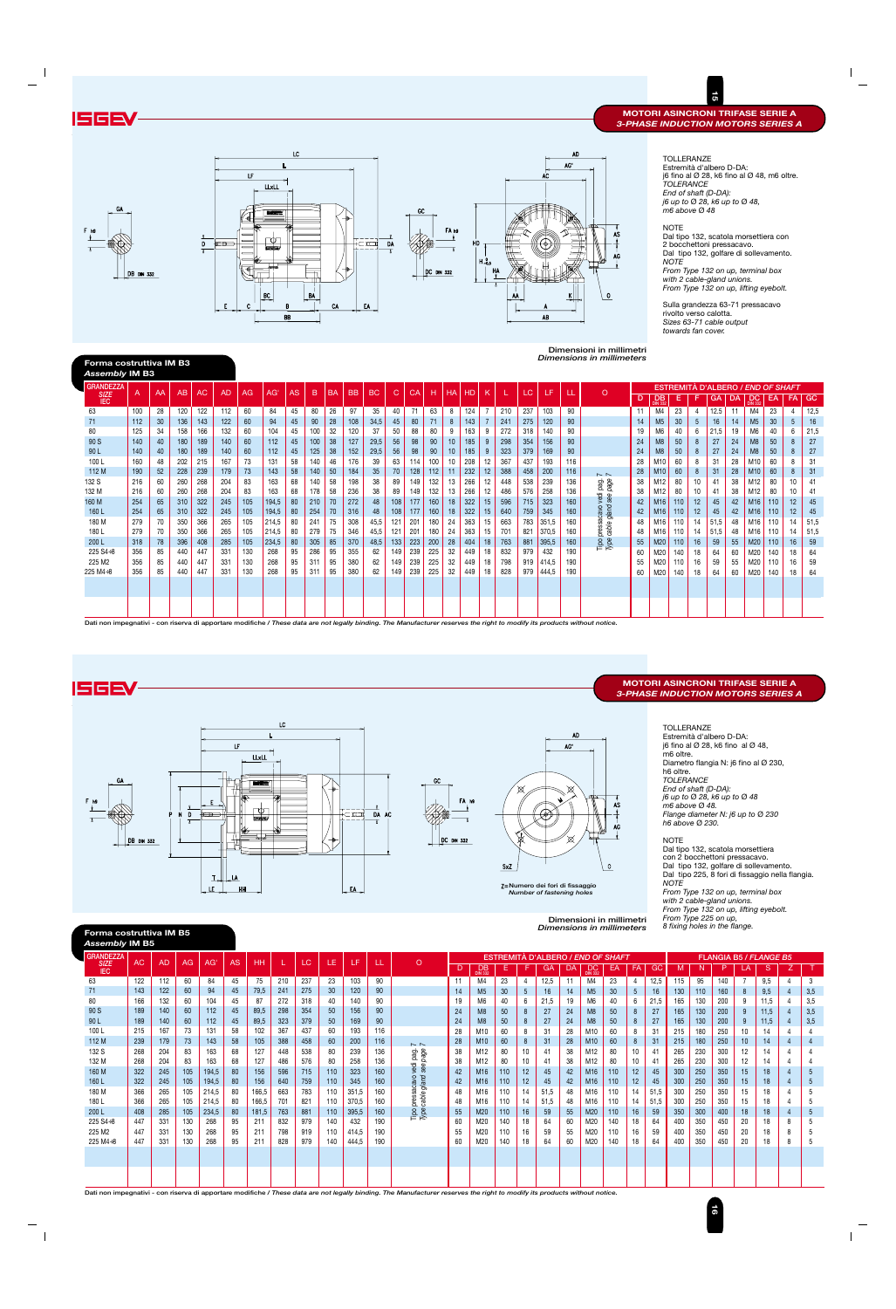TOLLERANZE Estremità d'albero D-DA: j6 fino al  $\varnothing$  28, k6 fino al  $\varnothing$  48, m6 oltre. *TOLERANCE End of shaft (D-DA): j6 up to* Ø *28, k6 up to* Ø *48, m6 above* Ø *48*

NOTE

Dal tipo 132, scatola morsettiera con 2 bocchettoni pressacavo. Dal tipo 132, golfare di sollevamento. *NOTE*

*From Type 132 on up, terminal box with 2 cable-gland unions. From Type 132 on up, lifting eyebolt.*

Sulla grandezza 63-71 pressacavo rivolto verso calotta. *Sizes 63-71 cable output towards fan cover.*

**Dimensioni in millimetri**

| <b>GRANDEZZA</b>          | AC  | <b>AD</b> | AG  | AG'   | AS | HH    |     | LC'  | LE. | ΤF    |     | $\Omega$         |    |                             |     |    | <b>ESTREMITÀ D'ALBERO / END OF SHAFT</b> |    |                       |     |                 |      |     |     |     |         | <b>FLANGIA B5 / FLANGE B5</b> |                |     |
|---------------------------|-----|-----------|-----|-------|----|-------|-----|------|-----|-------|-----|------------------|----|-----------------------------|-----|----|------------------------------------------|----|-----------------------|-----|-----------------|------|-----|-----|-----|---------|-------------------------------|----------------|-----|
| <b>SIZE</b><br><b>IEC</b> |     |           |     |       |    |       |     |      |     |       |     |                  | D  | <b>DB</b><br><b>DIN 332</b> | Е.  |    | GA                                       | DA | DC.<br><b>DIN 332</b> | EA  | <b>FA</b>       | GC.  | M   | N   |     |         | <sub>S</sub>                  |                |     |
| 63                        | 122 | 112       | 60  | 84    | 45 | 75    | 210 | 237  | 23  | 103   | 90  |                  |    | M4                          | 23  | 4  | 12.5                                     | 11 | M4                    | 23  | 4               | 12.5 | 115 | 95  | 140 |         | 9.5                           | 4              | 3   |
| 71                        | 143 | 122       | 60  | 94    | 45 | 79,5  | 241 | 275  | 30  | 120   | 90  |                  | 14 | M <sub>5</sub>              | 30  | 5  | 16                                       | 14 | M <sub>5</sub>        | 30  | $5\overline{)}$ | 16   | 130 | 110 | 160 | 8       | 9,5                           |                | 3,5 |
| 80                        | 166 | 132       | 60  | 104   | 45 | 87    | 272 | 318  | 40  | 140   | 90  |                  | 19 | M6                          | 40  | 6  | 21,5                                     | 19 | M <sub>6</sub>        | 40  | 6               | 21,5 | 165 | 130 | 200 |         | 11.5                          |                | 3,5 |
| 90 S                      | 189 | 140       | 60  | 112   | 45 | 89,5  | 298 | 354  | 50  | 156   | 90  |                  | 24 | M8                          | 50  | 8  | 27                                       | 24 | M8                    | 50  | 8               | 27   | 165 | 130 | 200 | 9       | 11.5                          |                | 3,5 |
| 90 L                      | 189 | 140       | 60  | 112   | 45 | 89,5  | 323 | 379  | 50  | 169   | 90  |                  | 24 | M8                          | 50  | 8  | 27                                       | 24 | M8                    | 50  | 8               | 27   | 165 | 130 | 200 | 9       | 11.5                          |                | 3,5 |
| 100 L                     | 215 | 167       | 73  | 131   | 58 | 102   | 367 | 437  | 60  | 193   | 116 |                  | 28 | M10                         | 60  | 8  | 31                                       | 28 | M10                   | 60  | 8               | 31   | 215 | 180 | 250 | 10      | 14                            | 4              |     |
| 112 M                     | 239 | 179       | 73  | 143   | 58 | 105   | 388 | 458  | 60  | 200   | 116 | $\sim$ $\sim$    | 28 | M <sub>10</sub>             | 60  | 8  | 31                                       | 28 | M <sub>10</sub>       | 60  | 8               | 31   | 215 | 180 | 250 | 10      | 14                            | $\overline{4}$ |     |
| 132 S                     | 268 | 204       | 83  | 163   | 68 | 127   | 448 | 538  | 80  | 239   | 136 | page<br>pag.     | 38 | M12                         | 80  | 10 | 41                                       | 38 | M12                   | 80  | 10              | 41   | 265 | 230 | 300 | 12      | 14                            | $\overline{4}$ |     |
| 132 M                     | 268 | 204       | 83  | 163   | 68 | 127   | 486 | 576  | 80  | 258   | 136 |                  | 38 | M12                         | 80  | 10 | 41                                       | 38 | M12                   | 80  | 10              | 41   | 265 | 230 | 300 | $12 \,$ | 14                            | 4              |     |
| 160 M                     | 322 | 245       | 105 | 194,5 | 80 | 156   | 596 | 715  | 110 | 323   | 160 | vedi<br>ee<br>଼ି | 42 | M <sub>16</sub>             | 110 | 12 | 45                                       | 42 | M <sub>16</sub>       | 110 | 12              | 45   | 300 | 250 | 350 | 15      | 18                            |                |     |
| 160 L                     | 322 | 245       | 105 | 194,5 | 80 | 156   | 640 | 759  | 110 | 345   | 160 | oveze<br>acevo   | 42 | M <sub>16</sub>             | 110 | 12 | 45                                       | 42 | M16                   | 110 | 12              | 45   | 300 | 250 | 350 | 15      | 18                            | 4              | 5   |
| 180 M                     | 366 | 265       | 105 | 214,5 | 80 | 166,5 | 663 | 783  | 110 | 351,5 | 160 |                  | 48 | M16                         | 110 | 14 | 51,5                                     | 48 | M16                   | 110 | 14              | 51,5 | 300 | 250 | 350 | 15      | 18                            | 4              |     |
| 180 L                     | 366 | 265       | 105 | 214,5 | 80 | 166,5 | 701 | -821 | 110 | 370,5 | 160 | pressa<br>cable  | 48 | M16                         | 110 | 14 | 51,5                                     | 48 | M16                   | 110 | 14              | 51.5 | 300 | 250 | 350 | 15      | 18                            | 4              |     |
| 200 L                     | 408 | 285       | 105 | 234,5 | 80 | 181,5 | 763 | 881  | 110 | 395,5 | 160 | Tipo<br>Type     | 55 | M <sub>20</sub>             | 110 | 16 | 59                                       | 55 | M20                   | 110 | 16              | 59   | 350 | 300 | 400 | 18      | 18                            | $\overline{4}$ | 5   |
| $225 S4 + 8$              | 447 | 331       | 130 | 268   | 95 | 211   | 832 | 979  | 140 | 432   | 190 |                  | 60 | M20                         | 140 | 18 | 64                                       | 60 | M20                   | 140 | 18              | 64   | 400 | 350 | 450 | 20      |                               | 8              |     |
| 225 M2                    | 447 | 331       | 130 | 268   | 95 | 211   | 798 | 919  | 110 | 414,5 | 190 |                  | 55 | M20                         | 110 | 16 | 59                                       | 55 | M20                   | 110 | 16              | 59   | 400 | 350 | 450 | 20      | 18                            | 8              |     |
| $225 M4 \div 8$           | 447 | 331       | 130 | 268   | 95 | 211   | 828 | 979  | 140 | 444,5 | 190 |                  | 60 | M20                         | 140 | 18 | 64                                       | 60 | M20                   | 140 | 18              | 64   | 400 | 350 | 450 | 20      | 18                            | 8              |     |
|                           |     |           |     |       |    |       |     |      |     |       |     |                  |    |                             |     |    |                                          |    |                       |     |                 |      |     |     |     |         |                               |                |     |
|                           |     |           |     |       |    |       |     |      |     |       |     |                  |    |                             |     |    |                                          |    |                       |     |                 |      |     |     |     |         |                               |                |     |
|                           |     |           |     |       |    |       |     |      |     |       |     |                  |    |                             |     |    |                                          |    |                       |     |                 |      |     |     |     |         |                               |                |     |
|                           |     |           |     |       |    |       |     |      |     |       |     |                  |    |                             |     |    |                                          |    |                       |     |                 |      |     |     |     |         |                               |                |     |

| Forma costruttiva IM B3<br><b>Assembly IM B3</b> |     |    |     |     |           |     |       |    |     |           |           |           |     |     |     |           |           |                |     |     |       |     | Dimensions in millimeters |    |                             |     |                 |           |    |                                          |     |         |           |
|--------------------------------------------------|-----|----|-----|-----|-----------|-----|-------|----|-----|-----------|-----------|-----------|-----|-----|-----|-----------|-----------|----------------|-----|-----|-------|-----|---------------------------|----|-----------------------------|-----|-----------------|-----------|----|------------------------------------------|-----|---------|-----------|
| <b>GRANDEZZA</b>                                 |     |    |     |     |           |     |       |    |     |           |           |           |     |     |     |           |           |                |     |     |       |     |                           |    |                             |     |                 |           |    | <b>ESTREMITÀ D'ALBERO / END OF SHAFT</b> |     |         |           |
| <b>SIZE</b><br><b>IEC</b>                        | A   | AA | AB  | AC  | <b>AD</b> | AG  | AG)   | AS | B   | <b>BA</b> | <b>BB</b> | <b>BC</b> | C.  | СA  | н   | <b>HA</b> | <b>HD</b> | K              |     |     | 47    |     | $\Omega$                  | D  | <b>DB</b><br><b>DIN 332</b> | Е   | F               | <b>GA</b> | DA | DC.<br><b>DIN 332</b>                    | EA  | FA      | <b>GC</b> |
| 63                                               | 100 | 28 | 120 | 122 | 112       | 60  | 84    | 45 | 80  | 26        | 97        | 35        | 40  | 71  | 63  | 8         | 124       | 7              | 210 | 237 | 103   | 90  |                           | 11 | M4                          | 23  | 4               | 12.5      | 11 | M4                                       | 23  |         | 12,5      |
| 71                                               | 112 | 30 | 136 | 143 | 122       | 60  | 94    | 45 | 90  | 28        | 108       | 34,5      | 45  | 80  | 71  | 8         | 143       | $\overline{7}$ | 241 | 275 | 120   | 90  |                           | 14 | M <sub>5</sub>              | 30  | $5\overline{)}$ | 16        | 14 | M <sub>5</sub>                           | 30  | 5       | 16        |
| 80                                               | 125 | 34 | 158 | 166 | 132       | 60  | 104   | 45 | 100 | 32        | 120       | 37        | 50  | 88  | 80  | 9         | 163       | 9              | 272 | 318 | 140   | 90  |                           | 19 | M <sub>6</sub>              | 40  | 6               | 21,5      | 19 | M <sub>6</sub>                           | 40  | 6       | 21,5      |
| 90 S                                             | 140 | 40 | 180 | 189 | 140       | 60  | 112   | 45 | 100 | 38        | 127       | 29,5      | 56  | 98  | 90  | 10        | 185       | 9              | 298 | 354 | 156   | 90  |                           | 24 | M8                          | 50  | 8               | 27        | 24 | M <sub>8</sub>                           | 50  | 8       | 27        |
| 90 L                                             | 140 | 40 | 180 | 189 | 140       | 60  | 112   | 45 | 125 | 38        | 152       | 29,5      | 56  | 98  | 90  | 10        | 185       | 9              | 323 | 379 | 169   | 90  |                           | 24 | M <sub>8</sub>              | 50  | 8 <sup>°</sup>  | 27        | 24 | M <sub>8</sub>                           | 50  | 8       | 27        |
| 100L                                             | 160 | 48 | 202 | 215 | 167       | 73  | 131   | 58 | 140 | 46        | 176       | 39        | 63  | 114 | 100 | 10        | 208       | 12             | 367 | 437 | 193   | 116 |                           | 28 | M10                         | 60  | 8               | 31        | 28 | M10                                      | 60  |         | 31        |
| 112 M                                            | 190 | 52 | 228 | 239 | 179       | 73  | 143   | 58 | 140 | 50        | 184       | 35        | 70  | 128 | 112 | 11        | 232       | 12             | 388 | 458 | 200   | 116 | $\sim$ $\sim$             | 28 | M10                         | 60  | 8               | 31        | 28 | M <sub>10</sub>                          | 60  | 8       | 31        |
| 132 S                                            | 216 | 60 | 260 | 268 | 204       | 83  | 163   | 68 | 140 | 58        | 198       | 38        | 89  | 149 | 132 | 13        | 266       | 12             | 448 | 538 | 239   | 136 | pag.<br>page              | 38 | M12                         | 80  | 10              | 41        | 38 |                                          | 80  | 10      | 41        |
| 132 M                                            | 216 | 60 | 260 | 268 | 204       | 83  | 163   | 68 | 178 | 58        | 236       | 38        | 89  | 149 | 132 | 13        | 266       | 12             | 486 | 576 | 258   | 136 |                           | 38 | M12                         | 80  | 10              | 41        | 38 | M12                                      | 80  | 10      | 41        |
| 160 M                                            | 254 | 65 | 310 | 322 | 245       | 105 | 194,5 | 80 | 210 | 70        | 272       | 48        | 108 | 177 | 160 | 18        | 322       | 15             | 596 | 715 | 323   | 160 | vedi<br>see               | 42 | M16                         | 110 | 12 <sup>2</sup> | 45        | 42 | M <sub>16</sub>                          | 110 | $12 \,$ | 45        |
| 160 L                                            | 254 | 65 | 310 | 322 | 245       | 105 | 194,5 | 80 | 254 | 70        | 316       | 48        | 108 | 177 | 160 | 18        | 322       | 15             | 640 | 759 | 345   | 160 | buejo <sup>s</sup>        | 42 | M16                         | 110 | 12 <sup>2</sup> | 45        | 42 | M <sub>16</sub>                          | 110 | 12      | 45        |
| 180 M                                            | 279 | 70 | 350 | 366 | 265       | 105 | 214,5 | 80 | 241 | 75        | 308       | 45,5      | 121 | 201 | 180 | 24        | 363       | 15             | 663 | 783 | 351.5 | 160 |                           | 48 | M16                         | 110 | 14              | 51,5      | 48 | M16                                      | 110 | 14      | 51,5      |
| 180L                                             | 279 | 70 | 350 | 366 | 265       | 105 | 214,5 | 80 | 279 | 75        | 346       | 45,5      | 121 | 201 | 180 | 24        | 363       | 15             | 701 | 821 | 370,5 | 160 | pressa<br>cable           | 48 | M16                         | 110 | 14              | 51,5      | 48 | M16                                      | 110 | 14      | 51,5      |
| 200L                                             | 318 | 78 | 396 | 408 | 285       | 105 | 234,5 | 80 | 305 | 85        | 370       | 48,5      | 133 | 223 | 200 | 28        | 404       | 18             | 763 | 881 | 395,5 | 160 | Tipo<br>Type              | 55 | M20                         | 110 | 16              | 59        | 55 | M20                                      | 110 | 16      | 59        |
| $225 S4 \div 8$                                  | 356 | 85 | 440 | 447 | 331       | 130 | 268   | 95 | 286 | 95        | 355       | 62        | 149 | 239 | 225 | 32        | 449       | 18             | 832 | 979 | 432   | 190 |                           | 60 | M20                         | 140 | 18              | 64        | 60 | M20                                      | 140 | 18      | 64        |
| 225 M2                                           | 356 | 85 | 440 | 447 | 331       | 130 | 268   | 95 | 311 | 95        | 380       | 62        | 149 | 239 | 225 | 32        | 449       | 18             | 798 | 919 | 414,5 | 190 |                           | 55 | M <sub>20</sub>             | 110 | 16              | 59        | 55 | M20                                      | 110 | 16      | 59        |
| 225 M4÷8                                         | 356 | 85 | 440 | 447 | 331       | 130 | 268   | 95 | 311 | 95        | 380       | 62        | 149 | 239 | 225 | 32        | 449       | 18             | 828 | 979 | 444.5 | 190 |                           | 60 | M2C                         | 140 | 18              | 64        | 60 | M20                                      | 140 | 18      | 64        |
|                                                  |     |    |     |     |           |     |       |    |     |           |           |           |     |     |     |           |           |                |     |     |       |     |                           |    |                             |     |                 |           |    |                                          |     |         |           |
|                                                  |     |    |     |     |           |     |       |    |     |           |           |           |     |     |     |           |           |                |     |     |       |     |                           |    |                             |     |                 |           |    |                                          |     |         |           |
|                                                  |     |    |     |     |           |     |       |    |     |           |           |           |     |     |     |           |           |                |     |     |       |     |                           |    |                             |     |                 |           |    |                                          |     |         |           |

**Dimensioni in millimetri**

*Dimensions in millimeters* **Forma costruttiva IM B5** *Assembly* **IM B5**



#### **MOTORI ASINCRONI TRIFASE SERIE A** *3-PHASE INDUCTION MOTORS SERIES A*

SÌ,





*From Type 225 on up, 8 fixing holes in the flange.*

 $\ddot{\circ}$ 

|  | ----------- | . |  |  |
|--|-------------|---|--|--|
|  |             |   |  |  |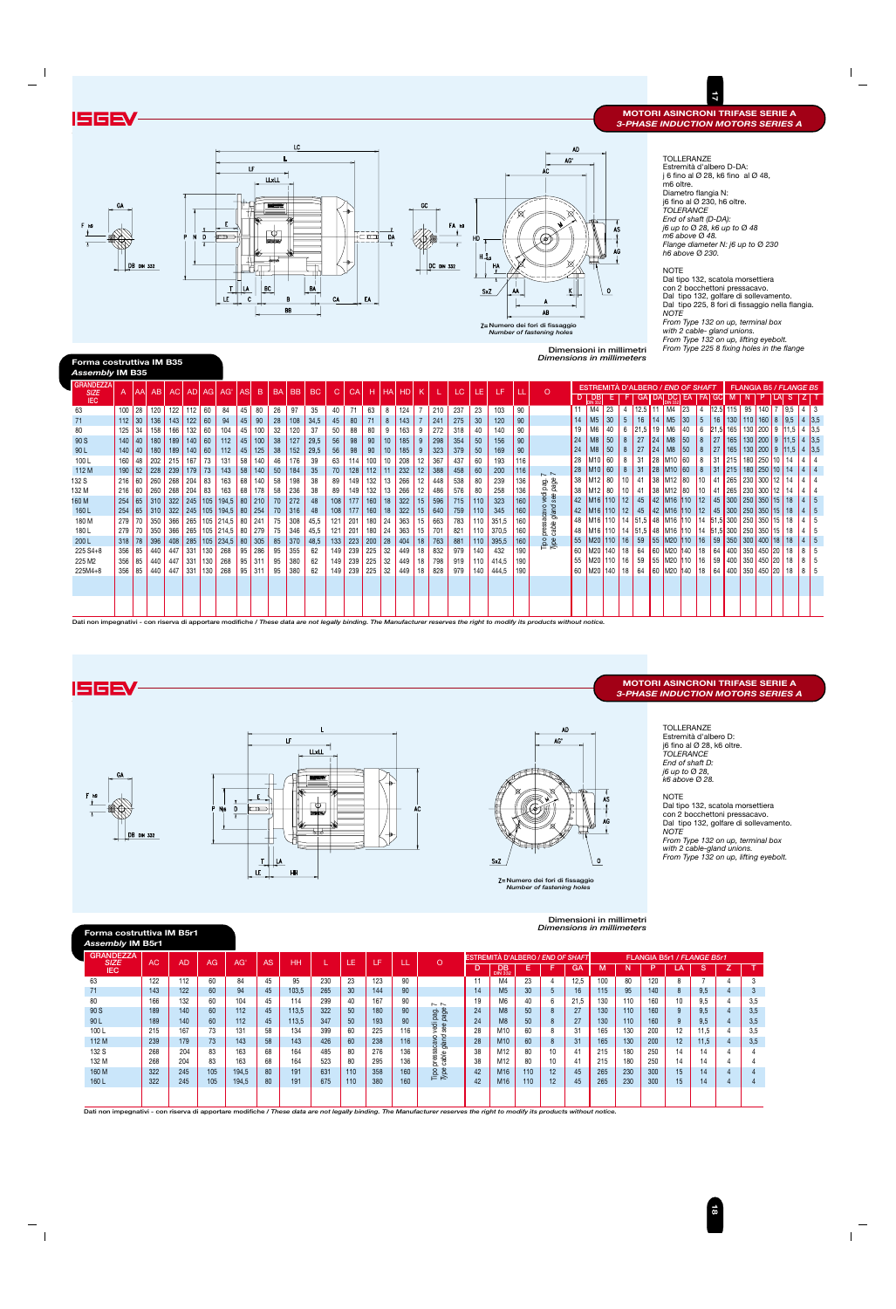

#### NOTE



### **MOTORI ASINCRONI TRIFASE SERIE A** *3-PHASE INDUCTION MOTORS SERIES A*

 $\overline{2}$ 

|                                                                                                                                                                                                                                                                                                                                                                            |                                                                                                                                                                                                                             |                                                                                                                                                                 |                                                                                                                           |                                                                                                                           |                                                                                                                                                           |                                                                        |                                                                                                  |                                                                                                                                                                                                                                                                    |                                                                                                                     |                                                                                                                                 |                                                                                                                            |                                                                                                                                                    |                                                                                                                          |                                                                                                                                          |                                                                                                        |                                                                                                                                  |                                                                                                                                                 |                                                                                                                          |                                                                                                                            |                                                                                                                   |                                                                                                                                     |                                                                                                                     |                                                                                    |                                                                                                                                                       |                                                                                                          |                                                                                                                                                                                    |                                                                                                                                                  |                                                                               |                                                                                                              |                                                                                                                                                                                                            |                                                                                                                                                                        |                                                                                                                                                                                                                                                     | $\overline{a}$                                                                                                   |                                                                                                                                                                                              |                                                                                                                                                                                                                                                                                                                                                                                                                                                               |                                  |                                                            |                                                                                                                                                                                       |
|----------------------------------------------------------------------------------------------------------------------------------------------------------------------------------------------------------------------------------------------------------------------------------------------------------------------------------------------------------------------------|-----------------------------------------------------------------------------------------------------------------------------------------------------------------------------------------------------------------------------|-----------------------------------------------------------------------------------------------------------------------------------------------------------------|---------------------------------------------------------------------------------------------------------------------------|---------------------------------------------------------------------------------------------------------------------------|-----------------------------------------------------------------------------------------------------------------------------------------------------------|------------------------------------------------------------------------|--------------------------------------------------------------------------------------------------|--------------------------------------------------------------------------------------------------------------------------------------------------------------------------------------------------------------------------------------------------------------------|---------------------------------------------------------------------------------------------------------------------|---------------------------------------------------------------------------------------------------------------------------------|----------------------------------------------------------------------------------------------------------------------------|----------------------------------------------------------------------------------------------------------------------------------------------------|--------------------------------------------------------------------------------------------------------------------------|------------------------------------------------------------------------------------------------------------------------------------------|--------------------------------------------------------------------------------------------------------|----------------------------------------------------------------------------------------------------------------------------------|-------------------------------------------------------------------------------------------------------------------------------------------------|--------------------------------------------------------------------------------------------------------------------------|----------------------------------------------------------------------------------------------------------------------------|-------------------------------------------------------------------------------------------------------------------|-------------------------------------------------------------------------------------------------------------------------------------|---------------------------------------------------------------------------------------------------------------------|------------------------------------------------------------------------------------|-------------------------------------------------------------------------------------------------------------------------------------------------------|----------------------------------------------------------------------------------------------------------|------------------------------------------------------------------------------------------------------------------------------------------------------------------------------------|--------------------------------------------------------------------------------------------------------------------------------------------------|-------------------------------------------------------------------------------|--------------------------------------------------------------------------------------------------------------|------------------------------------------------------------------------------------------------------------------------------------------------------------------------------------------------------------|------------------------------------------------------------------------------------------------------------------------------------------------------------------------|-----------------------------------------------------------------------------------------------------------------------------------------------------------------------------------------------------------------------------------------------------|------------------------------------------------------------------------------------------------------------------|----------------------------------------------------------------------------------------------------------------------------------------------------------------------------------------------|---------------------------------------------------------------------------------------------------------------------------------------------------------------------------------------------------------------------------------------------------------------------------------------------------------------------------------------------------------------------------------------------------------------------------------------------------------------|----------------------------------|------------------------------------------------------------|---------------------------------------------------------------------------------------------------------------------------------------------------------------------------------------|
| ISGE                                                                                                                                                                                                                                                                                                                                                                       |                                                                                                                                                                                                                             |                                                                                                                                                                 |                                                                                                                           |                                                                                                                           |                                                                                                                                                           |                                                                        |                                                                                                  |                                                                                                                                                                                                                                                                    |                                                                                                                     |                                                                                                                                 |                                                                                                                            |                                                                                                                                                    |                                                                                                                          |                                                                                                                                          |                                                                                                        |                                                                                                                                  |                                                                                                                                                 |                                                                                                                          |                                                                                                                            |                                                                                                                   |                                                                                                                                     |                                                                                                                     |                                                                                    |                                                                                                                                                       |                                                                                                          |                                                                                                                                                                                    |                                                                                                                                                  |                                                                               |                                                                                                              |                                                                                                                                                                                                            |                                                                                                                                                                        |                                                                                                                                                                                                                                                     |                                                                                                                  |                                                                                                                                                                                              | <b>MOTORI ASINCRONI TRIFASE SERIE A</b><br><b>3-PHASE INDUCTION MOTORS SERIES A</b>                                                                                                                                                                                                                                                                                                                                                                           |                                  |                                                            |                                                                                                                                                                                       |
| F <sub>h9</sub><br>Forma costruttiva IM B35                                                                                                                                                                                                                                                                                                                                | GA.                                                                                                                                                                                                                         | <b>DB</b> DIN 332                                                                                                                                               |                                                                                                                           |                                                                                                                           | P                                                                                                                                                         | V<br>D<br>T                                                            | E<br>$\mathbb{P}$<br>T<br>LE                                                                     | LF.<br>LA<br>$\mathbf c$                                                                                                                                                                                                                                           | LLxLL<br>гФТ<br>eds/<br>$\overline{\mathsf{B}}$ C                                                                   | LC<br>в<br>BB                                                                                                                   | <b>BA</b>                                                                                                                  | CA                                                                                                                                                 |                                                                                                                          | cm<br>EA                                                                                                                                 | DA<br>T                                                                                                |                                                                                                                                  | GC                                                                                                                                              | <b>DC DIN 332</b>                                                                                                        | FA h9<br>$\overline{1}$                                                                                                    | $H_{-0,5}^{0}$                                                                                                    | <b>HA</b><br>SxZ                                                                                                                    | ٨٨                                                                                                                  |                                                                                    | AC<br>AB<br>Z= Numero dei fori di fissaggio<br>Number of fastening holes<br><b>Dimensions in millimeters</b>                                          | AD<br>AG'<br>K  <br>Dimensioni in millimetri                                                             |                                                                                                                                                                                    | AS<br>AG<br>$\circ$                                                                                                                              |                                                                               |                                                                                                              |                                                                                                                                                                                                            | m6 oltre.<br><b>NOTE</b><br><b>NOTE</b>                                                                                                                                | <b>TOLLERANZE</b><br>Estremità d'albero D-DA:<br>Diametro flangia N:<br>j6 fino al Ø 230, h6 oltre.<br><b>TOLERANCE</b><br>End of shaft (D-DA):<br>j6 up to Ø 28, k6 up to Ø 48<br>m6 above Ø 48.<br>h6 above Ø 230.<br>with 2 cable- gland unions. |                                                                                                                  |                                                                                                                                                                                              | j 6 fino al $\varnothing$ 28, k6 fino al $\varnothing$ 48,<br>Flange diameter N: j6 up to Ø 230<br>Dal tipo 132, scatola morsettiera<br>con 2 bocchettoni pressacavo.<br>Dal tipo 132, golfare di sollevamento.<br>Dal tipo 225, 8 fori di fissaggio nella flangia.<br>From Type 132 on up, terminal box<br>From Type 132 on up, lifting eyebolt.<br>From Type 225 8 fixing holes in the flange                                                               |                                  |                                                            |                                                                                                                                                                                       |
| Assembly IM B35                                                                                                                                                                                                                                                                                                                                                            |                                                                                                                                                                                                                             |                                                                                                                                                                 |                                                                                                                           |                                                                                                                           |                                                                                                                                                           |                                                                        |                                                                                                  |                                                                                                                                                                                                                                                                    |                                                                                                                     |                                                                                                                                 |                                                                                                                            |                                                                                                                                                    |                                                                                                                          |                                                                                                                                          |                                                                                                        |                                                                                                                                  |                                                                                                                                                 |                                                                                                                          |                                                                                                                            |                                                                                                                   |                                                                                                                                     |                                                                                                                     |                                                                                    |                                                                                                                                                       |                                                                                                          |                                                                                                                                                                                    |                                                                                                                                                  |                                                                               |                                                                                                              |                                                                                                                                                                                                            |                                                                                                                                                                        |                                                                                                                                                                                                                                                     |                                                                                                                  |                                                                                                                                                                                              |                                                                                                                                                                                                                                                                                                                                                                                                                                                               |                                  |                                                            |                                                                                                                                                                                       |
| <b>GRANDEZZA</b><br><b>SIZE</b><br><b>IEC</b><br>63<br>71<br>80<br>90 S<br>90L<br>100L<br>112 M<br>132 S<br>132 M<br>160 M<br>160L<br>180 M<br>180L<br>200L<br>225 S4+8<br>225 M2<br>225M4+8<br>Dati non impegnativi - con riserva di apportare modifiche / These data are not legally binding. The Manufacturer reserves the right to modify its products without notice. | A<br>125<br>140<br>140<br>160<br>190<br>216<br>254<br>279<br>356<br>356                                                                                                                                                     | AA<br>$100$ 28<br>$112 \mid 30$<br>34<br>$ 40\rangle$<br>40<br> 48<br>52<br>216 60<br> 60 <br>65<br>254 65 <br>$279$ 70<br>70<br>$318$ 78<br>85<br>85<br>356 85 | AB<br>120<br>136<br>158<br>180<br>180<br>202<br>228<br>260<br>260<br>310<br>310<br>350<br>350<br>396<br>440<br>440<br>440 | <b>AC</b><br>122<br>143<br>166<br>189<br>189<br>215<br>239<br>268<br>268<br>322<br>366<br>366<br>408<br>447<br>447<br>447 | AD<br>$112$ 60<br>122<br>132<br>140 60<br>140 60<br>167<br>$179$ 73<br>$204$ 83<br>$204$ 83<br>$245$ 105<br>265<br>331 130<br>$331$ 130<br>$331 \mid 130$ | AG<br>60<br>60<br>73<br>$105$ 214,5<br>285 105 234,5                   | AG'<br>84<br>94<br>104<br>112<br>$112$<br>131<br>143<br>163<br>163<br>194,5<br>268<br>268<br>268 | AS<br>B<br>45<br>80<br>45<br>$90\,$<br>45<br>100<br>45<br>100<br>45<br>125<br>58<br>140<br>58 140<br>68<br>140<br>68<br>178<br>80   210<br>322 245 105 194,5 80 254<br>265 105 214,5 80 241<br>80 279<br>80 305<br>$95 \mid 286$<br>$95 \mid 311$<br>$95 \mid 311$ | <b>BA</b><br>26<br>28<br>32<br>38<br>$38\,$<br>46<br>50<br>58<br>58<br>70<br>70<br>75<br>75<br>85<br>95<br>95<br>95 | <b>BB</b><br>97<br>108<br>120<br>127<br>152<br>176<br>184<br>198<br>236<br>272<br>316<br>308<br>346<br>370<br>355<br>380<br>380 | $\sf BC$<br>35<br>34,5<br>37<br>29,5<br>29,5<br>39<br>35<br>38<br>38<br>48<br>48<br>45,5<br>45,5<br>48,5<br>62<br>62<br>62 | $\mathsf{C}$<br>40<br>$45\,$<br>50<br>${\bf 56}$<br>${\bf 56}$<br>63<br>$70\,$<br>89<br>89<br>108<br>108<br>121<br>121<br>133<br>149<br>149<br>149 | CA<br>71<br>80<br>88<br>98<br>$98\,$<br>114<br>128<br>149<br>149<br>177<br>177<br>201<br>201<br>223<br>239<br>239<br>239 | н<br>63<br>71<br>80<br>90<br>90<br>100<br>112<br>132<br>132<br>160<br>160<br>180<br>180<br>$200 \big  28$<br>$225 \mid 32$<br>225<br>225 | HA<br>8<br>$\,$ 8 $\,$<br>9<br>10<br>10<br>10<br> 11<br>13<br>13<br>18<br> 18 <br>24<br>24<br>32<br>32 | <b>HD</b><br>124<br>143<br>163<br>185<br>185<br>208<br>232<br>266<br>266<br>322<br>322<br>363<br>363<br>404<br>449<br>449<br>449 | $\mathsf K$<br>7<br>$\overline{7}$<br>9<br>9<br>9<br>12<br>12<br>12<br>12<br>15 <sub>15</sub><br>15 <sub>15</sub><br>15<br>15<br>18<br>18<br>18 | 210<br>241<br>272<br>298<br>323<br>367<br>388<br>448<br>486<br>596<br>640<br>663<br>701<br>$18$ 763<br>832<br>798<br>828 | LC.<br>237<br>275<br>318<br>354<br>379<br>437<br>458<br>538<br>576<br>715<br>759<br>783<br>821<br>881<br>979<br>919<br>979 | LE.<br>23<br>30<br>40<br>50<br>50<br>60<br>60<br>80<br>80<br>110<br>110<br>110<br>110<br>110<br>140<br>110<br>140 | LF<br>103<br>120<br>140<br>156<br>169<br>193<br>200<br>239<br>258<br>323<br>345<br>351,5<br>370,5<br>395,5<br>432<br>414,5<br>444,5 | Щ<br>90<br>90<br>90<br>90<br>90<br>116<br>116<br>136<br>136<br>160<br>160<br>160<br>160<br>160<br>190<br>190<br>190 |                                                                                    | $\circ$<br>$\sim$ $\sim$<br>sacavo vedi pag. ī<br>e gland see page i<br>Tipo pressa<br>Type cable                                                     | $D \mid$<br>14<br>19<br>24<br>24<br>28<br>28<br>38<br>38<br>42<br>42<br>48<br>48<br>55<br>60<br>55<br>60 | D <sub>B</sub><br>$11$ M4 23<br>M <sub>5</sub><br>M6<br>M8<br>M8<br>M <sub>10</sub> 60<br>M <sub>10</sub> 60<br>M <sub>12</sub> 80<br>M <sub>12</sub> 80<br>M <sub>16</sub> 110 12 | Е<br>30<br>40<br>50<br>50<br>M <sub>16</sub> 110 12<br>M <sub>16</sub> 110 14<br>M20 110 16<br>M20 140 18<br>$M20$ 110 16<br>M <sub>20</sub> 140 | $\overline{4}$<br>$5\phantom{.0}$<br>6<br>8<br>8<br>8<br>8<br>10<br>10<br> 18 | GA<br>$12.5$ 11<br>16<br>$21,5$ 19<br>27<br>27<br>31<br>31<br>41<br>41<br>45<br>51,5<br>59<br>64<br>59<br>64 | DA<br>M5<br>14<br>24<br>24<br>28<br> 28 <br>38<br>38<br>$142$ M <sub>16</sub> 110<br>45 42 M <sub>16</sub> 110<br>$\sqrt{48}$<br>55 M20 110<br>$\big  60 \big   M20 \big  140$<br>55 M20 110<br>60 M20 140 | DC <br>EA<br>$M4$ 23<br> 30 <br>M6 40<br>M8 50<br>M8 50<br>M <sub>10</sub> 60<br>M <sub>10</sub> 60<br>M <sub>12</sub> 80<br>M <sub>12</sub> 80<br>M <sub>16</sub> 110 | <b>ESTREMITÀ D'ALBERO / END OF SHAFT</b><br>$\overline{4}$<br>$\sqrt{5}$<br>6<br>$\bf 8$<br>$\bf 8$<br>$\bf 8$<br>$\bf 8$<br>10<br>10<br>$ 12\rangle$<br> 18<br> 16 <br>18                                                                          | FA GC<br>$12.5$ 115<br>$16\,$<br>27<br>27<br>31<br> 31<br>41<br>41<br>$14 \,  51,5  \, 300 \,  250 $<br>59<br>64 | M<br>130 110                                                                                                                                                                                 | FLANGIA B5 / FLANGE B5<br>N<br>P<br>95<br>$21,5$ 165 130 200 9 11,5 4 3,5<br>$\vert$ 165   130   200   9   11,5   4   3,5<br>165 130 200 9 11,5 4 3,5<br>$215$ 180 250 10<br>$215 \mid 180 \mid 250 \mid 10 \mid 14$<br>265 230 300 12<br>265 230 300 12<br>45 300 250 350 15 18<br>$12$ 45 300 250 350 15 18<br>M16 110 14 51.5 48 M16 110 14 51.5 300 250 350 15 18<br>16 59 350 300 400 18 18<br>64 400 350 450 20 18<br>400 350 450 20<br> 400 350 450 20 | $140$ 7 9.5<br>$160$ 8<br>350 15 | S<br>$\vert 9,5 \vert$<br>14<br>14<br>14<br>18<br>18<br>18 | $4 \mid 3$<br> 4 3,5<br>$\vert$ 4<br>$\overline{4}$<br> 4 4<br>4 <br>$\overline{4}$<br>$4 \mid 4$<br>$14 \mid 5$<br> 4 5<br> 4 <br>5<br>-5<br>4<br> 4 5<br>8 5<br>8 5<br>  8  <br>- 5 |
|                                                                                                                                                                                                                                                                                                                                                                            |                                                                                                                                                                                                                             |                                                                                                                                                                 |                                                                                                                           |                                                                                                                           |                                                                                                                                                           |                                                                        |                                                                                                  |                                                                                                                                                                                                                                                                    |                                                                                                                     |                                                                                                                                 |                                                                                                                            |                                                                                                                                                    |                                                                                                                          |                                                                                                                                          |                                                                                                        |                                                                                                                                  |                                                                                                                                                 |                                                                                                                          |                                                                                                                            |                                                                                                                   |                                                                                                                                     |                                                                                                                     |                                                                                    |                                                                                                                                                       |                                                                                                          |                                                                                                                                                                                    |                                                                                                                                                  |                                                                               |                                                                                                              |                                                                                                                                                                                                            |                                                                                                                                                                        |                                                                                                                                                                                                                                                     |                                                                                                                  |                                                                                                                                                                                              |                                                                                                                                                                                                                                                                                                                                                                                                                                                               |                                  |                                                            |                                                                                                                                                                                       |
|                                                                                                                                                                                                                                                                                                                                                                            |                                                                                                                                                                                                                             |                                                                                                                                                                 |                                                                                                                           |                                                                                                                           |                                                                                                                                                           |                                                                        |                                                                                                  |                                                                                                                                                                                                                                                                    |                                                                                                                     |                                                                                                                                 |                                                                                                                            |                                                                                                                                                    |                                                                                                                          |                                                                                                                                          |                                                                                                        |                                                                                                                                  |                                                                                                                                                 |                                                                                                                          |                                                                                                                            |                                                                                                                   |                                                                                                                                     |                                                                                                                     |                                                                                    |                                                                                                                                                       |                                                                                                          |                                                                                                                                                                                    |                                                                                                                                                  |                                                                               |                                                                                                              |                                                                                                                                                                                                            |                                                                                                                                                                        |                                                                                                                                                                                                                                                     |                                                                                                                  |                                                                                                                                                                                              |                                                                                                                                                                                                                                                                                                                                                                                                                                                               |                                  |                                                            |                                                                                                                                                                                       |
| <b>ISGEV</b>                                                                                                                                                                                                                                                                                                                                                               |                                                                                                                                                                                                                             |                                                                                                                                                                 |                                                                                                                           |                                                                                                                           |                                                                                                                                                           |                                                                        |                                                                                                  |                                                                                                                                                                                                                                                                    |                                                                                                                     |                                                                                                                                 |                                                                                                                            |                                                                                                                                                    |                                                                                                                          |                                                                                                                                          |                                                                                                        |                                                                                                                                  |                                                                                                                                                 |                                                                                                                          |                                                                                                                            |                                                                                                                   |                                                                                                                                     |                                                                                                                     |                                                                                    |                                                                                                                                                       |                                                                                                          |                                                                                                                                                                                    |                                                                                                                                                  |                                                                               |                                                                                                              |                                                                                                                                                                                                            |                                                                                                                                                                        |                                                                                                                                                                                                                                                     |                                                                                                                  |                                                                                                                                                                                              | <b>MOTORI ASINCRONI TRIFASE SERIE A</b><br><b>3-PHASE INDUCTION MOTORS SERIES A</b>                                                                                                                                                                                                                                                                                                                                                                           |                                  |                                                            |                                                                                                                                                                                       |
| F <sub>h9</sub>                                                                                                                                                                                                                                                                                                                                                            | GA                                                                                                                                                                                                                          | <b>DB</b> DIN 332                                                                                                                                               |                                                                                                                           |                                                                                                                           |                                                                                                                                                           | N <sub>16</sub>                                                        | D<br>T                                                                                           | ᠴ<br>T<br>LE                                                                                                                                                                                                                                                       | ۱۸                                                                                                                  | LF<br>HH                                                                                                                        | <b>LLxLL</b><br>O.<br>ede                                                                                                  |                                                                                                                                                    |                                                                                                                          |                                                                                                                                          |                                                                                                        |                                                                                                                                  | AC                                                                                                                                              |                                                                                                                          |                                                                                                                            |                                                                                                                   | <b>SxZ</b>                                                                                                                          |                                                                                                                     |                                                                                    | AG'<br>Z=Numero dei fori di fissaggio<br>Number of fastening holes                                                                                    | AD.<br>Dimensioni in millimetri                                                                          | $\circ$                                                                                                                                                                            | AS<br>AG                                                                                                                                         |                                                                               |                                                                                                              |                                                                                                                                                                                                            | <b>NOTE</b><br><b>NOTE</b>                                                                                                                                             | TOLLERANZE<br>Estremità d'albero D:<br>j6 fino al $\varnothing$ 28, k6 oltre.<br>TOLERANCE<br>End of shaft D:<br>j6 up to Ø 28,<br>k6 above Ø 28.<br>with 2 cable-gland unions.                                                                     |                                                                                                                  |                                                                                                                                                                                              | Dal tipo 132, scatola morsettiera<br>con 2 bocchettoni pressacavo.<br>Dal tipo 132, golfare di sollevamento.<br>From Type 132 on up, terminal box<br>From Type 132 on up, lifting eyebolt.                                                                                                                                                                                                                                                                    |                                  |                                                            |                                                                                                                                                                                       |
|                                                                                                                                                                                                                                                                                                                                                                            | Forma costruttiva IM B5r1<br>Assembly IM B5r1                                                                                                                                                                               |                                                                                                                                                                 |                                                                                                                           |                                                                                                                           |                                                                                                                                                           |                                                                        |                                                                                                  |                                                                                                                                                                                                                                                                    |                                                                                                                     |                                                                                                                                 |                                                                                                                            |                                                                                                                                                    |                                                                                                                          |                                                                                                                                          |                                                                                                        |                                                                                                                                  |                                                                                                                                                 |                                                                                                                          |                                                                                                                            |                                                                                                                   |                                                                                                                                     |                                                                                                                     |                                                                                    | Dimensions in millimeters                                                                                                                             |                                                                                                          |                                                                                                                                                                                    |                                                                                                                                                  |                                                                               |                                                                                                              |                                                                                                                                                                                                            |                                                                                                                                                                        |                                                                                                                                                                                                                                                     |                                                                                                                  |                                                                                                                                                                                              |                                                                                                                                                                                                                                                                                                                                                                                                                                                               |                                  |                                                            |                                                                                                                                                                                       |
| 63<br>71<br>80<br>90 S<br>90 L<br>100L<br>112 M<br>132 S<br>132 M<br>160 M<br>160L                                                                                                                                                                                                                                                                                         | <b>GRANDEZZA</b><br><b>SIZE</b><br><b>IEC</b><br>Dati non impegnativi - con riserva di apportare modifiche / These data are not legally binding. The Manufacturer reserves the right to modify its products without notice. |                                                                                                                                                                 | <b>AC</b><br>122<br>143<br>166<br>189<br>189<br>215<br>239<br>268<br>268<br>322<br>322                                    |                                                                                                                           | <b>AD</b><br>112<br>122<br>132<br>140<br>140<br>167<br>179<br>204<br>204<br>245<br>245                                                                    | AG<br>60<br>60<br>60<br>60<br>60<br>73<br>73<br>83<br>83<br>105<br>105 |                                                                                                  | AG'<br>84<br>94<br>104<br>112<br>112<br>131<br>143<br>163<br>163<br>194,5<br>194,5                                                                                                                                                                                 | <b>AS</b><br>45<br>45<br>45<br>45<br>45<br>58<br>58<br>68<br>68<br>80<br>80                                         | <b>HH</b><br>95<br>103,5<br>114<br>113,5<br>113,5<br>134<br>143<br>164<br>164<br>191<br>191                                     |                                                                                                                            | L<br>230<br>265<br>299<br>322<br>347<br>399<br>426<br>485<br>523<br>631<br>675                                                                     | LE.<br>23<br>30<br>40<br>50<br>50<br>60<br>60<br>80<br>80<br>110<br>110                                                  | LF.<br>123<br>144<br>167<br>180<br>193<br>225<br>238<br>276<br>295<br>358<br>380                                                         |                                                                                                        | LL.<br>90<br>90<br>90<br>90<br>90<br>116<br>116<br>136<br>136<br>160<br>160                                                      |                                                                                                                                                 | $\circ$<br>$\sim$ $\sim$<br>i pag.<br>page<br>vedi<br>see<br>pressacavo<br>cable gland<br>$\frac{1}{\sqrt{2}}$           |                                                                                                                            | D.<br>11<br>14<br>19<br>24<br>24<br>28<br>28<br>38<br>38<br>42<br>42                                              | DB <sub>332</sub><br>M4<br>M <sub>5</sub><br>M6<br>M <sub>8</sub><br>M8<br>M10<br>M10<br>M12<br>M12<br>M <sub>16</sub><br>M16       |                                                                                                                     | Е<br>23<br>30 <sup>°</sup><br>40<br>50<br>50<br>60<br>60<br>80<br>80<br>110<br>110 | ESTREMITA D'ALBERO / <i>END OF SHAFT</i><br>F<br>$\overline{4}$<br>$5\phantom{.0}$<br>6<br>$\bf 8$<br>$\bf 8$<br>8<br>$\bf 8$<br>10<br>10<br>12<br>12 | GA<br>12,5<br>16<br>21,5<br>27<br>27<br>31<br>31<br>41<br>41<br>45<br>45                                 |                                                                                                                                                                                    | M<br>100<br>115<br>130<br>130<br>130<br>165<br>165<br>215<br>215<br>265<br>265                                                                   | N<br>80<br>95<br>110<br>110<br>110<br>130<br>130<br>180<br>180<br>230<br>230  |                                                                                                              | P.<br>120<br>140<br>160<br>160<br>160<br>200<br>200<br>250<br>250<br>300<br>300                                                                                                                            | LA<br>8<br>8<br>10<br>9<br>-9<br>12<br>12<br>14<br>14<br>15<br>15                                                                                                      | FLANGIA B5r1 / FLANGE B5r1<br>S.<br>$7\overline{ }$<br>9,5<br>9,5<br>9,5<br>9,5<br>11,5<br>11,5<br>14<br>14<br>14<br>14                                                                                                                             |                                                                                                                  | Z.<br>$\overline{4}$<br>$\overline{4}$<br>-4<br>$\overline{4}$<br>$\overline{4}$<br>$\overline{4}$<br>$\overline{4}$<br>$\overline{4}$<br>$\overline{4}$<br>$\overline{4}$<br>$\overline{4}$ | $\mathsf{T}$<br>3<br>$\mathbf{3}$<br>3,5<br>3,5<br>3,5<br>3,5<br>3,5<br>$\overline{4}$<br>$\overline{4}$<br>$\overline{4}$<br>$\overline{4}$                                                                                                                                                                                                                                                                                                                  |                                  |                                                            |                                                                                                                                                                                       |
|                                                                                                                                                                                                                                                                                                                                                                            |                                                                                                                                                                                                                             |                                                                                                                                                                 |                                                                                                                           |                                                                                                                           |                                                                                                                                                           |                                                                        |                                                                                                  |                                                                                                                                                                                                                                                                    |                                                                                                                     |                                                                                                                                 |                                                                                                                            |                                                                                                                                                    |                                                                                                                          |                                                                                                                                          |                                                                                                        |                                                                                                                                  |                                                                                                                                                 |                                                                                                                          |                                                                                                                            |                                                                                                                   |                                                                                                                                     |                                                                                                                     |                                                                                    |                                                                                                                                                       |                                                                                                          |                                                                                                                                                                                    |                                                                                                                                                  |                                                                               |                                                                                                              |                                                                                                                                                                                                            |                                                                                                                                                                        |                                                                                                                                                                                                                                                     | <b>E</b>                                                                                                         |                                                                                                                                                                                              |                                                                                                                                                                                                                                                                                                                                                                                                                                                               |                                  |                                                            |                                                                                                                                                                                       |

# **Forma costruttiva IM B5r1**



### **Numero dei fori di fissaggio** *Number of fastening holes*

![](_page_9_Figure_3.jpeg)

| <b>GRANDEZZA</b><br><b>SIZE</b> | AC  | <b>AD</b> | AG  | AG'   | <b>AS</b> | <b>HH</b> |     | Æ.  | LF  |     | O                    |    | <b>ESTREMITÀ D'ALBERO / END OF SHAFT</b> |     |    |      |     |     | FLANGIA B5r1 / FLANGE B5r1 |                 |      |          |
|---------------------------------|-----|-----------|-----|-------|-----------|-----------|-----|-----|-----|-----|----------------------|----|------------------------------------------|-----|----|------|-----|-----|----------------------------|-----------------|------|----------|
| <b>IEC</b>                      |     |           |     |       |           |           |     |     |     | ᄔ   |                      | D  | <b>DB</b><br><b>DIN 332</b>              |     | Е  | GA   | м   |     | D                          | LA              | S    |          |
| 63                              | 122 | 112       | 60  | 84    | 45        | 95        | 230 | 23  | 123 | 90  |                      |    | M4                                       | 23  |    | 12,5 | 100 | 80  | 120                        | 8               |      | ేచ       |
|                                 | 143 | 122       | 60  | 94    | 45        | 103,5     | 265 | 30  | 144 | 90  |                      | 14 | M <sub>5</sub>                           | 30  | 5  | 16   | 115 | 95  | 140                        |                 | 9,5  | <b>ن</b> |
| 80                              | 166 | 132       | 60  | 104   | 45        | 114       | 299 | 40  | 167 | 90  | $\sim$ $\sim$        | 19 | M6                                       | 40  | 6  | 21.5 | 130 | 110 | 160                        | 10              | 9,5  | 3,5      |
| 90 S                            | 189 | 140       | 60  | 112   | 45        | 113.5     | 322 | 50  | 180 | 90  | page<br>page         | 24 | M <sub>8</sub>                           | 50  | 8  | 27   | 130 | 110 | 160                        | 9               | 9.5  | 3,5      |
| 90 <sub>L</sub>                 | 189 | 140       | 60  | 112   | 45        | 113,5     | 347 | 50  | 193 | 90  | ĎЭ                   | 24 | M <sub>8</sub>                           | 50  | 8  | 27   | 130 | 110 | 160                        | 9               | 9,5  | 3,5      |
| 100L                            | 215 | 167       | 73  | 131   | 58        | 134       | 399 | 60  | 225 | 116 | see                  | 28 | M <sub>10</sub>                          | 60  | 8  | 31   | 165 | 130 | 200                        | 12 <sup>°</sup> | 11.5 | 3,5      |
| 112 M                           | 239 | 179       | 73  | 143   | 58        | 143       | 426 | 60  | 238 | 116 | gland<br>o<br>sacavo | 28 | M <sub>10</sub>                          | 60  | 8  | 31   | 165 | 130 | 200                        | 12              | 11,5 | 3,5      |
| 132 S                           | 268 | 204       | 83  | 163   | 68        | 164       | 485 | 80  | 276 | 136 |                      | 38 | M12                                      | 80  | 10 | 41   | 215 | 180 | 250                        | 14              | 14   |          |
| 132 M                           | 268 | 204       | 83  | 163   | 68        | 164       | 523 | 80  | 295 | 136 | pressa<br>cable      | 38 | M12                                      | 80  | 10 | 41   | 215 | 180 | 250                        | 14              | 14   |          |
| 160 M                           | 322 | 245       | 105 | 194.5 | 80        | 191       | 631 | 110 | 358 | 160 | Tipe<br>Type         | 42 | M <sub>16</sub>                          | 110 | 12 | 45   | 265 | 230 | 300                        | 15              | 14   |          |
| 160L                            | 322 | 245       | 105 | 194.5 | 80        | 191       | 675 | 110 | 380 | 160 |                      | 42 | M <sub>16</sub>                          | 110 | 12 | 45   | 265 | 230 | 300                        | 15              | 14   |          |
|                                 |     |           |     |       |           |           |     |     |     |     |                      |    |                                          |     |    |      |     |     |                            |                 |      |          |
|                                 |     |           |     |       |           |           |     |     |     |     |                      |    |                                          |     |    |      |     |     |                            |                 |      |          |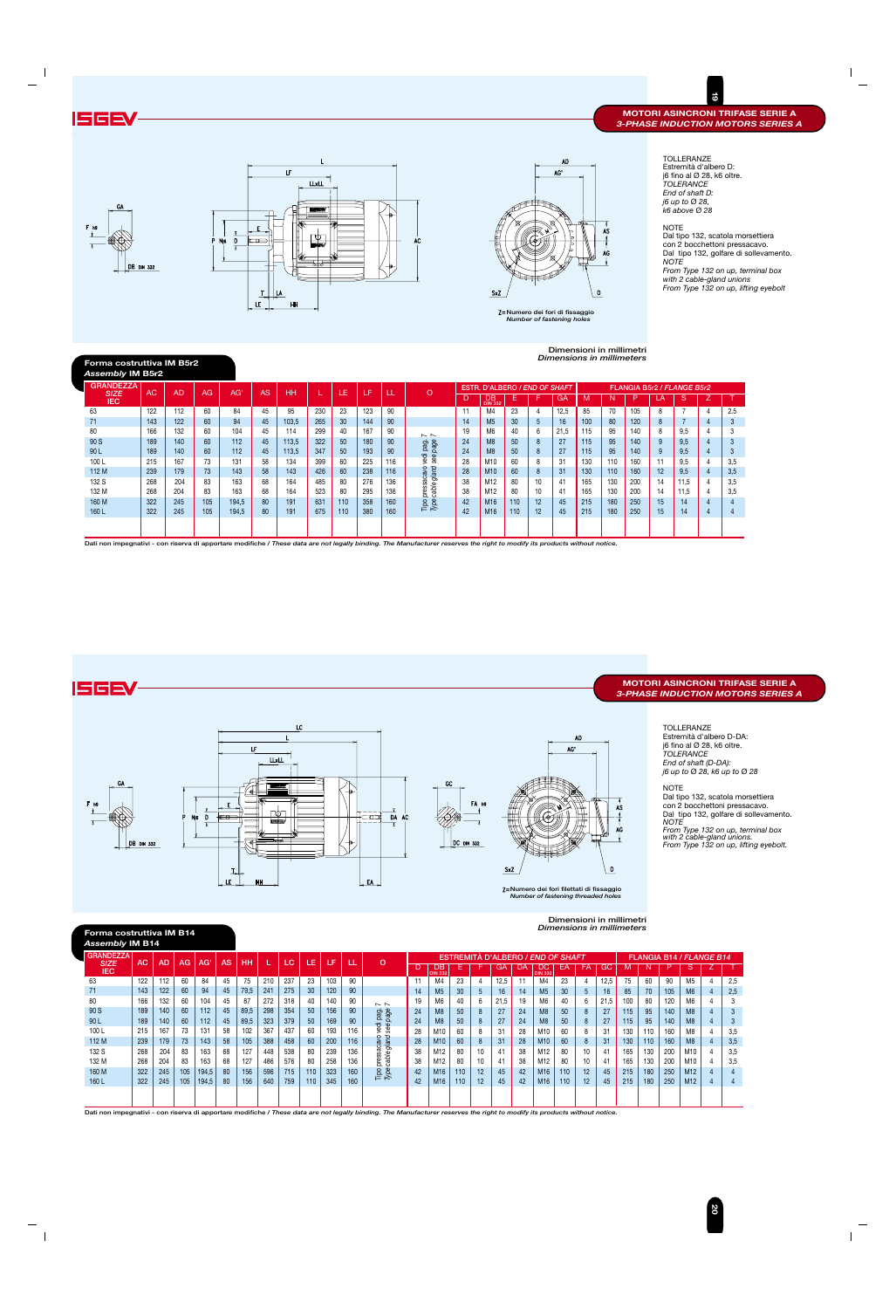**Forma costruttiva IM B14** *Assembly* **IM B14**

**20**

| ----------- |  |
|-------------|--|
|-------------|--|

TOLLERANZE Estremità d'albero D: j6 fino al Ø 28, k6 oltre. *TOLERANCE End of shaft D: j6 up to* Ø *28, k6 above* Ø *28*

NOTE Dal tipo 132, scatola morsettiera con 2 bocchettoni pressacavo. Dal tipo 132, golfare di sollevamento. *NOTE From Type 132 on up, terminal box with 2 cable-gland unions From Type 132 on up, lifting eyebolt*

| Dimensioni in millimetri  |
|---------------------------|
| Dimensions in millimeters |

**Dimensioni in millimetri** *Dimensions in millimeters* **19**

![](_page_10_Figure_2.jpeg)

![](_page_10_Figure_3.jpeg)

![](_page_10_Figure_4.jpeg)

![](_page_10_Picture_0.jpeg)

#### **MOTORI ASINCRONI TRIFASE SERIE A** *3-PHASE INDUCTION MOTORS SERIES A*

**Numero dei fori di fissaggio** *Number of fastening holes*

![](_page_10_Figure_11.jpeg)

| Forma costruttiva IM B5r2<br><b>Assembly IM B5r2</b> |     |     |     |       |    |       |     |     |     |     |                       |    |                               |     |    | Dimensions in millimeters |     |     |     |    |                            |                |     |
|------------------------------------------------------|-----|-----|-----|-------|----|-------|-----|-----|-----|-----|-----------------------|----|-------------------------------|-----|----|---------------------------|-----|-----|-----|----|----------------------------|----------------|-----|
| <b>GRANDEZZA</b>                                     |     | AD  |     | AG'   | AS |       |     |     |     |     | $\circ$               |    | ESTR. D'ALBERO / END OF SHAFT |     |    |                           |     |     |     |    | FLANGIA B5r2 / FLANGE B5r2 |                |     |
| <b>SIZE</b><br><b>IEC</b>                            | AC  |     | AG  |       |    | HH    |     | LE  | LF  | ᄔ   |                       | D  | DВ<br><b>DIN 332</b>          | E.  |    | GA                        | M   | N   | ÆΣ  |    | S                          | ∸              |     |
| 63                                                   | 122 | 112 | 60  | 84    | 45 | 95    | 230 | 23  | 123 | 90  |                       | 11 | M4                            | 23  | 4  | 12,5                      | 85  | 70  | 105 | 8  |                            | -4             | 2.5 |
| 71                                                   | 143 | 122 | 60  | 94    | 45 | 103.5 | 265 | 30  | 144 | 90  |                       | 14 | M <sub>5</sub>                | 30  | 5  | 16                        | 100 | 80  | 120 | 8  |                            | $\overline{4}$ | 3   |
| 80                                                   | 166 | 132 | 60  | 104   | 45 | 114   | 299 | 40  | 167 | 90  | $\sim$ $\sim$         | 19 | M <sub>6</sub>                | 40  | 6  | 21,5                      | 115 | 95  | 140 | 8  | 9.5                        | 4              | -3  |
| 90 S                                                 | 189 | 140 | 60  | 112   | 45 | 113,5 | 322 | 50  | 180 | 90  | page<br>page          | 24 | M8                            | 50  | 8  | 27                        | 115 | 95  | 140 | 9  | 9.5                        | 4              | 3   |
| 90L                                                  | 189 | 140 | 60  | 112   | 45 | 113,5 | 347 | 50  | 193 | 90  | <b>G</b>              | 24 | M8                            | 50  | 8  | 27                        | 115 | 95  | 140 | 9  | 9,5                        | 4              | 3   |
| 100L                                                 | 215 | 167 | 73  | 131   | 58 | 134   | 399 | 60  | 225 | 116 | vedi<br>Φ<br>$\sigma$ | 28 | M10                           | 60  | 8  | 31                        | 130 | 110 | 160 | 11 | 9.5                        | $\overline{4}$ | 3.5 |
| 112 M                                                | 239 | 179 | 73  | 143   | 58 | 143   | 426 | 60  | 238 | 116 | ত<br>acavo<br>glan    | 28 | M10                           | 60  | 8  | 31                        | 130 | 110 | 160 | 12 | 9.5                        | $\overline{4}$ | 3,5 |
| 132 S                                                | 268 | 204 | 83  | 163   | 68 | 164   | 485 | 80  | 276 | 136 |                       | 38 | M12                           | 80  | 10 | 41                        | 165 | 130 | 200 | 14 | 11.5                       | -4             | 3.5 |
| 132 M                                                | 268 | 204 | 83  | 163   | 68 | 164   | 523 | 80  | 295 | 136 | cable<br>press        | 38 | M12                           | 80  | 10 | 41                        | 165 | 130 | 200 | 14 | 11,5                       | 4              | 3.5 |
| 160 M                                                | 322 | 245 | 105 | 194,5 | 80 | 191   | 631 | 110 | 358 | 160 | Tipo<br>Type          | 42 | M16                           | 110 | 12 | 45                        | 215 | 180 | 250 | 15 | 14                         | $\overline{4}$ |     |
| 160L                                                 | 322 | 245 | 105 | 194,5 | 80 | 191   | 675 | 110 | 380 | 160 |                       | 42 | M16                           | 110 | 12 | 45                        | 215 | 180 | 250 | 15 | 14                         | 4              | 4   |
|                                                      |     |     |     |       |    |       |     |     |     |     |                       |    |                               |     |    |                           |     |     |     |    |                            |                |     |

| <b>GRANDEZZA</b><br><b>SIZE</b> | AC. | <b>AD</b> | AG. | AG'   | AS. | <b>HH</b> |     | LC. | LE. | Æ   | т   | $\Omega$                |     |                      |     |                 | <b>ESTREMITÀ D'ALBERO / END OF SHAFT</b> |        |                       |     |                   |                 |     |     |     | <b>FLANGIA B14 / FLANGE B14</b> |   |     |
|---------------------------------|-----|-----------|-----|-------|-----|-----------|-----|-----|-----|-----|-----|-------------------------|-----|----------------------|-----|-----------------|------------------------------------------|--------|-----------------------|-----|-------------------|-----------------|-----|-----|-----|---------------------------------|---|-----|
| <b>IEC</b>                      |     |           |     |       |     |           |     |     |     |     |     |                         |     | DB<br><b>DIN 332</b> |     |                 | GA                                       |        | DC.<br><b>DIN 332</b> | EΑ  | FA                | GC              |     |     |     |                                 |   |     |
| 63                              | 122 | 112       | 60  | 84    | 45  | 75        | 210 | 237 | 23  | 103 | 90  |                         |     | M <sub>4</sub>       | 23  |                 | 12,5                                     | $-1-1$ | M4                    | 23  |                   | 12,5            | 75  | 60  | 90  | M <sub>5</sub>                  |   | 2,5 |
| 71                              | 143 | 122       | 60  | 94    | 45  | 79,5      | 241 | 275 | 30  | 120 | 90  |                         | 14. | M <sub>5</sub>       | 30  | $5^{\circ}$     | 16                                       | 14     | M <sub>5</sub>        | 30  | $5^{\circ}$       | 16 <sup>1</sup> | 85  | 70  | 105 | M <sub>6</sub>                  | 4 | 2,5 |
| 80                              | 166 | 132       | 60  | 104   | 45  | 87        | 272 | 318 | 40  | 140 | 90  | $\sim$ $\sim$           | 19. | M <sub>6</sub>       | 40  | 6               | 21.5                                     | 19     | M <sub>6</sub>        | 40  | 6                 | 21,5            | 100 | 80  | 120 | M6                              |   |     |
| 90 S                            | 189 | 140       | 60  | 112   | 45  | 89,5      | 298 | 354 | 50  | 156 | 90  | page<br>page            | 24  | M8                   | 50  | 8               | 27                                       | 24     | M8                    | 50  | 8                 | 27              | 115 | 95  | 140 | M8                              |   |     |
| 90 L                            | 189 | 140       | 60  | 112   | 45  | 89,5      | 323 | 379 | 50  | 169 | 90  | ੌਰ<br>$\omega$          | 24  | M8                   | 50  | 8               | 27                                       | 24     | M8                    | 50  | 8                 | 27              | 115 | 95  | 140 | M8                              |   | ు   |
| 100L                            | 215 | 167       | 73  | 131   | 58  | 102       | 367 | 437 | 60  | 193 | 116 | Ф<br>စ္တ                | 28  | M <sub>1</sub>       | 60  |                 | 31                                       | 28     | M10                   | 60  |                   | 31              | 130 | 110 | 160 | M8                              |   | 3,5 |
| 112 M                           | 239 | 179       | 73  | 143   | 58  | 105       | 388 | 458 | 60  | 200 | 116 | $\circ$<br>glan<br>acav | 28  | M <sub>10</sub>      | 60  | 8               | 31                                       | 28     | M10                   | 60  | 8                 | 31              | 130 | 110 | 160 | M <sub>8</sub>                  |   | 3,5 |
| 132 S                           | 268 | 204       | 83  | 163   | 68  | 127       | 448 | 538 | 80  | 239 | 136 |                         | 38  | M12                  | 80  | 10              | 41                                       | 38     | M12                   | 80  | 10                | 41              | 165 | 130 | 200 | M10                             |   | 3,5 |
| 132 M                           | 268 | 204       | 83  | 163   | 68  | 127       | 486 | 576 | 80  | 258 | 136 | cable<br>ë,             | 38  | M12                  | 80  | 10 <sup>°</sup> | 41                                       | 38     | M <sub>12</sub>       | 80  | 10                | 41              | 165 | 130 | 200 | M <sub>10</sub>                 |   | 3,5 |
| 160 M                           | 322 | 245       | 105 | 194,5 | 80  | 156       | 596 | 715 | 110 | 323 | 160 | $\frac{1}{10}$          | 42  | M <sub>16</sub>      |     | $12 \,$         | 45                                       | 42     | M <sub>16</sub>       | 110 | $12 \overline{ }$ | 45              | 215 | 180 | 250 | M <sub>12</sub>                 |   |     |
| 160L                            | 322 | 245       | 105 | 194,5 | 80  | 156       | 640 | 759 | 110 | 345 | 160 |                         |     | M <sub>16</sub>      | 110 | $12 \,$         | 45                                       | 42     | M <sub>16</sub>       | 110 | 12 <sup>°</sup>   | 45              | 215 | 180 | 250 | M12                             |   | 4   |
|                                 |     |           |     |       |     |           |     |     |     |     |     |                         |     |                      |     |                 |                                          |        |                       |     |                   |                 |     |     |     |                                 |   |     |
|                                 |     |           |     |       |     |           |     |     |     |     |     |                         |     |                      |     |                 |                                          |        |                       |     |                   |                 |     |     |     |                                 |   |     |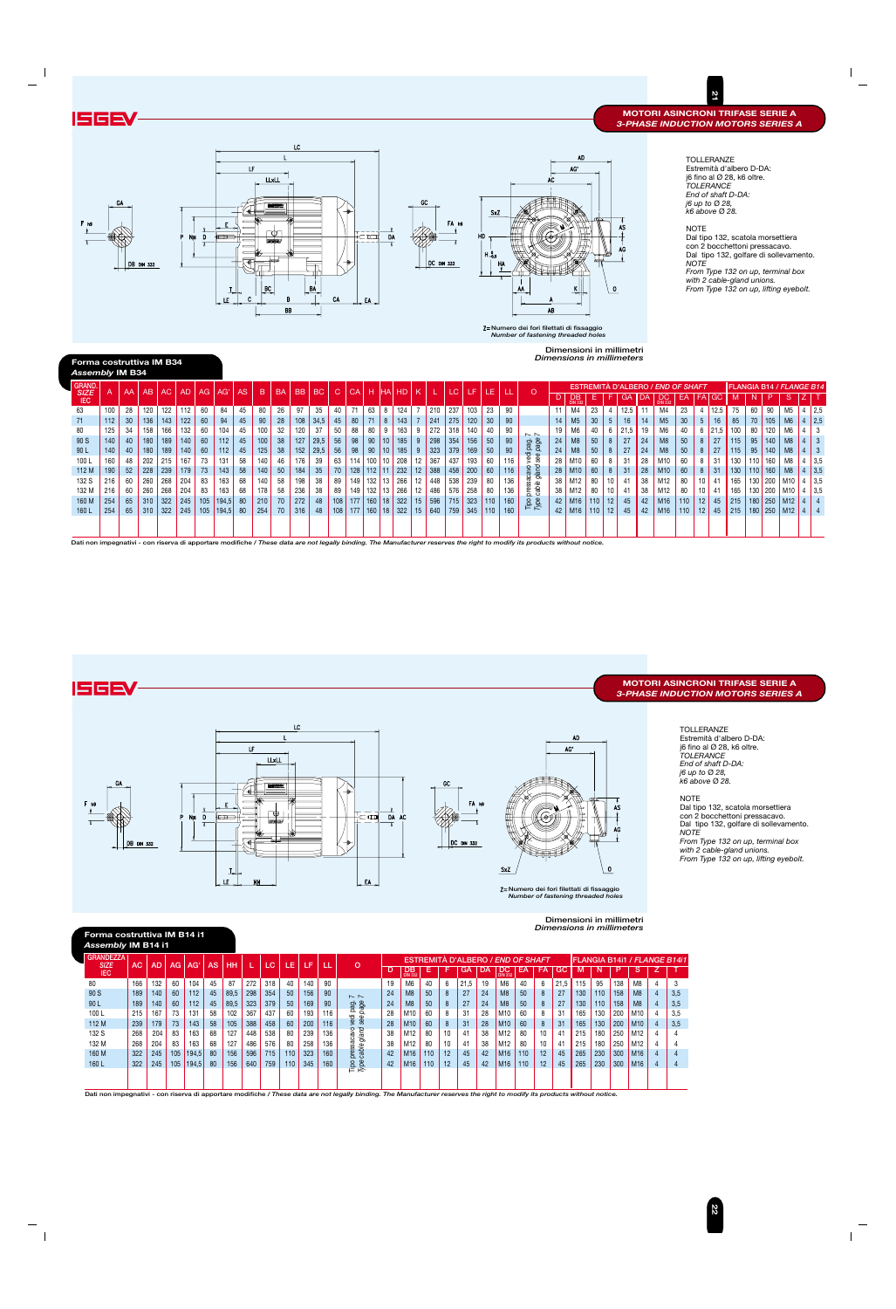**21**

![](_page_11_Figure_2.jpeg)

![](_page_11_Figure_3.jpeg)

![](_page_11_Figure_0.jpeg)

### **MOTORI ASINCRONI TRIFASE SERIE A** *3-PHASE INDUCTION MOTORS SERIES A*

**22**

| <b>GRANDEZZA</b><br><b>SIZE</b> | AC. | <b>AD</b> | AG. | AG'   | AS. | <b>HH</b> |     | LC  | LE. | LF  | ιLΕ | O               |    | EST                       |     |                 | 'REMITA D'ALBERO / <i>END OF SHAFT</i> |    |                 |     |    |      |     |     |     |                 | IFLANGIA B14i1 / <i>FLANGE B14i1</i> |
|---------------------------------|-----|-----------|-----|-------|-----|-----------|-----|-----|-----|-----|-----|-----------------|----|---------------------------|-----|-----------------|----------------------------------------|----|-----------------|-----|----|------|-----|-----|-----|-----------------|--------------------------------------|
| <b>IEC</b>                      |     |           |     |       |     |           |     |     |     |     |     |                 |    | $\overline{DB}_{DN\,332}$ | Е   | F               | GA                                     | DA | $D_{DN}$ 332    | EA  | FA | GC   |     |     | P   | 'S              |                                      |
| 80                              | 166 | 132       | 60  | 104   | 45  | 87        | 272 | 318 | 40  | 140 | 90  |                 | 19 | M <sub>6</sub>            | 40  | 6               | 21.5                                   | 19 | M6              | 40  | 6  | 21.5 | 115 | 95  | 138 | M8              |                                      |
| 90 S                            | 189 | 140       | 60  | 112   | 45  | 89,5      | 298 | 354 | 50  | 156 | 90  | $\sim$ $\sim$   | 24 | M8                        | 50  | 8               | 27                                     | 24 | M <sub>8</sub>  | 50  | 8  | 27   | 130 | 110 | 158 | M <sub>8</sub>  | 3,5                                  |
| 90 L                            | 189 | 140       | 60  | 112   | 45  | 89,5      | 323 | 379 | 50  | 169 | 90  | page<br>page    | 24 | M8                        | 50  | 8               | 27                                     | 24 | M8              | 50  | 8  | 27   | 130 | 110 | 158 | M8              | 3,5                                  |
| 100L                            | 215 | 167       | 73  | 131   | 58  | 102       | 367 | 437 | 60  | 193 | 116 | ъe              | 28 | M10                       | 60  | 8               | 31                                     | 28 | M10             | 60  | 8  | 31   | 165 | 130 | 200 | M10             | 3,5                                  |
| 112 M                           | 239 | 179       | 73  | 143   | 58  | 105       | 388 | 458 | 60  | 200 | 116 | see             | 28 | M <sub>10</sub>           | 60  | 8               | 31                                     | 28 | M <sub>10</sub> | 60  | 8  | 31   | 165 | 130 | 200 | M <sub>10</sub> | 3,5                                  |
| 132 S                           | 268 | 204       | 83  | 163   | 68  | 127       | 448 | 538 | 80  | 239 | 136 | gland<br>న్     | 38 | M12                       | 80  | 10              | 41                                     | 38 | M12             | 80  | 10 | 41   | 215 | 180 | 250 | M12             |                                      |
| 132 M                           | 268 | 204       | 83  | 163   | 68  | 127       | 486 | 576 | 80  | 258 | 136 |                 | 38 | M12                       | 80  | 10 <sup>°</sup> | 41                                     | 38 | M12             | 80  | 10 | 41   | 215 | 180 | 250 | M12             |                                      |
| 160 M                           | 322 | 245       | 105 | 194,5 | 80  | 156       | 596 | 715 | 110 | 323 | 160 | pressa<br>cable | 42 | M16                       | 110 | 12              | 45                                     | 42 | M <sub>16</sub> | 110 | 12 | 45   | 265 | 230 | 300 | M <sub>16</sub> |                                      |
| 160L                            | 322 | 245       | 105 | 194,5 | 80  | 156       | 640 | 759 | 110 | 345 | 160 | Tipe<br>Type    | 42 | M <sub>16</sub>           | 110 | 12              | 45                                     | 42 | M <sub>16</sub> | 110 | 12 | 45   | 265 | 230 | 300 | M <sub>16</sub> | 4                                    |
|                                 |     |           |     |       |     |           |     |     |     |     |     |                 |    |                           |     |                 |                                        |    |                 |     |    |      |     |     |     |                 |                                      |
|                                 |     |           |     |       |     |           |     |     |     |     |     |                 |    |                           |     |                 |                                        |    |                 |     |    |      |     |     |     |                 |                                      |

TOLLERANZE Estremità d'albero D-DA: j6 fino al Ø 28, k6 oltre. *TOLERANCE End of shaft D-DA: j6 up to* Ø *28, k6 above* Ø *28.*

**NOTE** 

| Forma costruttiva IM B34<br><b>Assembly IM B34</b> |     |    |     |     |           |                 |       |     |     |           |           |      |              |      |            |            |           |                  |     |     |           |                 |     |                |                 | Dimensioni in millimetri<br>Dimensions in millimeters |     |                 |      |    |                                          |     |                 |                 |      |                  |     |                          |                |     |
|----------------------------------------------------|-----|----|-----|-----|-----------|-----------------|-------|-----|-----|-----------|-----------|------|--------------|------|------------|------------|-----------|------------------|-----|-----|-----------|-----------------|-----|----------------|-----------------|-------------------------------------------------------|-----|-----------------|------|----|------------------------------------------|-----|-----------------|-----------------|------|------------------|-----|--------------------------|----------------|-----|
| <b>GRAND.</b>                                      |     |    |     |     |           |                 |       |     |     | <b>BA</b> | <b>BB</b> |      |              |      |            |            |           |                  |     |     |           |                 |     |                |                 |                                                       |     |                 |      |    | <b>ESTREMITÀ D'ALBERO / END OF SHAFT</b> |     |                 |                 |      |                  |     | FLANGIA B14 / FLANGE B14 |                |     |
| <b>SIZE</b><br><b>IEC</b>                          |     | AA | AB  | AC  | <b>AD</b> | AG <sub>1</sub> | AG'   | AS. | B   |           |           | BC   | $\mathsf{C}$ | CA H |            | <b>IHA</b> | <b>HD</b> | K                |     | LC  | <b>LF</b> | LE.             |     | $\circ$        | D               | $\overline{DB}$ <sub>DIN 332</sub>                    | Е.  | F.              | GA   | DA | DC.                                      | EA  | <b>FA</b>       | <b>GC</b>       |      | N                | P   | <sub>S</sub>             |                |     |
| 63                                                 | 100 | 28 | 120 | 122 | 112       | 60              | 84    | 45  | 80  | 26        | 97        | 35   | 40           | 71   | 63         | 8          | 124       |                  | 210 | 237 | 103       | 23              | 90  |                |                 | M4                                                    | 23  |                 | 12.5 |    | M4                                       | 23  |                 | 12.5            | 75   | 60               | 90  | M <sub>5</sub>           |                | 2,5 |
| 71                                                 | 112 | 30 | 136 | 143 | 122       | 60              | 94    | 45  | 90  | 28        | 108       | 34,5 | 45           | 80   |            | 8          | 143       |                  | 241 | 275 | 120       | 30 <sup>°</sup> | 90  |                | 14              | M <sub>5</sub>                                        | 30  |                 | 16   | 14 | M <sub>5</sub>                           | 30  | . 5             | 16 <sup>°</sup> | 85   | 70               | 105 | M <sub>6</sub>           |                | 2,5 |
| 80                                                 | 125 | 34 | 158 | 166 | 132       | 60              | 104   | 45  | 100 | 32        | 120       | 37   | 50           | 88   | 80         | 9          | 163       |                  | 272 | 318 | 140       | 40              | 90  | $\sim$ $\sim$  | 19              | M <sub>6</sub>                                        | 40  | 6               | 21,5 | 19 | M <sub>6</sub>                           | 40  |                 | $21.5$          | 100  | 80               | 120 | M <sub>6</sub>           |                |     |
| 90 S                                               | 140 | 40 | 180 | 189 | 140       | 60              | 112   | 45  | 100 | 38        | 127       | 29,5 | 56           | 98   | 90         | 10         | 185       | $9^{\circ}$      | 298 | 354 | 156       | 50              | 90  | pag.<br>page   | 24              | M <sub>8</sub>                                        | 50  | 8               | 27   | 24 | M <sub>8</sub>                           | 50  |                 | 27              | 115  | 95               | 140 | M8                       |                |     |
| 90L                                                | 140 | 40 | 180 | 189 | 140       | 60              | 112   | 45  | 125 | 38        | 152       | 29.5 | 56           | 98   | 90         | 10         | 185       |                  | 323 | 379 | 169       | 50              | 90  | ੶ਰ             | 24              | M <sub>8</sub>                                        | 50  | 8               | 27   | 24 | M <sub>8</sub>                           | 50  |                 | 27              | 115  | 95               | 140 | M8                       |                | -3  |
| 100L                                               | 160 | 48 | 202 | 215 | 167       | 73              | 131   | 58  | 140 | 46        | 176       | 39   | 63           | 114  | $100$ 10   |            | 208       | 12               | 367 | 437 | 193       | 60              | 116 | yed<br>See     | 28              | M10                                                   | 60  |                 | 31   | 28 | M10                                      | 60  |                 | 31              | 130  | 110 <sub>1</sub> | 160 | M8                       |                | 3,5 |
| 112 M                                              | 190 | 52 | 228 | 239 | 179       | 73              | 143   | 58  | 140 | 50        | 184       | 35   | 70           | 128  | $112$ 11   |            | 232       | 12               | 388 | 458 | 200       | 60              | 116 | gland          | 28              | M10                                                   | 60  | -8              | 31   | 28 | M10                                      | 60  |                 | 31              | 130  | 110              | 160 | M8                       |                | 3,5 |
| 132 S                                              | 216 | 60 | 260 | 268 | 204       | 83              | 163   | 68  | 140 | 58        | 198       | 38   | 89           | 149  |            | $132$ 13   | 266       | 12               | 448 | 538 | 239       | 80              | 136 | ್ಲಿ ಹಿ         | 38              | M12                                                   | 80  | 10              | 41   | 38 | M12                                      | 80  |                 | 41              | 165  | 130              | 200 | M10                      | 4              | 3,5 |
| 132 M                                              | 216 | 60 | 260 | 268 | 204       | 83              | 163   | 68  | 178 | 58        | 236       | 38   | 89           | 149  | $132$   13 |            | 266       | 12               | 486 | 576 | 258       | 80              | 136 | pres<br>cab    | 38              | M12                                                   | 80  |                 |      | 38 | M12                                      | 80  |                 | 41              | 165  | 130              | 200 | M10                      | $4 \mid 3,5$   |     |
| 160 M                                              | 254 | 65 | 310 | 322 | 245       | 105             | 194,5 | -80 | 210 | 70        | 272       | 48   | 108          | 177  | $160$ 18   |            | 322       | 15 <sup>15</sup> | 596 | 715 | 323       | 110             | 160 | $\frac{8}{10}$ |                 | $42$ M <sub>16</sub>                                  | 110 | 12 <sub>1</sub> | 45   | 42 | M16                                      | 110 | 12              | 45              | 1215 | 180              | 250 | M12                      | $\overline{4}$ |     |
| 160L                                               | 254 | 65 | 310 | 322 | 245       | 105             | 194,5 | 80  | 254 | 70        | 316       | 48   | 108          | 177  | $160$ 18   |            | 322       | 15               | 640 | 759 | 345       | 110             | 160 |                | 42 <sub>1</sub> | M16                                                   | 110 | 12 <sub>1</sub> | 45   | 42 | M16                                      | 110 | 12 <sup>2</sup> | 45              | 1215 | 180              | 250 | M <sub>12</sub>          | 4              |     |
|                                                    |     |    |     |     |           |                 |       |     |     |           |           |      |              |      |            |            |           |                  |     |     |           |                 |     |                |                 |                                                       |     |                 |      |    |                                          |     |                 |                 |      |                  |     |                          |                |     |

Dal tipo 132, scatola morsettiera con 2 bocchettoni pressacavo. Dal tipo 132, golfare di sollevamento. *NOTE*

*From Type 132 on up, terminal box with 2 cable-gland unions. From Type 132 on up, lifting eyebolt.*

**Dimensioni in millimetri**

*Dimensions in millimeters*

![](_page_11_Figure_10.jpeg)

## **Forma costruttiva IM B14 i1**

#### *Assembly* **IM B14 i1**

**Numero dei fori filettati di fissaggio** *Number of fastening threaded holes*

 $\overline{AB}$ 

**Numero dei fori filettati di fissaggio** *Number of fastening threaded holes*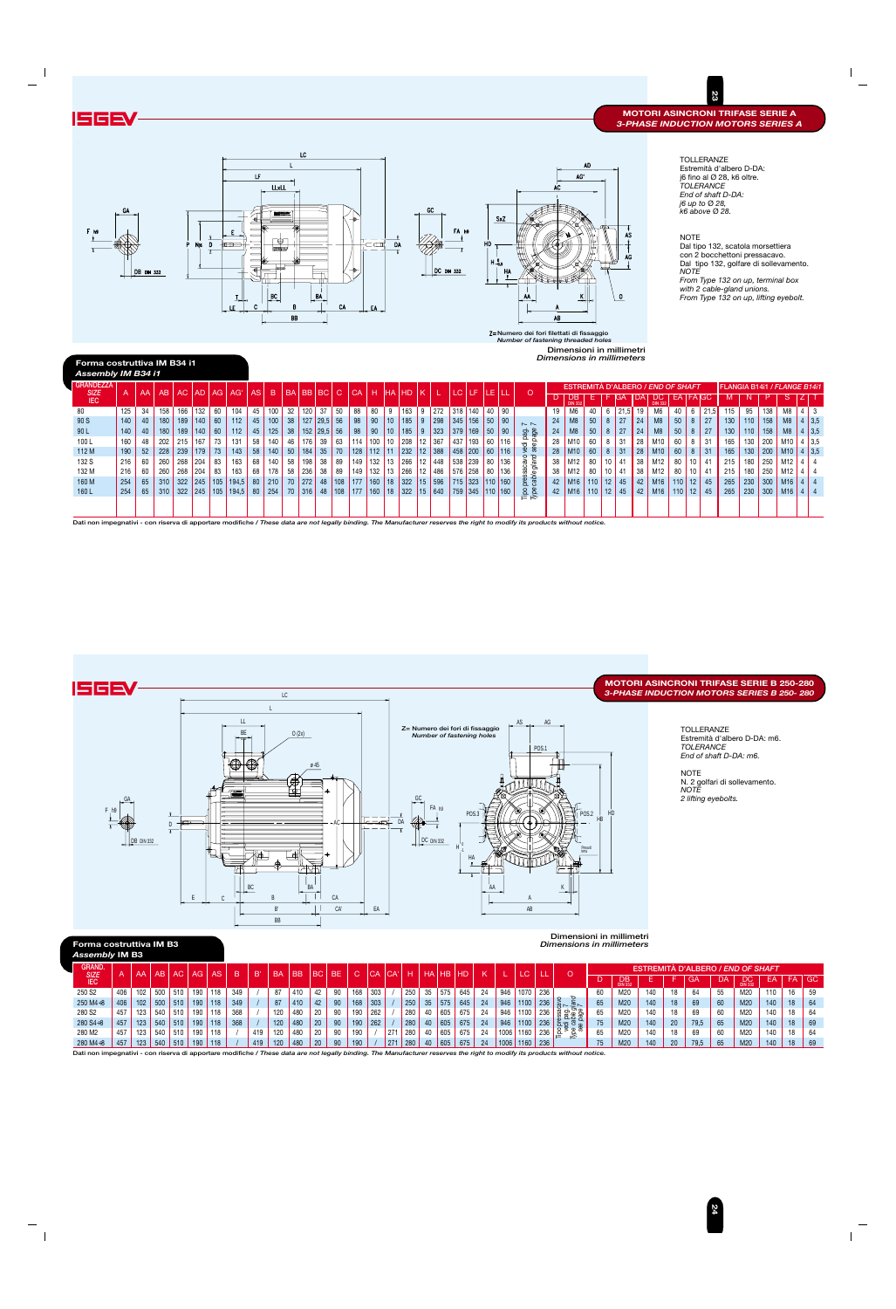**Dimensioni in millimetri**

| Forma costruttiva IM B3      |     |                  |     |     |                 |                         |     |     |           |           |      |      |        |           |     |     |            |                |           |    |      |                   |     | <b>Dimensions in millimeters</b> |                 |                            |     |    |                                          |    |                      |     |                 |     |
|------------------------------|-----|------------------|-----|-----|-----------------|-------------------------|-----|-----|-----------|-----------|------|------|--------|-----------|-----|-----|------------|----------------|-----------|----|------|-------------------|-----|----------------------------------|-----------------|----------------------------|-----|----|------------------------------------------|----|----------------------|-----|-----------------|-----|
| Assembly IM B3               |     |                  |     |     |                 |                         |     |     |           |           |      |      |        |           |     |     |            |                |           |    |      |                   |     |                                  |                 |                            |     |    |                                          |    |                      |     |                 |     |
| <b>GRAND.</b><br><b>SIZE</b> |     | AA I             | AB  | AC. | AG <sub>1</sub> | AS <sub>1</sub>         | B.  | B'  | <b>BA</b> | <b>BB</b> | l BC | BE.  | $\sim$ | <b>CA</b> | CA' | н   | <b>THA</b> | H <sub>B</sub> | <b>HD</b> |    |      |                   |     | $\circ$                          |                 |                            |     |    | <b>ESTREMITÀ D'ALBERO / END OF SHAFT</b> |    |                      |     |                 |     |
| <b>IEC</b>                   |     |                  |     |     |                 |                         |     |     |           |           |      |      | ΛОΖ    |           |     |     |            |                |           |    |      |                   |     |                                  |                 | $\overline{DB}$<br>DIN 332 |     |    | <b>GA</b>                                | DA | $DON$ <sub>332</sub> | EA  | FA <sub>1</sub> | GC. |
| 250 S <sub>2</sub>           | 406 | 102              | 500 | 510 | 190             | $\dot{ }$ 118 $\dot{ }$ | 349 |     | 87        | 410       | 42   | -90  | 168    | 303       |     | 250 | 35         | 575            | 645       | 24 | 946  | 1070 <sub>1</sub> | 236 |                                  | 60              | M20                        | 140 |    | 64                                       | 55 | M20                  | 110 | 16              | 59  |
| $250 M4 \div 8$              | 406 | 102 <sub>2</sub> | 500 | 510 | 190             | 118                     | 349 |     | 87        | 410       | 42   | 90   | 168    | 303       |     | 250 | 35         | 575            | 645       | 24 | 946  | 1100              | 236 | p<br>スレ マレ                       | 65              | M20                        | 140 |    | 69                                       | 60 | M20                  | 140 | 18              | 64  |
| 280 S <sub>2</sub>           | 457 | 123              | 540 | 510 | 190             | 118                     | 368 |     | 120       | 480       | 20   | -90  | 190    | 262       |     | 280 |            | 605            | 675       | 24 | 946  | 1100              | 236 | . ఇత్ల ఉ                         | 65              | M20                        | 140 |    | 69                                       | 60 | M20                  | 140 | 18              | 64  |
| $280 S4 \div 8$              | 457 | 123              | 540 | 510 | 190             | 118                     | 368 |     | 120       | 480       | 20   | 90   | 190    | 262       |     | 280 | 40         | 605            | 675       | 24 | 946  | 1100              | 236 | a.a<br>೬ಕ ೮ ಕ                    | 75              | M20                        | 140 | 20 | 79.5                                     | 65 | M20                  | 140 | 18              | 69  |
| 280 M2                       | 457 | 123              | 540 | 510 | 190             | 118                     |     | 419 | 120       | 480       | 20   | - OC | 190    |           | 271 | 280 |            | 605            | 675       | 24 | 1006 | 1160,             | 236 |                                  | 65              | M20                        | 140 |    | 69                                       | 60 | M20                  | 140 | 18              | 64  |
| $280 M4 \div 8$              | 457 | 123 <sub>1</sub> | 540 | 510 | 190             | 118                     |     | 419 | 120       | 480       | 20   | ാറ   | 190    |           | 271 | 280 | 40         | 605            | 675       | 24 | 1006 | $ 1160\rangle$    | 236 |                                  | 75 <sup>°</sup> | M20                        | 140 | 20 | 79,5                                     | 65 | M20                  | 140 | 18              | 69  |

|                                                                                                                                                                                                                                                      |                                                             |                                                    |                                                             |                                                                                                |                            |                                                       |                                                                   |                                                                                                   |                                                             |                                                          |                                                                                 |                                                                |                              |                                                               |                                                                             |                                                                                          |                                                             |                                                                                                  |                   |                                                                                      |                                 |                                                                |                                                    |                                                                                                |                                              |                                                                                             |                                                          |                                                                        |                                                                  |                                                        |                                                                                |                                                          |                                               | 3                                                                  | <b>MOTORI ASINCRONI TRIFASE SERIE A</b><br><b>3-PHASE INDUCTION MOTORS SERIES A</b>                                                                                                                                                                                                                                  |                                                            |                                                             |                                                   |                                                                                                                                                        |
|------------------------------------------------------------------------------------------------------------------------------------------------------------------------------------------------------------------------------------------------------|-------------------------------------------------------------|----------------------------------------------------|-------------------------------------------------------------|------------------------------------------------------------------------------------------------|----------------------------|-------------------------------------------------------|-------------------------------------------------------------------|---------------------------------------------------------------------------------------------------|-------------------------------------------------------------|----------------------------------------------------------|---------------------------------------------------------------------------------|----------------------------------------------------------------|------------------------------|---------------------------------------------------------------|-----------------------------------------------------------------------------|------------------------------------------------------------------------------------------|-------------------------------------------------------------|--------------------------------------------------------------------------------------------------|-------------------|--------------------------------------------------------------------------------------|---------------------------------|----------------------------------------------------------------|----------------------------------------------------|------------------------------------------------------------------------------------------------|----------------------------------------------|---------------------------------------------------------------------------------------------|----------------------------------------------------------|------------------------------------------------------------------------|------------------------------------------------------------------|--------------------------------------------------------|--------------------------------------------------------------------------------|----------------------------------------------------------|-----------------------------------------------|--------------------------------------------------------------------|----------------------------------------------------------------------------------------------------------------------------------------------------------------------------------------------------------------------------------------------------------------------------------------------------------------------|------------------------------------------------------------|-------------------------------------------------------------|---------------------------------------------------|--------------------------------------------------------------------------------------------------------------------------------------------------------|
| F h9<br>$\tau$                                                                                                                                                                                                                                       | GA.                                                         | <b>DB</b> DIN 332                                  |                                                             | P                                                                                              | Ŀ<br>N <sub>i6</sub>       | D<br>$\mathbf{T}$                                     | u D –<br>$I_{-}$<br>LE.                                           | $\mathsf{L}\mathsf{F}$<br>$\equiv$<br>$\equiv$<br>$\equiv$<br>$\overline{\mathbf{A}}$<br><b>C</b> | <b>LLxLL</b><br>بيجيهم<br>₩<br>eds<br>BC                    | B<br>BB                                                  | LC                                                                              | BA.                                                            | CA                           |                                                               | ⊂⊂≖<br>EA                                                                   | DA                                                                                       |                                                             | GC.                                                                                              | <b>DC DIN 332</b> | FA h9                                                                                |                                 | HD<br>$H_{.0,5}^{0}$                                           | <b>SxZ</b><br>HA                                   | AA<br>Z=Numero dei fori filettati di fissaggio<br>Number of fastening threaded holes           | AC<br>AB                                     | AG'<br>K<br>Dimensioni in millimetri                                                        | <b>AD</b>                                                |                                                                        | AS<br>AG<br>$\mathbf 0$                                          |                                                        |                                                                                |                                                          | <b>NOTE</b><br><b>NOTE</b>                    | <b>TOLLERANZE</b><br>TOLERANCE<br>j6 up to Ø 28,<br>k6 above Ø 28. | Estremità d'albero D-DA:<br>j6 fino al $\varnothing$ 28, k6 oltre.<br>End of shaft D-DA:<br>Dal tipo 132, scatola morsettiera<br>con 2 bocchettoni pressacavo.<br>Dal tipo 132, golfare di sollevamento.<br>From Type 132 on up, terminal box<br>with 2 cable-gland unions.<br>From Type 132 on up, lifting eyebolt. |                                                            |                                                             |                                                   |                                                                                                                                                        |
| Forma costruttiva IM B34 i1<br><b>Assembly IM B34 i1</b>                                                                                                                                                                                             |                                                             |                                                    |                                                             |                                                                                                |                            |                                                       |                                                                   |                                                                                                   |                                                             |                                                          |                                                                                 |                                                                |                              |                                                               |                                                                             |                                                                                          |                                                             |                                                                                                  |                   |                                                                                      |                                 |                                                                |                                                    |                                                                                                |                                              | Dimensions in millimeters                                                                   |                                                          |                                                                        |                                                                  |                                                        |                                                                                |                                                          |                                               |                                                                    |                                                                                                                                                                                                                                                                                                                      |                                                            |                                                             |                                                   |                                                                                                                                                        |
| <b>GRANDEZZA</b><br><b>SIZE</b><br><b>IEC</b>                                                                                                                                                                                                        | A                                                           | AA                                                 | AB                                                          | AC                                                                                             | AD                         | $AG \vert$                                            | AG'                                                               | AS                                                                                                | B                                                           | <b>BA</b>                                                | <b>BB</b>                                                                       | BC                                                             | $\mathsf{C}$                 | CA                                                            | H                                                                           | $HA$ $HD$                                                                                |                                                             | K                                                                                                |                   | LC                                                                                   | LF.                             | ILE.                                                           | l LL                                               | $\circ$                                                                                        | D                                            | $DE DN 33$                                                                                  | Ε.                                                       |                                                                        | <b>GA</b>                                                        | DA                                                     | ESTREMITÀ D'ALBERO / <i>END OF SHAFT</i><br>$\overline{DC}$ <sub>DIN 332</sub> |                                                          | $EA$ $FA$ $GC$                                |                                                                    | M                                                                                                                                                                                                                                                                                                                    | N.                                                         | $\overline{P}$                                              | S                                                 | FLANGIA B14i1 / FLANGE B14i1                                                                                                                           |
| 80<br>90 S<br>90 L<br>100L<br>112 M<br>132 S<br>132 M<br>160 M<br>160L<br>Dati non impegnativi - con riserva di apportare modifiche / These data are not legally binding. The Manufacturer reserves the right to modify its products without notice. | 125<br>140<br>140<br>160<br>190<br>216<br>216<br>254<br>254 | 34<br>40<br>40<br>48<br>52<br>60<br>60<br>65<br>65 | 158<br>180<br>180<br>202<br>228<br>260<br>260<br>310<br>310 | 166<br>189<br>$189$   140<br>215<br>$239$ 179<br>268<br>268 204<br>$322 \mid 245$<br>$322$ 245 | 132<br> 140<br>167<br> 204 | 60<br>60<br>60<br>73<br>73<br>83<br>83<br>105<br> 105 | 104<br>112<br>$112$<br>131<br>143<br>163<br>163<br>194,5<br>194,5 | 45<br>45<br>$45\,$<br>58<br>58<br>68<br>68<br>80<br>80                                            | 100<br>100<br>125<br>140<br>140<br>140<br>178<br>210<br>254 | $32\,$<br>38<br>$38\,$<br>46<br>$50\,$<br>58<br>58<br>70 | 120<br>127<br>$152$ 29,5 56<br>176<br>184<br>198<br>236<br>272<br>70 316 48 108 | 37<br> 29,5 56<br>$39\,$<br>$35 \mid 70$<br>38<br>$38\,$<br>48 | 50<br>63<br>89<br>89<br> 108 | 88<br>98<br>$98\,$<br>114<br>128<br>149<br>149<br>177<br> 177 | 80<br>$90\,$<br>$90\,$<br>100<br> 112 11<br>132<br>132<br> 160 <br>$160$ 18 | 9<br>$ 10\rangle$<br>$ 10\rangle$<br>$ 10\rangle$<br>$ 13\rangle$<br>$ 13\rangle$<br> 18 | 163<br>185<br>185<br>208<br>232<br>266<br>266<br>322<br>322 | $9 \mid 272$<br>9<br>$\vert 9 \vert$<br>12 367<br>12 388<br>12 448<br>12 486<br>15 596<br>15 640 | 298<br>323        | $318$ 140<br>345<br>379<br>437<br>538 239<br>576 258<br>$715$ 323<br>759 345 110 160 | 156<br>169<br>193<br>458 200 60 | 40   90<br>$50\,$<br>$50\,$<br>60<br>80<br>80<br>$ 110\rangle$ | 90<br>$90\,$<br>116<br> 116 <br>136<br>136<br> 160 | $\sim$ $\sim$<br>vedi pag.<br>I see page<br>pressacavo<br>cable gland:<br>$\frac{p}{\sqrt{p}}$ | 19<br>24<br>24<br>28<br>28<br>38<br>38<br>42 | M6<br>M8<br>M8<br>M10<br>$\vert$ M <sub>10</sub><br>M12<br>M12<br>M16<br>$42 \mid M16 \mid$ | 40<br>50<br>$50\,$<br>60<br>60<br>80<br>80<br>110<br>110 | $\bf 8$<br>$\bf 8$<br>8<br>10<br>10 <sub>1</sub><br>12<br>$12 \mid 45$ | $6 \mid 21,5$<br>27<br>27<br>31<br>$8 \mid 31$<br>41<br>41<br>45 | 19<br>24<br>24<br>28<br>$28\,$<br>38<br>38<br>42<br>42 | M <sub>6</sub><br>M8<br>M8<br>M10<br>M10<br>M12<br>M12<br>M16<br>M16           | 40<br>50<br>$50\,$<br>60<br>60<br>80<br>80<br>110<br>110 | 6<br>8<br>8<br>8<br>8<br>10<br>10<br>12<br>12 | 21,5 <br>27<br>27<br>31<br>31<br>41<br>41<br>45<br>45              | 115<br>130<br>130<br>165<br>165<br>215<br>215<br>265<br>265                                                                                                                                                                                                                                                          | 95<br>110<br>110<br>130<br>130<br>180<br>180<br>230<br>230 | 138<br>158<br>158<br>200<br>200<br>250<br>250<br>300<br>300 | M8<br>M8<br>M8<br>M10<br>M12<br>M12<br>M16<br>M16 | $4 \mid 3$<br>4 3,5<br>4 3,5<br>$4 \mid 3,5$<br>M <sub>10</sub> 4 3,5<br>$\overline{4}$<br>$\overline{4}$<br>$\overline{4}$<br>4<br>$4 \mid 4$<br> 4 4 |
| <b>ISGEV</b>                                                                                                                                                                                                                                         |                                                             |                                                    |                                                             |                                                                                                |                            |                                                       |                                                                   |                                                                                                   |                                                             | $\overline{C}$                                           |                                                                                 |                                                                |                              |                                                               |                                                                             |                                                                                          |                                                             |                                                                                                  |                   |                                                                                      |                                 |                                                                |                                                    |                                                                                                |                                              |                                                                                             |                                                          |                                                                        |                                                                  |                                                        |                                                                                |                                                          |                                               |                                                                    | <b>MOTORI ASINCRONI TRIFASE SERIE B 250-280</b>                                                                                                                                                                                                                                                                      |                                                            |                                                             |                                                   | 3-PHASE INDUCTION MOTORS SERIES B 250-280                                                                                                              |

## 568V

### **MOTORI ASINCRONI TRIFASE SERIE A** *3-PHASE INDUCTION MOTORS SERIES A*

![](_page_12_Figure_2.jpeg)

**24**

![](_page_12_Figure_8.jpeg)